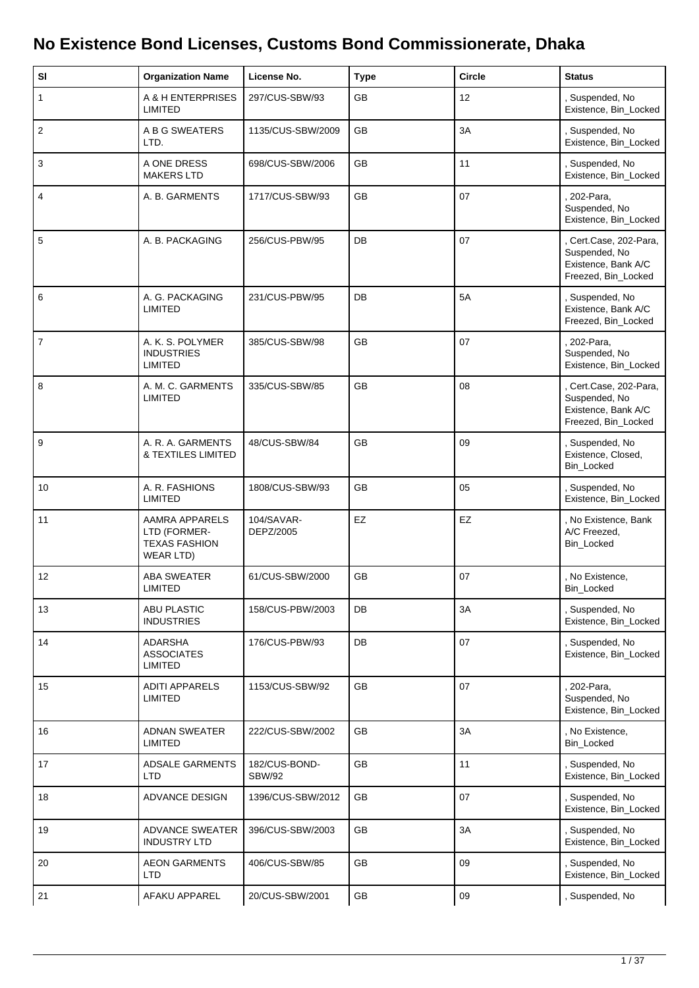## **No Existence Bond Licenses, Customs Bond Commissionerate, Dhaka**

| SI             | <b>Organization Name</b>                                            | License No.                    | <b>Type</b> | <b>Circle</b> | <b>Status</b>                                                                         |
|----------------|---------------------------------------------------------------------|--------------------------------|-------------|---------------|---------------------------------------------------------------------------------------|
| $\mathbf{1}$   | A & H ENTERPRISES<br><b>LIMITED</b>                                 | 297/CUS-SBW/93                 | GB          | 12            | , Suspended, No<br>Existence, Bin_Locked                                              |
| $\overline{2}$ | A B G SWEATERS<br>LTD.                                              | 1135/CUS-SBW/2009              | GB          | 3A            | , Suspended, No<br>Existence, Bin_Locked                                              |
| $\mathbf{3}$   | A ONE DRESS<br><b>MAKERS LTD</b>                                    | 698/CUS-SBW/2006               | <b>GB</b>   | 11            | , Suspended, No<br>Existence, Bin_Locked                                              |
| 4              | A. B. GARMENTS                                                      | 1717/CUS-SBW/93                | GB          | 07            | 202-Para,<br>Suspended, No<br>Existence, Bin_Locked                                   |
| 5              | A. B. PACKAGING                                                     | 256/CUS-PBW/95                 | DB          | 07            | , Cert.Case, 202-Para,<br>Suspended, No<br>Existence, Bank A/C<br>Freezed, Bin_Locked |
| 6              | A. G. PACKAGING<br><b>LIMITED</b>                                   | 231/CUS-PBW/95                 | DB          | 5A            | , Suspended, No<br>Existence, Bank A/C<br>Freezed, Bin_Locked                         |
| $\overline{7}$ | A. K. S. POLYMER<br><b>INDUSTRIES</b><br><b>LIMITED</b>             | 385/CUS-SBW/98                 | GB          | 07            | . 202-Para,<br>Suspended, No<br>Existence, Bin_Locked                                 |
| 8              | A. M. C. GARMENTS<br><b>LIMITED</b>                                 | 335/CUS-SBW/85                 | GB          | 08            | , Cert.Case, 202-Para,<br>Suspended, No<br>Existence, Bank A/C<br>Freezed, Bin_Locked |
| $\mathsf g$    | A. R. A. GARMENTS<br>& TEXTILES LIMITED                             | 48/CUS-SBW/84                  | GB          | 09            | , Suspended, No<br>Existence, Closed,<br>Bin_Locked                                   |
| 10             | A. R. FASHIONS<br>LIMITED                                           | 1808/CUS-SBW/93                | <b>GB</b>   | 05            | , Suspended, No<br>Existence, Bin_Locked                                              |
| 11             | AAMRA APPARELS<br>LTD (FORMER-<br><b>TEXAS FASHION</b><br>WEAR LTD) | 104/SAVAR-<br>DEPZ/2005        | EZ          | EZ            | , No Existence, Bank<br>A/C Freezed,<br>Bin_Locked                                    |
| 12             | <b>ABA SWEATER</b><br><b>LIMITED</b>                                | 61/CUS-SBW/2000                | <b>GB</b>   | 07            | , No Existence,<br><b>Bin Locked</b>                                                  |
| 13             | <b>ABU PLASTIC</b><br><b>INDUSTRIES</b>                             | 158/CUS-PBW/2003               | DB          | 3A            | , Suspended, No<br>Existence, Bin_Locked                                              |
| 14             | <b>ADARSHA</b><br><b>ASSOCIATES</b><br><b>LIMITED</b>               | 176/CUS-PBW/93                 | DB          | 07            | , Suspended, No<br>Existence, Bin_Locked                                              |
| 15             | <b>ADITI APPARELS</b><br>LIMITED                                    | 1153/CUS-SBW/92                | GB          | 07            | . 202-Para,<br>Suspended, No<br>Existence, Bin_Locked                                 |
| 16             | <b>ADNAN SWEATER</b><br><b>LIMITED</b>                              | 222/CUS-SBW/2002               | GB          | 3A            | , No Existence,<br>Bin_Locked                                                         |
| 17             | <b>ADSALE GARMENTS</b><br>LTD                                       | 182/CUS-BOND-<br><b>SBW/92</b> | GB          | 11            | , Suspended, No<br>Existence, Bin_Locked                                              |
| 18             | ADVANCE DESIGN                                                      | 1396/CUS-SBW/2012              | GB          | 07            | , Suspended, No<br>Existence, Bin_Locked                                              |
| 19             | <b>ADVANCE SWEATER</b><br><b>INDUSTRY LTD</b>                       | 396/CUS-SBW/2003               | GB          | 3A            | , Suspended, No<br>Existence, Bin_Locked                                              |
| $20\,$         | <b>AEON GARMENTS</b><br>LTD                                         | 406/CUS-SBW/85                 | GB          | 09            | , Suspended, No<br>Existence, Bin_Locked                                              |
| 21             | AFAKU APPAREL                                                       | 20/CUS-SBW/2001                | GB          | 09            | , Suspended, No                                                                       |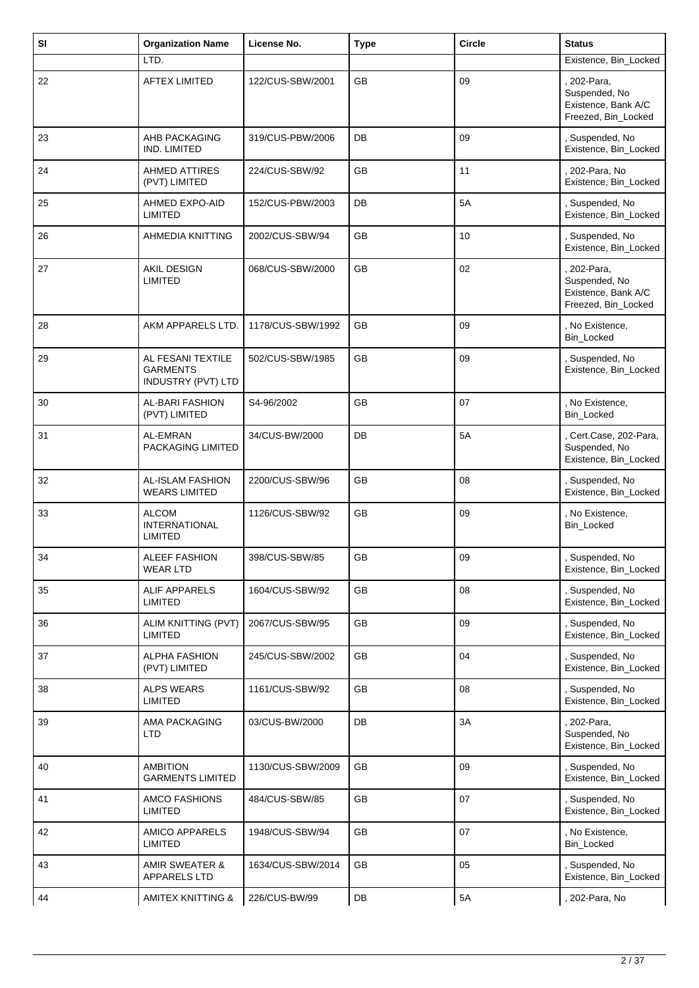| SI | <b>Organization Name</b>                               | License No.       | <b>Type</b> | <b>Circle</b>   | <b>Status</b>                                                              |
|----|--------------------------------------------------------|-------------------|-------------|-----------------|----------------------------------------------------------------------------|
|    | LTD.                                                   |                   |             |                 | Existence, Bin_Locked                                                      |
| 22 | <b>AFTEX LIMITED</b>                                   | 122/CUS-SBW/2001  | <b>GB</b>   | 09              | 202-Para,<br>Suspended, No<br>Existence, Bank A/C<br>Freezed, Bin_Locked   |
| 23 | AHB PACKAGING<br>IND. LIMITED                          | 319/CUS-PBW/2006  | DB          | 09              | , Suspended, No<br>Existence, Bin_Locked                                   |
| 24 | <b>AHMED ATTIRES</b><br>(PVT) LIMITED                  | 224/CUS-SBW/92    | GB          | 11              | , 202-Para, No<br>Existence, Bin_Locked                                    |
| 25 | AHMED EXPO-AID<br><b>LIMITED</b>                       | 152/CUS-PBW/2003  | DB          | 5A              | , Suspended, No<br>Existence, Bin_Locked                                   |
| 26 | AHMEDIA KNITTING                                       | 2002/CUS-SBW/94   | <b>GB</b>   | 10 <sup>°</sup> | , Suspended, No<br>Existence, Bin_Locked                                   |
| 27 | AKIL DESIGN<br><b>LIMITED</b>                          | 068/CUS-SBW/2000  | GB          | 02              | . 202-Para,<br>Suspended, No<br>Existence, Bank A/C<br>Freezed, Bin_Locked |
| 28 | AKM APPARELS LTD.                                      | 1178/CUS-SBW/1992 | GB          | 09              | , No Existence,<br>Bin_Locked                                              |
| 29 | AL FESANI TEXTILE<br>GARMENTS<br>INDUSTRY (PVT) LTD    | 502/CUS-SBW/1985  | <b>GB</b>   | 09              | , Suspended, No<br>Existence, Bin_Locked                                   |
| 30 | AL-BARI FASHION<br>(PVT) LIMITED                       | S4-96/2002        | GB          | 07              | , No Existence,<br>Bin_Locked                                              |
| 31 | AL-EMRAN<br>PACKAGING LIMITED                          | 34/CUS-BW/2000    | DB          | 5A              | , Cert.Case, 202-Para,<br>Suspended, No<br>Existence, Bin_Locked           |
| 32 | AL-ISLAM FASHION<br><b>WEARS LIMITED</b>               | 2200/CUS-SBW/96   | GB          | 08              | , Suspended, No<br>Existence, Bin_Locked                                   |
| 33 | <b>ALCOM</b><br><b>INTERNATIONAL</b><br><b>LIMITED</b> | 1126/CUS-SBW/92   | <b>GB</b>   | 09              | , No Existence,<br>Bin_Locked                                              |
| 34 | ALEEF FASHION<br><b>WEAR LTD</b>                       | 398/CUS-SBW/85    | GB          | 09              | Suspended, No<br>Existence, Bin_Locked                                     |
| 35 | ALIF APPARELS<br><b>LIMITED</b>                        | 1604/CUS-SBW/92   | GB          | 08              | , Suspended, No<br>Existence, Bin_Locked                                   |
| 36 | ALIM KNITTING (PVT)<br><b>LIMITED</b>                  | 2067/CUS-SBW/95   | GB          | 09              | , Suspended, No<br>Existence, Bin_Locked                                   |
| 37 | <b>ALPHA FASHION</b><br>(PVT) LIMITED                  | 245/CUS-SBW/2002  | GB          | 04              | , Suspended, No<br>Existence, Bin_Locked                                   |
| 38 | <b>ALPS WEARS</b><br><b>LIMITED</b>                    | 1161/CUS-SBW/92   | <b>GB</b>   | 08              | , Suspended, No<br>Existence, Bin_Locked                                   |
| 39 | AMA PACKAGING<br><b>LTD</b>                            | 03/CUS-BW/2000    | DB          | 3A              | 202-Para,<br>Suspended, No<br>Existence, Bin_Locked                        |
| 40 | <b>AMBITION</b><br><b>GARMENTS LIMITED</b>             | 1130/CUS-SBW/2009 | GB          | 09              | , Suspended, No<br>Existence, Bin_Locked                                   |
| 41 | <b>AMCO FASHIONS</b><br>LIMITED                        | 484/CUS-SBW/85    | GB          | 07              | , Suspended, No<br>Existence, Bin_Locked                                   |
| 42 | AMICO APPARELS<br><b>LIMITED</b>                       | 1948/CUS-SBW/94   | GB          | 07              | , No Existence,<br>Bin_Locked                                              |
| 43 | <b>AMIR SWEATER &amp;</b><br>APPARELS LTD              | 1634/CUS-SBW/2014 | GB          | 05              | , Suspended, No<br>Existence, Bin_Locked                                   |
| 44 | AMITEX KNITTING &                                      | 226/CUS-BW/99     | DB          | 5A              | , 202-Para, No                                                             |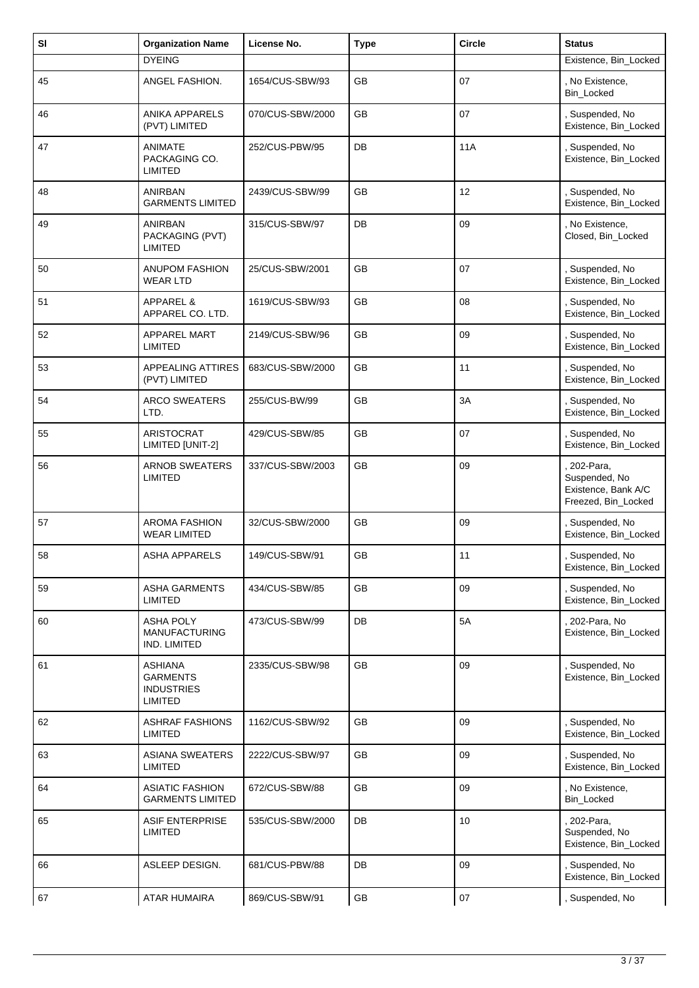| SI | <b>Organization Name</b>                                                 | License No.      | <b>Type</b> | <b>Circle</b> | <b>Status</b>                                                            |
|----|--------------------------------------------------------------------------|------------------|-------------|---------------|--------------------------------------------------------------------------|
|    | <b>DYEING</b>                                                            |                  |             |               | Existence, Bin_Locked                                                    |
| 45 | ANGEL FASHION.                                                           | 1654/CUS-SBW/93  | GB          | 07            | No Existence,<br>Bin_Locked                                              |
| 46 | ANIKA APPARELS<br>(PVT) LIMITED                                          | 070/CUS-SBW/2000 | <b>GB</b>   | 07            | , Suspended, No<br>Existence, Bin_Locked                                 |
| 47 | ANIMATE<br>PACKAGING CO.<br>LIMITED                                      | 252/CUS-PBW/95   | DB          | <b>11A</b>    | , Suspended, No<br>Existence, Bin_Locked                                 |
| 48 | ANIRBAN<br><b>GARMENTS LIMITED</b>                                       | 2439/CUS-SBW/99  | <b>GB</b>   | 12            | , Suspended, No<br>Existence, Bin Locked                                 |
| 49 | ANIRBAN<br>PACKAGING (PVT)<br><b>LIMITED</b>                             | 315/CUS-SBW/97   | DB          | 09            | , No Existence,<br>Closed, Bin_Locked                                    |
| 50 | <b>ANUPOM FASHION</b><br><b>WEAR LTD</b>                                 | 25/CUS-SBW/2001  | <b>GB</b>   | 07            | , Suspended, No<br>Existence, Bin_Locked                                 |
| 51 | <b>APPAREL &amp;</b><br>APPAREL CO. LTD.                                 | 1619/CUS-SBW/93  | <b>GB</b>   | 08            | , Suspended, No<br>Existence, Bin_Locked                                 |
| 52 | APPAREL MART<br><b>LIMITED</b>                                           | 2149/CUS-SBW/96  | GB          | 09            | Suspended, No<br>Existence, Bin_Locked                                   |
| 53 | <b>APPEALING ATTIRES</b><br>(PVT) LIMITED                                | 683/CUS-SBW/2000 | <b>GB</b>   | 11            | , Suspended, No<br>Existence, Bin_Locked                                 |
| 54 | <b>ARCO SWEATERS</b><br>LTD.                                             | 255/CUS-BW/99    | <b>GB</b>   | 3A            | , Suspended, No<br>Existence, Bin_Locked                                 |
| 55 | <b>ARISTOCRAT</b><br>LIMITED [UNIT-2]                                    | 429/CUS-SBW/85   | GB          | 07            | Suspended, No<br>Existence, Bin_Locked                                   |
| 56 | ARNOB SWEATERS<br><b>LIMITED</b>                                         | 337/CUS-SBW/2003 | GB          | 09            | 202-Para,<br>Suspended, No<br>Existence, Bank A/C<br>Freezed, Bin_Locked |
| 57 | <b>AROMA FASHION</b><br><b>WEAR LIMITED</b>                              | 32/CUS-SBW/2000  | GB          | 09            | , Suspended, No<br>Existence, Bin_Locked                                 |
| 58 | <b>ASHA APPARELS</b>                                                     | 149/CUS-SBW/91   | GB          | 11            | Suspended, No.<br>Existence, Bin Locked                                  |
| 59 | ASHA GARMENTS<br><b>LIMITED</b>                                          | 434/CUS-SBW/85   | GB          | 09            | , Suspended, No<br>Existence, Bin_Locked                                 |
| 60 | <b>ASHA POLY</b><br><b>MANUFACTURING</b><br>IND. LIMITED                 | 473/CUS-SBW/99   | DB          | 5A            | 202-Para, No<br>Existence, Bin_Locked                                    |
| 61 | <b>ASHIANA</b><br><b>GARMENTS</b><br><b>INDUSTRIES</b><br><b>LIMITED</b> | 2335/CUS-SBW/98  | GB          | 09            | Suspended, No<br>Existence, Bin Locked                                   |
| 62 | <b>ASHRAF FASHIONS</b><br><b>LIMITED</b>                                 | 1162/CUS-SBW/92  | GB          | 09            | Suspended, No<br>Existence, Bin_Locked                                   |
| 63 | <b>ASIANA SWEATERS</b><br><b>LIMITED</b>                                 | 2222/CUS-SBW/97  | GB          | 09            | , Suspended, No<br>Existence, Bin_Locked                                 |
| 64 | <b>ASIATIC FASHION</b><br><b>GARMENTS LIMITED</b>                        | 672/CUS-SBW/88   | GB          | 09            | , No Existence,<br>Bin_Locked                                            |
| 65 | ASIF ENTERPRISE<br><b>LIMITED</b>                                        | 535/CUS-SBW/2000 | DB          | 10            | 202-Para,<br>Suspended, No<br>Existence, Bin_Locked                      |
| 66 | ASLEEP DESIGN.                                                           | 681/CUS-PBW/88   | <b>DB</b>   | 09            | , Suspended, No<br>Existence, Bin_Locked                                 |
| 67 | ATAR HUMAIRA                                                             | 869/CUS-SBW/91   | GB          | 07            | , Suspended, No                                                          |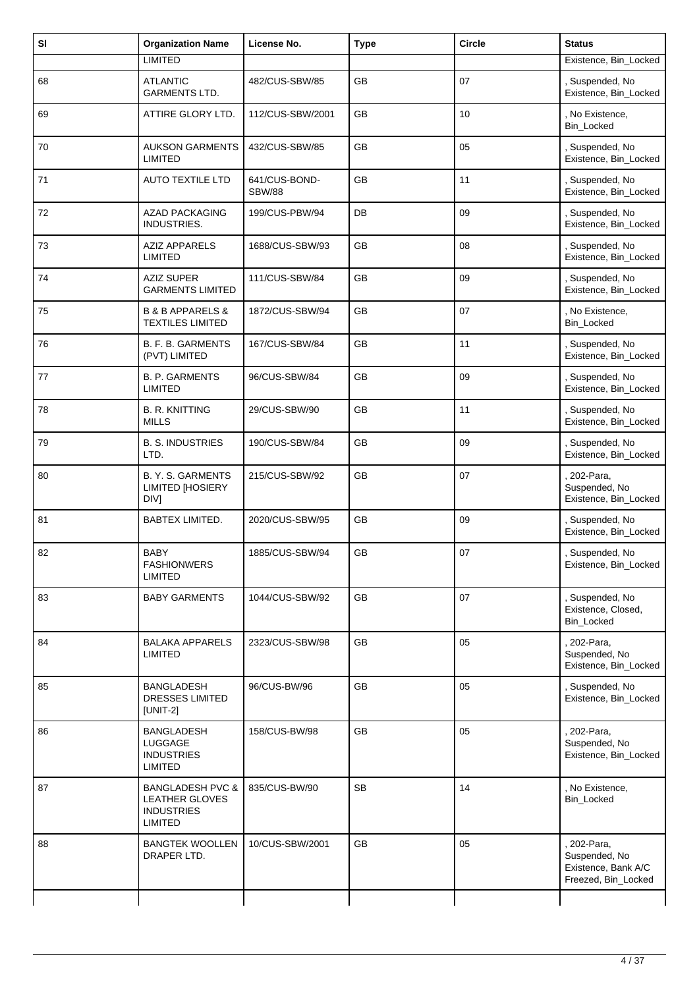| SI | <b>Organization Name</b>                                                      | License No.                    | <b>Type</b> | <b>Circle</b> | <b>Status</b>                                                            |
|----|-------------------------------------------------------------------------------|--------------------------------|-------------|---------------|--------------------------------------------------------------------------|
|    | <b>LIMITED</b>                                                                |                                |             |               | Existence, Bin_Locked                                                    |
| 68 | <b>ATLANTIC</b><br><b>GARMENTS LTD.</b>                                       | 482/CUS-SBW/85                 | <b>GB</b>   | 07            | Suspended, No<br>Existence, Bin_Locked                                   |
| 69 | ATTIRE GLORY LTD.                                                             | 112/CUS-SBW/2001               | GB          | 10            | , No Existence,<br>Bin_Locked                                            |
| 70 | <b>AUKSON GARMENTS</b><br><b>LIMITED</b>                                      | 432/CUS-SBW/85                 | <b>GB</b>   | 05            | , Suspended, No<br>Existence, Bin_Locked                                 |
| 71 | <b>AUTO TEXTILE LTD</b>                                                       | 641/CUS-BOND-<br><b>SBW/88</b> | GB          | 11            | , Suspended, No<br>Existence, Bin_Locked                                 |
| 72 | <b>AZAD PACKAGING</b><br>INDUSTRIES.                                          | 199/CUS-PBW/94                 | DB          | 09            | , Suspended, No<br>Existence, Bin_Locked                                 |
| 73 | <b>AZIZ APPARELS</b><br><b>LIMITED</b>                                        | 1688/CUS-SBW/93                | GB          | 08            | , Suspended, No<br>Existence, Bin_Locked                                 |
| 74 | <b>AZIZ SUPER</b><br><b>GARMENTS LIMITED</b>                                  | 111/CUS-SBW/84                 | <b>GB</b>   | 09            | , Suspended, No<br>Existence, Bin_Locked                                 |
| 75 | <b>B &amp; B APPARELS &amp;</b><br><b>TEXTILES LIMITED</b>                    | 1872/CUS-SBW/94                | GB          | 07            | , No Existence,<br>Bin_Locked                                            |
| 76 | B. F. B. GARMENTS<br>(PVT) LIMITED                                            | 167/CUS-SBW/84                 | <b>GB</b>   | 11            | , Suspended, No<br>Existence, Bin_Locked                                 |
| 77 | <b>B. P. GARMENTS</b><br><b>LIMITED</b>                                       | 96/CUS-SBW/84                  | GB          | 09            | , Suspended, No<br>Existence, Bin_Locked                                 |
| 78 | <b>B. R. KNITTING</b><br><b>MILLS</b>                                         | 29/CUS-SBW/90                  | GB          | 11            | , Suspended, No<br>Existence, Bin_Locked                                 |
| 79 | <b>B. S. INDUSTRIES</b><br>LTD.                                               | 190/CUS-SBW/84                 | GB          | 09            | , Suspended, No<br>Existence, Bin_Locked                                 |
| 80 | B. Y. S. GARMENTS<br><b>LIMITED [HOSIERY</b><br><b>DIVI</b>                   | 215/CUS-SBW/92                 | GB          | 07            | 202-Para,<br>Suspended, No<br>Existence, Bin_Locked                      |
| 81 | BABTEX LIMITED.                                                               | 2020/CUS-SBW/95                | GB          | 09            | , Suspended, No<br>Existence, Bin_Locked                                 |
| 82 | <b>BABY</b><br><b>FASHIONWERS</b><br><b>LIMITED</b>                           | 1885/CUS-SBW/94                | GB          | 07            | , Suspended, No<br>Existence, Bin_Locked                                 |
| 83 | <b>BABY GARMENTS</b>                                                          | 1044/CUS-SBW/92                | <b>GB</b>   | 07            | , Suspended, No<br>Existence, Closed,<br><b>Bin Locked</b>               |
| 84 | <b>BALAKA APPARELS</b><br><b>LIMITED</b>                                      | 2323/CUS-SBW/98                | <b>GB</b>   | 05            | . 202-Para,<br>Suspended, No<br>Existence, Bin_Locked                    |
| 85 | BANGLADESH<br>DRESSES LIMITED<br>$[UNIT-2]$                                   | 96/CUS-BW/96                   | <b>GB</b>   | 05            | , Suspended, No<br>Existence, Bin_Locked                                 |
| 86 | BANGLADESH<br>LUGGAGE<br><b>INDUSTRIES</b><br>LIMITED                         | 158/CUS-BW/98                  | GB          | 05            | , 202-Para,<br>Suspended, No<br>Existence, Bin_Locked                    |
| 87 | <b>BANGLADESH PVC &amp;</b><br>LEATHER GLOVES<br><b>INDUSTRIES</b><br>LIMITED | 835/CUS-BW/90                  | <b>SB</b>   | 14            | , No Existence,<br>Bin_Locked                                            |
| 88 | <b>BANGTEK WOOLLEN</b><br>DRAPER LTD.                                         | 10/CUS-SBW/2001                | GB          | 05            | 202-Para,<br>Suspended, No<br>Existence, Bank A/C<br>Freezed, Bin_Locked |
|    |                                                                               |                                |             |               |                                                                          |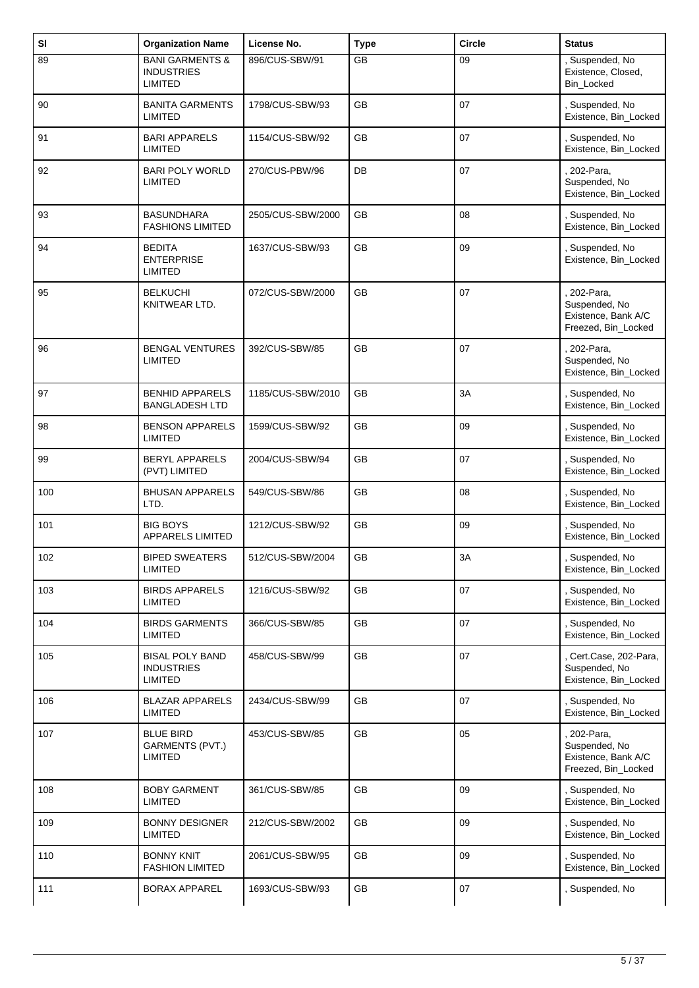| SI  | <b>Organization Name</b>                                          | License No.       | <b>Type</b> | <b>Circle</b> | <b>Status</b>                                                              |
|-----|-------------------------------------------------------------------|-------------------|-------------|---------------|----------------------------------------------------------------------------|
| 89  | <b>BANI GARMENTS &amp;</b><br><b>INDUSTRIES</b><br><b>LIMITED</b> | 896/CUS-SBW/91    | GB          | 09            | , Suspended, No<br>Existence, Closed,<br>Bin_Locked                        |
| 90  | <b>BANITA GARMENTS</b><br><b>LIMITED</b>                          | 1798/CUS-SBW/93   | <b>GB</b>   | 07            | , Suspended, No<br>Existence, Bin_Locked                                   |
| 91  | <b>BARI APPARELS</b><br><b>LIMITED</b>                            | 1154/CUS-SBW/92   | GB          | 07            | Suspended, No<br>Existence, Bin_Locked                                     |
| 92  | <b>BARI POLY WORLD</b><br><b>LIMITED</b>                          | 270/CUS-PBW/96    | DB          | 07            | . 202-Para,<br>Suspended, No<br>Existence, Bin_Locked                      |
| 93  | <b>BASUNDHARA</b><br><b>FASHIONS LIMITED</b>                      | 2505/CUS-SBW/2000 | GB          | 08            | , Suspended, No<br>Existence, Bin_Locked                                   |
| 94  | <b>BEDITA</b><br><b>ENTERPRISE</b><br><b>LIMITED</b>              | 1637/CUS-SBW/93   | <b>GB</b>   | 09            | , Suspended, No<br>Existence, Bin_Locked                                   |
| 95  | <b>BELKUCHI</b><br>KNITWEAR LTD.                                  | 072/CUS-SBW/2000  | GB          | 07            | 202-Para,<br>Suspended, No<br>Existence, Bank A/C<br>Freezed, Bin_Locked   |
| 96  | <b>BENGAL VENTURES</b><br><b>LIMITED</b>                          | 392/CUS-SBW/85    | GB          | 07            | 202-Para,<br>Suspended, No<br>Existence, Bin_Locked                        |
| 97  | <b>BENHID APPARELS</b><br><b>BANGLADESH LTD</b>                   | 1185/CUS-SBW/2010 | <b>GB</b>   | 3A            | , Suspended, No<br>Existence, Bin_Locked                                   |
| 98  | <b>BENSON APPARELS</b><br><b>LIMITED</b>                          | 1599/CUS-SBW/92   | GB          | 09            | , Suspended, No<br>Existence, Bin_Locked                                   |
| 99  | <b>BERYL APPARELS</b><br>(PVT) LIMITED                            | 2004/CUS-SBW/94   | GB          | 07            | , Suspended, No<br>Existence, Bin_Locked                                   |
| 100 | <b>BHUSAN APPARELS</b><br>LTD.                                    | 549/CUS-SBW/86    | <b>GB</b>   | 08            | , Suspended, No<br>Existence, Bin_Locked                                   |
| 101 | <b>BIG BOYS</b><br>APPARELS LIMITED                               | 1212/CUS-SBW/92   | GB          | 09            | , Suspended, No<br>Existence, Bin_Locked                                   |
| 102 | <b>BIPED SWEATERS</b><br><b>LIMITED</b>                           | 512/CUS-SBW/2004  | GB          | 3A            | Suspended, No<br>Existence, Bin_Locked                                     |
| 103 | <b>BIRDS APPARELS</b><br><b>LIMITED</b>                           | 1216/CUS-SBW/92   | <b>GB</b>   | 07            | , Suspended, No<br>Existence, Bin_Locked                                   |
| 104 | <b>BIRDS GARMENTS</b><br><b>LIMITED</b>                           | 366/CUS-SBW/85    | GB          | 07            | , Suspended, No<br>Existence, Bin_Locked                                   |
| 105 | <b>BISAL POLY BAND</b><br><b>INDUSTRIES</b><br><b>LIMITED</b>     | 458/CUS-SBW/99    | GB          | 07            | , Cert.Case, 202-Para,<br>Suspended, No<br>Existence, Bin_Locked           |
| 106 | <b>BLAZAR APPARELS</b><br>LIMITED                                 | 2434/CUS-SBW/99   | GB          | 07            | , Suspended, No<br>Existence, Bin_Locked                                   |
| 107 | <b>BLUE BIRD</b><br>GARMENTS (PVT.)<br>LIMITED                    | 453/CUS-SBW/85    | GB          | 05            | , 202-Para,<br>Suspended, No<br>Existence, Bank A/C<br>Freezed, Bin_Locked |
| 108 | <b>BOBY GARMENT</b><br><b>LIMITED</b>                             | 361/CUS-SBW/85    | GB          | 09            | , Suspended, No<br>Existence, Bin_Locked                                   |
| 109 | <b>BONNY DESIGNER</b><br><b>LIMITED</b>                           | 212/CUS-SBW/2002  | GB          | 09            | , Suspended, No<br>Existence, Bin_Locked                                   |
| 110 | <b>BONNY KNIT</b><br><b>FASHION LIMITED</b>                       | 2061/CUS-SBW/95   | GB          | 09            | , Suspended, No<br>Existence, Bin_Locked                                   |
| 111 | <b>BORAX APPAREL</b>                                              | 1693/CUS-SBW/93   | GB          | 07            | , Suspended, No                                                            |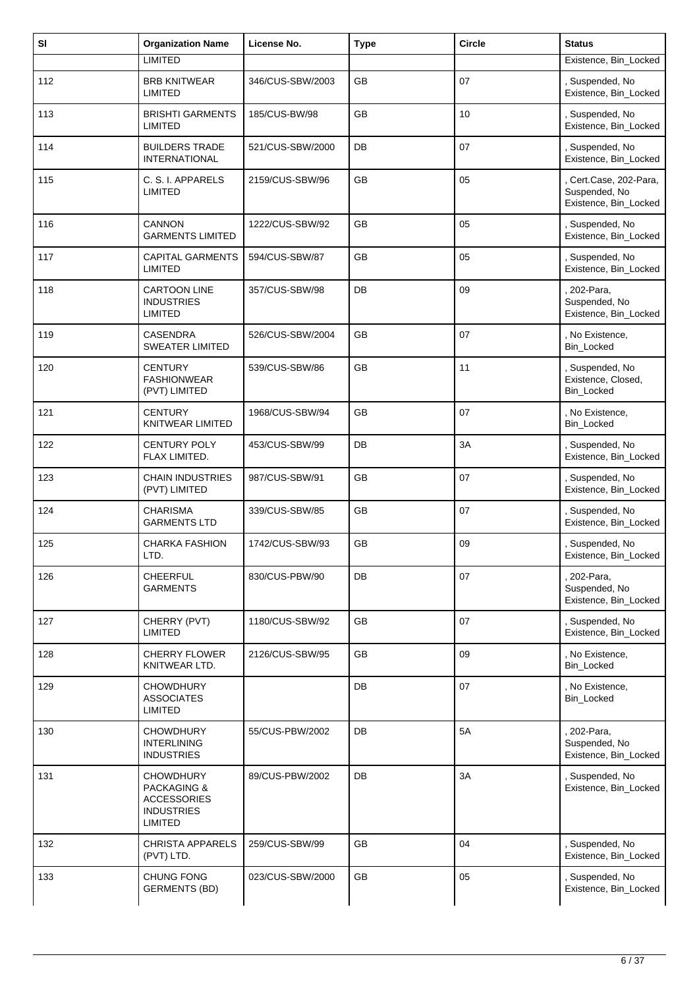| SI  | <b>Organization Name</b>                                                                                | License No.      | <b>Type</b> | <b>Circle</b> | <b>Status</b>                                                  |
|-----|---------------------------------------------------------------------------------------------------------|------------------|-------------|---------------|----------------------------------------------------------------|
|     | <b>LIMITED</b>                                                                                          |                  |             |               | Existence, Bin_Locked                                          |
| 112 | <b>BRB KNITWEAR</b><br><b>LIMITED</b>                                                                   | 346/CUS-SBW/2003 | <b>GB</b>   | 07            | Suspended, No<br>Existence, Bin_Locked                         |
| 113 | <b>BRISHTI GARMENTS</b><br><b>LIMITED</b>                                                               | 185/CUS-BW/98    | GB          | 10            | , Suspended, No<br>Existence, Bin_Locked                       |
| 114 | <b>BUILDERS TRADE</b><br><b>INTERNATIONAL</b>                                                           | 521/CUS-SBW/2000 | DB          | 07            | , Suspended, No<br>Existence, Bin_Locked                       |
| 115 | C. S. I. APPARELS<br><b>LIMITED</b>                                                                     | 2159/CUS-SBW/96  | GB          | 05            | Cert.Case, 202-Para,<br>Suspended, No<br>Existence, Bin_Locked |
| 116 | <b>CANNON</b><br><b>GARMENTS LIMITED</b>                                                                | 1222/CUS-SBW/92  | <b>GB</b>   | 05            | , Suspended, No<br>Existence, Bin_Locked                       |
| 117 | <b>CAPITAL GARMENTS</b><br><b>LIMITED</b>                                                               | 594/CUS-SBW/87   | <b>GB</b>   | 05            | , Suspended, No<br>Existence, Bin_Locked                       |
| 118 | <b>CARTOON LINE</b><br><b>INDUSTRIES</b><br><b>LIMITED</b>                                              | 357/CUS-SBW/98   | DB          | 09            | . 202-Para,<br>Suspended, No<br>Existence, Bin_Locked          |
| 119 | <b>CASENDRA</b><br><b>SWEATER LIMITED</b>                                                               | 526/CUS-SBW/2004 | <b>GB</b>   | 07            | , No Existence,<br>Bin_Locked                                  |
| 120 | <b>CENTURY</b><br><b>FASHIONWEAR</b><br>(PVT) LIMITED                                                   | 539/CUS-SBW/86   | GB          | 11            | , Suspended, No<br>Existence, Closed,<br>Bin_Locked            |
| 121 | <b>CENTURY</b><br><b>KNITWEAR LIMITED</b>                                                               | 1968/CUS-SBW/94  | <b>GB</b>   | 07            | , No Existence,<br>Bin_Locked                                  |
| 122 | <b>CENTURY POLY</b><br>FLAX LIMITED.                                                                    | 453/CUS-SBW/99   | DB          | 3A            | , Suspended, No<br>Existence, Bin_Locked                       |
| 123 | <b>CHAIN INDUSTRIES</b><br>(PVT) LIMITED                                                                | 987/CUS-SBW/91   | <b>GB</b>   | 07            | , Suspended, No<br>Existence, Bin_Locked                       |
| 124 | <b>CHARISMA</b><br><b>GARMENTS LTD</b>                                                                  | 339/CUS-SBW/85   | GB          | 07            | , Suspended, No<br>Existence, Bin_Locked                       |
| 125 | CHARKA FASHION<br>LTD.                                                                                  | 1742/CUS-SBW/93  | GB          | 09            | , Suspended, No<br>Existence, Bin_Locked                       |
| 126 | <b>CHEERFUL</b><br><b>GARMENTS</b>                                                                      | 830/CUS-PBW/90   | DB          | 07            | 202-Para,<br>Suspended, No<br>Existence, Bin_Locked            |
| 127 | CHERRY (PVT)<br><b>LIMITED</b>                                                                          | 1180/CUS-SBW/92  | GB          | 07            | , Suspended, No<br>Existence, Bin_Locked                       |
| 128 | CHERRY FLOWER<br>KNITWEAR LTD.                                                                          | 2126/CUS-SBW/95  | <b>GB</b>   | 09            | , No Existence,<br>Bin_Locked                                  |
| 129 | <b>CHOWDHURY</b><br><b>ASSOCIATES</b><br><b>LIMITED</b>                                                 |                  | DB          | 07            | , No Existence,<br>Bin_Locked                                  |
| 130 | <b>CHOWDHURY</b><br><b>INTERLINING</b><br><b>INDUSTRIES</b>                                             | 55/CUS-PBW/2002  | DB          | 5A            | , 202-Para,<br>Suspended, No<br>Existence, Bin_Locked          |
| 131 | <b>CHOWDHURY</b><br><b>PACKAGING &amp;</b><br><b>ACCESSORIES</b><br><b>INDUSTRIES</b><br><b>LIMITED</b> | 89/CUS-PBW/2002  | DB          | 3A            | , Suspended, No<br>Existence, Bin_Locked                       |
| 132 | <b>CHRISTA APPARELS</b><br>(PVT) LTD.                                                                   | 259/CUS-SBW/99   | GB          | 04            | , Suspended, No<br>Existence, Bin_Locked                       |
| 133 | CHUNG FONG<br><b>GERMENTS (BD)</b>                                                                      | 023/CUS-SBW/2000 | GB          | 05            | , Suspended, No<br>Existence, Bin_Locked                       |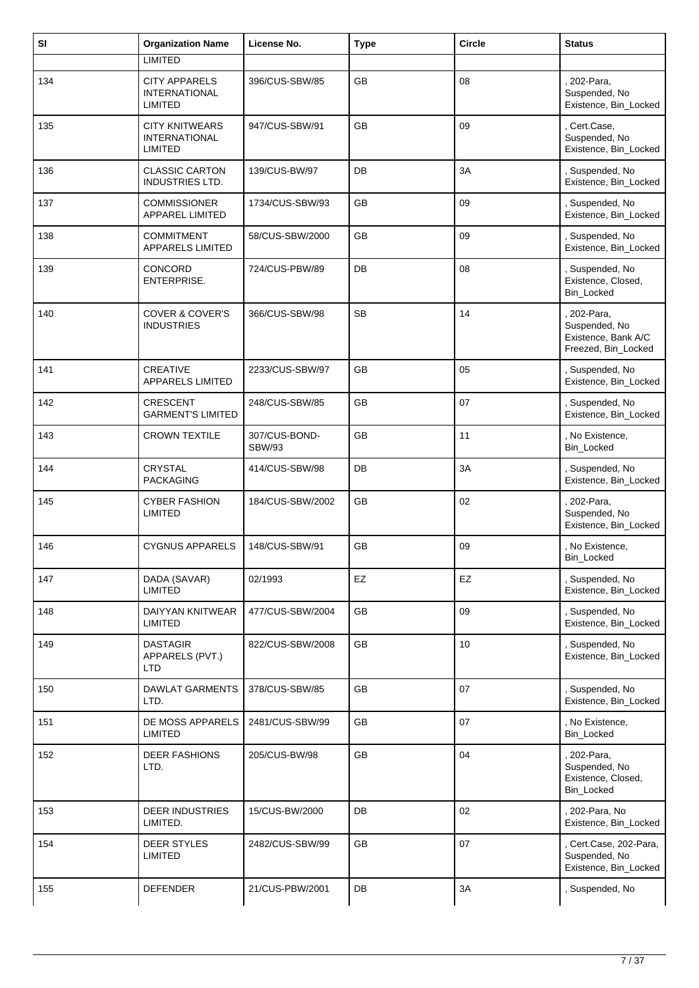| SI  | <b>Organization Name</b>                                       | License No.                    | <b>Type</b> | <b>Circle</b> | <b>Status</b>                                                              |
|-----|----------------------------------------------------------------|--------------------------------|-------------|---------------|----------------------------------------------------------------------------|
|     | <b>LIMITED</b>                                                 |                                |             |               |                                                                            |
| 134 | <b>CITY APPARELS</b><br><b>INTERNATIONAL</b><br><b>LIMITED</b> | 396/CUS-SBW/85                 | <b>GB</b>   | 08            | 202-Para,<br>Suspended, No<br>Existence, Bin_Locked                        |
| 135 | <b>CITY KNITWEARS</b><br><b>INTERNATIONAL</b><br>LIMITED       | 947/CUS-SBW/91                 | GB          | 09            | Cert.Case,<br>Suspended, No<br>Existence, Bin_Locked                       |
| 136 | <b>CLASSIC CARTON</b><br><b>INDUSTRIES LTD.</b>                | 139/CUS-BW/97                  | DB          | 3A            | , Suspended, No<br>Existence, Bin_Locked                                   |
| 137 | <b>COMMISSIONER</b><br><b>APPAREL LIMITED</b>                  | 1734/CUS-SBW/93                | GB          | 09            | Suspended, No<br>Existence, Bin_Locked                                     |
| 138 | COMMITMENT<br>APPARELS LIMITED                                 | 58/CUS-SBW/2000                | <b>GB</b>   | 09            | Suspended, No<br>Existence, Bin_Locked                                     |
| 139 | CONCORD<br>ENTERPRISE.                                         | 724/CUS-PBW/89                 | DB          | 08            | Suspended, No<br>Existence, Closed,<br>Bin_Locked                          |
| 140 | <b>COVER &amp; COVER'S</b><br><b>INDUSTRIES</b>                | 366/CUS-SBW/98                 | <b>SB</b>   | 14            | , 202-Para,<br>Suspended, No<br>Existence, Bank A/C<br>Freezed, Bin_Locked |
| 141 | <b>CREATIVE</b><br><b>APPARELS LIMITED</b>                     | 2233/CUS-SBW/97                | <b>GB</b>   | 05            | Suspended, No<br>Existence, Bin_Locked                                     |
| 142 | <b>CRESCENT</b><br><b>GARMENT'S LIMITED</b>                    | 248/CUS-SBW/85                 | <b>GB</b>   | 07            | Suspended, No<br>Existence, Bin_Locked                                     |
| 143 | <b>CROWN TEXTILE</b>                                           | 307/CUS-BOND-<br><b>SBW/93</b> | GB          | 11            | , No Existence,<br>Bin_Locked                                              |
| 144 | <b>CRYSTAL</b><br><b>PACKAGING</b>                             | 414/CUS-SBW/98                 | DB          | 3A            | Suspended, No<br>Existence, Bin_Locked                                     |
| 145 | <b>CYBER FASHION</b><br>LIMITED                                | 184/CUS-SBW/2002               | <b>GB</b>   | 02            | 202-Para,<br>Suspended, No<br>Existence, Bin_Locked                        |
| 146 | <b>CYGNUS APPARELS</b>                                         | 148/CUS-SBW/91                 | <b>GB</b>   | 09            | , No Existence,<br>Bin_Locked                                              |
| 147 | DADA (SAVAR)<br><b>LIMITED</b>                                 | 02/1993                        | EZ          | EZ            | , Suspended, No<br>Existence, Bin_Locked                                   |
| 148 | DAIYYAN KNITWEAR<br><b>LIMITED</b>                             | 477/CUS-SBW/2004               | GB          | 09            | Suspended, No<br>Existence, Bin_Locked                                     |
| 149 | <b>DASTAGIR</b><br>APPARELS (PVT.)<br>LTD                      | 822/CUS-SBW/2008               | GB          | 10            | , Suspended, No<br>Existence, Bin_Locked                                   |
| 150 | <b>DAWLAT GARMENTS</b><br>LTD.                                 | 378/CUS-SBW/85                 | GB          | 07            | Suspended, No<br>Existence, Bin_Locked                                     |
| 151 | DE MOSS APPARELS<br><b>LIMITED</b>                             | 2481/CUS-SBW/99                | GB          | 07            | , No Existence,<br><b>Bin Locked</b>                                       |
| 152 | <b>DEER FASHIONS</b><br>LTD.                                   | 205/CUS-BW/98                  | GB          | 04            | 202-Para,<br>Suspended, No<br>Existence, Closed,<br>Bin_Locked             |
| 153 | <b>DEER INDUSTRIES</b><br>LIMITED.                             | 15/CUS-BW/2000                 | DB          | 02            | 202-Para, No<br>Existence, Bin_Locked                                      |
| 154 | <b>DEER STYLES</b><br><b>LIMITED</b>                           | 2482/CUS-SBW/99                | GB          | 07            | Cert.Case, 202-Para,<br>Suspended, No<br>Existence, Bin_Locked             |
| 155 | <b>DEFENDER</b>                                                | 21/CUS-PBW/2001                | DB          | 3A            | Suspended, No                                                              |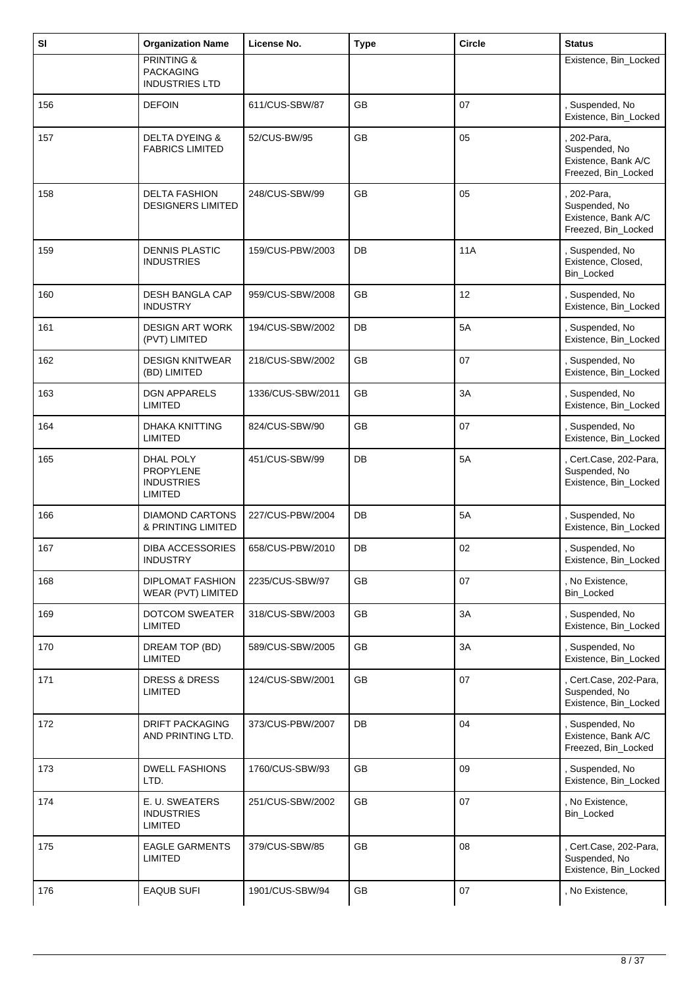| SI  | <b>Organization Name</b>                                           | License No.       | <b>Type</b> | <b>Circle</b> | <b>Status</b>                                                            |
|-----|--------------------------------------------------------------------|-------------------|-------------|---------------|--------------------------------------------------------------------------|
|     | <b>PRINTING &amp;</b><br><b>PACKAGING</b><br><b>INDUSTRIES LTD</b> |                   |             |               | Existence, Bin_Locked                                                    |
| 156 | <b>DEFOIN</b>                                                      | 611/CUS-SBW/87    | GB          | 07            | Suspended, No<br>Existence, Bin_Locked                                   |
| 157 | <b>DELTA DYEING &amp;</b><br><b>FABRICS LIMITED</b>                | 52/CUS-BW/95      | GB          | 05            | 202-Para,<br>Suspended, No<br>Existence, Bank A/C<br>Freezed, Bin_Locked |
| 158 | <b>DELTA FASHION</b><br><b>DESIGNERS LIMITED</b>                   | 248/CUS-SBW/99    | GB          | 05            | 202-Para,<br>Suspended, No<br>Existence, Bank A/C<br>Freezed, Bin_Locked |
| 159 | <b>DENNIS PLASTIC</b><br><b>INDUSTRIES</b>                         | 159/CUS-PBW/2003  | DB          | <b>11A</b>    | Suspended, No<br>Existence, Closed,<br>Bin_Locked                        |
| 160 | <b>DESH BANGLA CAP</b><br><b>INDUSTRY</b>                          | 959/CUS-SBW/2008  | <b>GB</b>   | 12            | , Suspended, No<br>Existence, Bin_Locked                                 |
| 161 | <b>DESIGN ART WORK</b><br>(PVT) LIMITED                            | 194/CUS-SBW/2002  | DB          | 5A            | Suspended, No<br>Existence, Bin_Locked                                   |
| 162 | <b>DESIGN KNITWEAR</b><br>(BD) LIMITED                             | 218/CUS-SBW/2002  | GB          | 07            | Suspended, No<br>Existence, Bin_Locked                                   |
| 163 | <b>DGN APPARELS</b><br><b>LIMITED</b>                              | 1336/CUS-SBW/2011 | GB          | 3A            | , Suspended, No<br>Existence, Bin_Locked                                 |
| 164 | <b>DHAKA KNITTING</b><br><b>LIMITED</b>                            | 824/CUS-SBW/90    | GB          | 07            | Suspended, No<br>Existence, Bin_Locked                                   |
| 165 | DHAL POLY<br>PROPYLENE<br><b>INDUSTRIES</b><br><b>LIMITED</b>      | 451/CUS-SBW/99    | DB          | 5A            | , Cert.Case, 202-Para,<br>Suspended, No<br>Existence, Bin_Locked         |
| 166 | <b>DIAMOND CARTONS</b><br>& PRINTING LIMITED                       | 227/CUS-PBW/2004  | DB          | 5A            | Suspended, No<br>Existence, Bin_Locked                                   |
| 167 | <b>DIBA ACCESSORIES</b><br><b>INDUSTRY</b>                         | 658/CUS-PBW/2010  | DB          | 02            | , Suspended, No<br>Existence, Bin_Locked                                 |
| 168 | <b>DIPLOMAT FASHION</b><br>WEAR (PVT) LIMITED                      | 2235/CUS-SBW/97   | GB          | 07            | , No Existence,<br><b>Bin Locked</b>                                     |
| 169 | <b>DOTCOM SWEATER</b><br><b>LIMITED</b>                            | 318/CUS-SBW/2003  | GB          | 3A            | Suspended, No<br>Existence, Bin_Locked                                   |
| 170 | DREAM TOP (BD)<br>LIMITED                                          | 589/CUS-SBW/2005  | <b>GB</b>   | 3A            | , Suspended, No<br>Existence, Bin_Locked                                 |
| 171 | <b>DRESS &amp; DRESS</b><br><b>LIMITED</b>                         | 124/CUS-SBW/2001  | GB          | 07            | Cert.Case, 202-Para,<br>Suspended, No<br>Existence, Bin_Locked           |
| 172 | <b>DRIFT PACKAGING</b><br>AND PRINTING LTD.                        | 373/CUS-PBW/2007  | DB          | 04            | , Suspended, No<br>Existence, Bank A/C<br>Freezed, Bin_Locked            |
| 173 | <b>DWELL FASHIONS</b><br>LTD.                                      | 1760/CUS-SBW/93   | GB          | 09            | , Suspended, No<br>Existence, Bin_Locked                                 |
| 174 | E. U. SWEATERS<br><b>INDUSTRIES</b><br><b>LIMITED</b>              | 251/CUS-SBW/2002  | <b>GB</b>   | 07            | , No Existence,<br>Bin_Locked                                            |
| 175 | <b>EAGLE GARMENTS</b><br><b>LIMITED</b>                            | 379/CUS-SBW/85    | GB          | 08            | , Cert.Case, 202-Para,<br>Suspended, No<br>Existence, Bin_Locked         |
| 176 | <b>EAQUB SUFI</b>                                                  | 1901/CUS-SBW/94   | <b>GB</b>   | 07            | , No Existence,                                                          |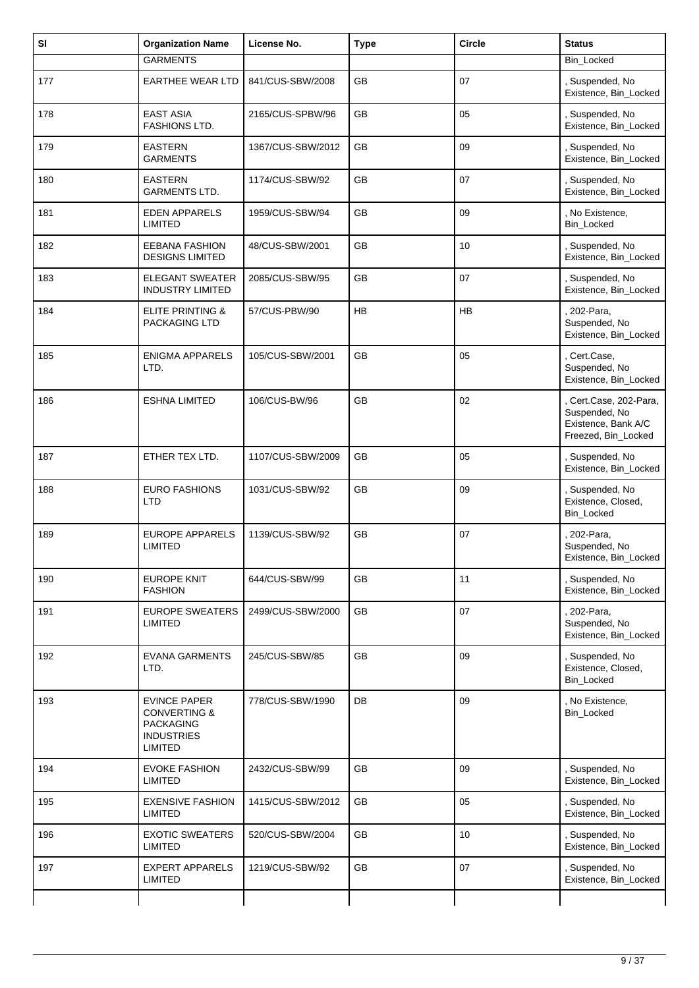| SI  | <b>Organization Name</b>                                                                                  | License No.       | <b>Type</b> | <b>Circle</b> | <b>Status</b>                                                                         |
|-----|-----------------------------------------------------------------------------------------------------------|-------------------|-------------|---------------|---------------------------------------------------------------------------------------|
|     | <b>GARMENTS</b>                                                                                           |                   |             |               | Bin_Locked                                                                            |
| 177 | <b>EARTHEE WEAR LTD</b>                                                                                   | 841/CUS-SBW/2008  | GB          | 07            | Suspended, No<br>Existence, Bin_Locked                                                |
| 178 | <b>EAST ASIA</b><br>FASHIONS LTD.                                                                         | 2165/CUS-SPBW/96  | GB          | 05            | Suspended, No<br>Existence, Bin_Locked                                                |
| 179 | <b>EASTERN</b><br><b>GARMENTS</b>                                                                         | 1367/CUS-SBW/2012 | <b>GB</b>   | 09            | Suspended, No<br>Existence, Bin_Locked                                                |
| 180 | <b>EASTERN</b><br><b>GARMENTS LTD.</b>                                                                    | 1174/CUS-SBW/92   | GB          | 07            | Suspended, No<br>Existence, Bin_Locked                                                |
| 181 | <b>EDEN APPARELS</b><br><b>LIMITED</b>                                                                    | 1959/CUS-SBW/94   | GB          | 09            | , No Existence,<br>Bin_Locked                                                         |
| 182 | <b>EEBANA FASHION</b><br><b>DESIGNS LIMITED</b>                                                           | 48/CUS-SBW/2001   | <b>GB</b>   | 10            | Suspended, No<br>Existence, Bin_Locked                                                |
| 183 | <b>ELEGANT SWEATER</b><br><b>INDUSTRY LIMITED</b>                                                         | 2085/CUS-SBW/95   | GB          | 07            | Suspended, No<br>Existence, Bin_Locked                                                |
| 184 | <b>ELITE PRINTING &amp;</b><br>PACKAGING LTD                                                              | 57/CUS-PBW/90     | HB          | HB            | 202-Para,<br>Suspended, No<br>Existence, Bin_Locked                                   |
| 185 | <b>ENIGMA APPARELS</b><br>LTD.                                                                            | 105/CUS-SBW/2001  | <b>GB</b>   | 05            | Cert.Case,<br>Suspended, No<br>Existence, Bin_Locked                                  |
| 186 | <b>ESHNA LIMITED</b>                                                                                      | 106/CUS-BW/96     | <b>GB</b>   | 02            | , Cert.Case, 202-Para,<br>Suspended, No<br>Existence, Bank A/C<br>Freezed, Bin_Locked |
| 187 | ETHER TEX LTD.                                                                                            | 1107/CUS-SBW/2009 | <b>GB</b>   | 05            | , Suspended, No<br>Existence, Bin_Locked                                              |
| 188 | <b>EURO FASHIONS</b><br><b>LTD</b>                                                                        | 1031/CUS-SBW/92   | GB          | 09            | Suspended, No<br>Existence, Closed,<br>Bin_Locked                                     |
| 189 | <b>EUROPE APPARELS</b><br>LIMITED                                                                         | 1139/CUS-SBW/92   | <b>GB</b>   | 07            | 202-Para,<br>Suspended, No.<br>Existence, Bin_Locked                                  |
| 190 | EUROPE KNIT<br><b>FASHION</b>                                                                             | 644/CUS-SBW/99    | GB          | 11            | Suspended, No<br>Existence, Bin_Locked                                                |
| 191 | <b>EUROPE SWEATERS</b><br>LIMITED                                                                         | 2499/CUS-SBW/2000 | <b>GB</b>   | 07            | 202-Para,<br>Suspended, No<br>Existence, Bin_Locked                                   |
| 192 | <b>EVANA GARMENTS</b><br>LTD.                                                                             | 245/CUS-SBW/85    | GB          | 09            | , Suspended, No<br>Existence, Closed,<br><b>Bin Locked</b>                            |
| 193 | <b>EVINCE PAPER</b><br><b>CONVERTING &amp;</b><br><b>PACKAGING</b><br><b>INDUSTRIES</b><br><b>LIMITED</b> | 778/CUS-SBW/1990  | DB          | 09            | , No Existence,<br><b>Bin Locked</b>                                                  |
| 194 | <b>EVOKE FASHION</b><br><b>LIMITED</b>                                                                    | 2432/CUS-SBW/99   | GB          | 09            | Suspended, No<br>Existence, Bin_Locked                                                |
| 195 | <b>EXENSIVE FASHION</b><br>LIMITED                                                                        | 1415/CUS-SBW/2012 | GB          | 05            | Suspended, No<br>Existence, Bin_Locked                                                |
| 196 | <b>EXOTIC SWEATERS</b><br><b>LIMITED</b>                                                                  | 520/CUS-SBW/2004  | GB          | 10            | Suspended, No<br>Existence, Bin_Locked                                                |
| 197 | <b>EXPERT APPARELS</b><br><b>LIMITED</b>                                                                  | 1219/CUS-SBW/92   | GB          | 07            | , Suspended, No<br>Existence, Bin_Locked                                              |
|     |                                                                                                           |                   |             |               |                                                                                       |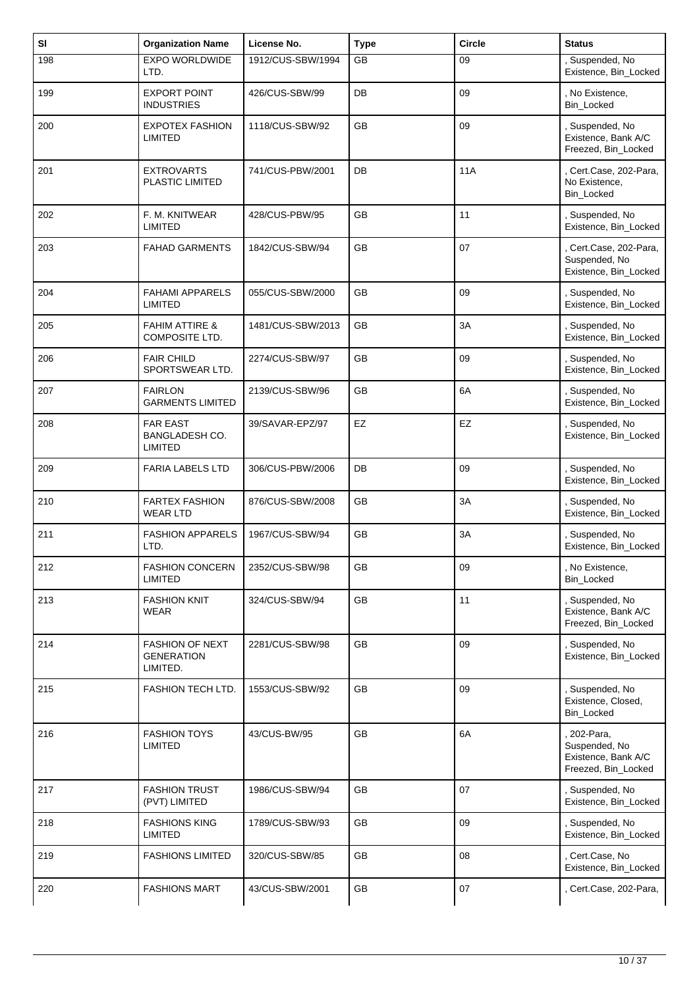| SI  | <b>Organization Name</b>                                | License No.       | <b>Type</b> | <b>Circle</b> | <b>Status</b>                                                              |
|-----|---------------------------------------------------------|-------------------|-------------|---------------|----------------------------------------------------------------------------|
| 198 | <b>EXPO WORLDWIDE</b><br>LTD.                           | 1912/CUS-SBW/1994 | GB          | 09            | , Suspended, No<br>Existence, Bin_Locked                                   |
| 199 | <b>EXPORT POINT</b><br><b>INDUSTRIES</b>                | 426/CUS-SBW/99    | DB          | 09            | , No Existence,<br><b>Bin Locked</b>                                       |
| 200 | <b>EXPOTEX FASHION</b><br>LIMITED                       | 1118/CUS-SBW/92   | <b>GB</b>   | 09            | , Suspended, No<br>Existence, Bank A/C<br>Freezed, Bin_Locked              |
| 201 | <b>EXTROVARTS</b><br>PLASTIC LIMITED                    | 741/CUS-PBW/2001  | DB          | <b>11A</b>    | , Cert.Case, 202-Para,<br>No Existence,<br><b>Bin Locked</b>               |
| 202 | F. M. KNITWEAR<br><b>LIMITED</b>                        | 428/CUS-PBW/95    | GB          | 11            | , Suspended, No<br>Existence, Bin_Locked                                   |
| 203 | <b>FAHAD GARMENTS</b>                                   | 1842/CUS-SBW/94   | <b>GB</b>   | 07            | Cert.Case, 202-Para,<br>Suspended, No<br>Existence, Bin_Locked             |
| 204 | <b>FAHAMI APPARELS</b><br><b>LIMITED</b>                | 055/CUS-SBW/2000  | <b>GB</b>   | 09            | Suspended, No<br>Existence, Bin_Locked                                     |
| 205 | <b>FAHIM ATTIRE &amp;</b><br>COMPOSITE LTD.             | 1481/CUS-SBW/2013 | GB          | 3A            | , Suspended, No<br>Existence, Bin_Locked                                   |
| 206 | <b>FAIR CHILD</b><br>SPORTSWEAR LTD.                    | 2274/CUS-SBW/97   | <b>GB</b>   | 09            | , Suspended, No<br>Existence, Bin_Locked                                   |
| 207 | <b>FAIRLON</b><br><b>GARMENTS LIMITED</b>               | 2139/CUS-SBW/96   | GB          | 6A            | Suspended, No<br>Existence, Bin_Locked                                     |
| 208 | <b>FAR EAST</b><br>BANGLADESH CO.<br><b>LIMITED</b>     | 39/SAVAR-EPZ/97   | EZ          | EZ            | , Suspended, No<br>Existence, Bin_Locked                                   |
| 209 | <b>FARIA LABELS LTD</b>                                 | 306/CUS-PBW/2006  | DB          | 09            | , Suspended, No<br>Existence, Bin_Locked                                   |
| 210 | <b>FARTEX FASHION</b><br><b>WEAR LTD</b>                | 876/CUS-SBW/2008  | GB          | 3A            | , Suspended, No<br>Existence, Bin_Locked                                   |
| 211 | <b>FASHION APPARELS</b><br>LTD.                         | 1967/CUS-SBW/94   | GB          | 3A            | , Suspended, No<br>Existence, Bin_Locked                                   |
| 212 | <b>FASHION CONCERN</b><br><b>LIMITED</b>                | 2352/CUS-SBW/98   | GB          | 09            | , No Existence,<br><b>Bin Locked</b>                                       |
| 213 | <b>FASHION KNIT</b><br><b>WEAR</b>                      | 324/CUS-SBW/94    | GB          | 11            | , Suspended, No<br>Existence, Bank A/C<br>Freezed, Bin_Locked              |
| 214 | <b>FASHION OF NEXT</b><br><b>GENERATION</b><br>LIMITED. | 2281/CUS-SBW/98   | GB          | 09            | , Suspended, No<br>Existence, Bin_Locked                                   |
| 215 | <b>FASHION TECH LTD.</b>                                | 1553/CUS-SBW/92   | <b>GB</b>   | 09            | , Suspended, No<br>Existence, Closed,<br>Bin_Locked                        |
| 216 | <b>FASHION TOYS</b><br><b>LIMITED</b>                   | 43/CUS-BW/95      | GB          | 6A            | , 202-Para,<br>Suspended, No<br>Existence, Bank A/C<br>Freezed, Bin_Locked |
| 217 | <b>FASHION TRUST</b><br>(PVT) LIMITED                   | 1986/CUS-SBW/94   | GB          | 07            | , Suspended, No<br>Existence, Bin_Locked                                   |
| 218 | <b>FASHIONS KING</b><br>LIMITED                         | 1789/CUS-SBW/93   | GB          | 09            | , Suspended, No<br>Existence, Bin_Locked                                   |
| 219 | <b>FASHIONS LIMITED</b>                                 | 320/CUS-SBW/85    | GB          | 08            | Cert.Case, No<br>Existence, Bin_Locked                                     |
| 220 | <b>FASHIONS MART</b>                                    | 43/CUS-SBW/2001   | GB          | 07            | , Cert.Case, 202-Para,                                                     |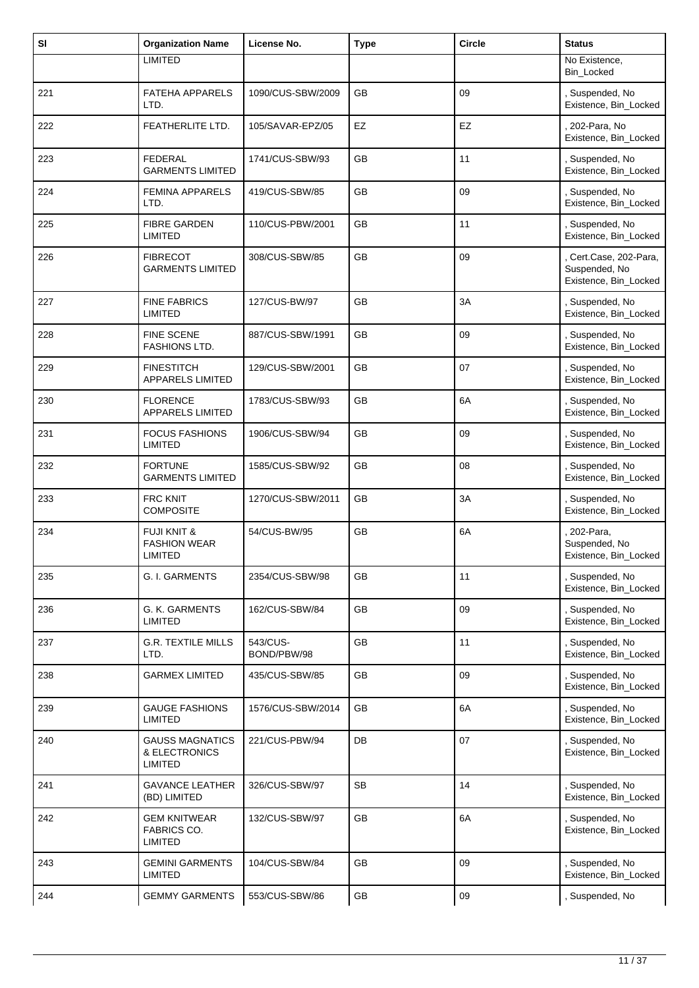| SI  | <b>Organization Name</b>                                 | License No.             | <b>Type</b> | <b>Circle</b> | <b>Status</b>                                                  |
|-----|----------------------------------------------------------|-------------------------|-------------|---------------|----------------------------------------------------------------|
|     | <b>LIMITED</b>                                           |                         |             |               | No Existence,<br>Bin_Locked                                    |
| 221 | <b>FATEHA APPARELS</b><br>LTD.                           | 1090/CUS-SBW/2009       | <b>GB</b>   | 09            | , Suspended, No<br>Existence, Bin_Locked                       |
| 222 | FEATHERLITE LTD.                                         | 105/SAVAR-EPZ/05        | EZ          | EZ            | , 202-Para, No<br>Existence, Bin_Locked                        |
| 223 | <b>FEDERAL</b><br><b>GARMENTS LIMITED</b>                | 1741/CUS-SBW/93         | GB          | 11            | Suspended, No<br>Existence, Bin_Locked                         |
| 224 | <b>FEMINA APPARELS</b><br>LTD.                           | 419/CUS-SBW/85          | <b>GB</b>   | 09            | , Suspended, No<br>Existence, Bin_Locked                       |
| 225 | <b>FIBRE GARDEN</b><br><b>LIMITED</b>                    | 110/CUS-PBW/2001        | <b>GB</b>   | 11            | , Suspended, No<br>Existence, Bin_Locked                       |
| 226 | <b>FIBRECOT</b><br><b>GARMENTS LIMITED</b>               | 308/CUS-SBW/85          | GB          | 09            | Cert.Case, 202-Para,<br>Suspended, No<br>Existence, Bin_Locked |
| 227 | <b>FINE FABRICS</b><br><b>LIMITED</b>                    | 127/CUS-BW/97           | <b>GB</b>   | 3A            | , Suspended, No<br>Existence, Bin_Locked                       |
| 228 | <b>FINE SCENE</b><br><b>FASHIONS LTD.</b>                | 887/CUS-SBW/1991        | GB          | 09            | Suspended, No<br>Existence, Bin_Locked                         |
| 229 | <b>FINESTITCH</b><br>APPARELS LIMITED                    | 129/CUS-SBW/2001        | <b>GB</b>   | 07            | , Suspended, No<br>Existence, Bin_Locked                       |
| 230 | <b>FLORENCE</b><br><b>APPARELS LIMITED</b>               | 1783/CUS-SBW/93         | <b>GB</b>   | 6A            | , Suspended, No<br>Existence, Bin_Locked                       |
| 231 | <b>FOCUS FASHIONS</b><br>LIMITED                         | 1906/CUS-SBW/94         | GB          | 09            | Suspended, No<br>Existence, Bin_Locked                         |
| 232 | <b>FORTUNE</b><br><b>GARMENTS LIMITED</b>                | 1585/CUS-SBW/92         | GB          | 08            | , Suspended, No<br>Existence, Bin_Locked                       |
| 233 | <b>FRC KNIT</b><br><b>COMPOSITE</b>                      | 1270/CUS-SBW/2011       | <b>GB</b>   | 3A            | , Suspended, No<br>Existence, Bin_Locked                       |
| 234 | <b>FUJI KNIT &amp;</b><br><b>FASHION WEAR</b><br>LIMITED | 54/CUS-BW/95            | GB          | 6A            | 202-Para,<br>Suspended, No<br>Existence, Bin_Locked            |
| 235 | <b>G. I. GARMENTS</b>                                    | 2354/CUS-SBW/98         | GB          | 11            | , Suspended, No<br>Existence, Bin_Locked                       |
| 236 | G. K. GARMENTS<br><b>LIMITED</b>                         | 162/CUS-SBW/84          | GB          | 09            | Suspended, No<br>Existence, Bin_Locked                         |
| 237 | <b>G.R. TEXTILE MILLS</b><br>LTD.                        | 543/CUS-<br>BOND/PBW/98 | GB          | 11            | , Suspended, No<br>Existence, Bin_Locked                       |
| 238 | <b>GARMEX LIMITED</b>                                    | 435/CUS-SBW/85          | GB          | 09            | , Suspended, No<br>Existence, Bin_Locked                       |
| 239 | <b>GAUGE FASHIONS</b><br><b>LIMITED</b>                  | 1576/CUS-SBW/2014       | GB          | 6A            | Suspended, No<br>Existence, Bin_Locked                         |
| 240 | <b>GAUSS MAGNATICS</b><br>& ELECTRONICS<br>LIMITED       | 221/CUS-PBW/94          | DB          | 07            | , Suspended, No<br>Existence, Bin_Locked                       |
| 241 | <b>GAVANCE LEATHER</b><br>(BD) LIMITED                   | 326/CUS-SBW/97          | <b>SB</b>   | 14            | Suspended, No<br>Existence, Bin_Locked                         |
| 242 | <b>GEM KNITWEAR</b><br>FABRICS CO.<br><b>LIMITED</b>     | 132/CUS-SBW/97          | GB          | 6A            | , Suspended, No<br>Existence, Bin_Locked                       |
| 243 | <b>GEMINI GARMENTS</b><br><b>LIMITED</b>                 | 104/CUS-SBW/84          | GB          | 09            | Suspended, No<br>Existence, Bin_Locked                         |
| 244 | <b>GEMMY GARMENTS</b>                                    | 553/CUS-SBW/86          | GB          | 09            | Suspended, No                                                  |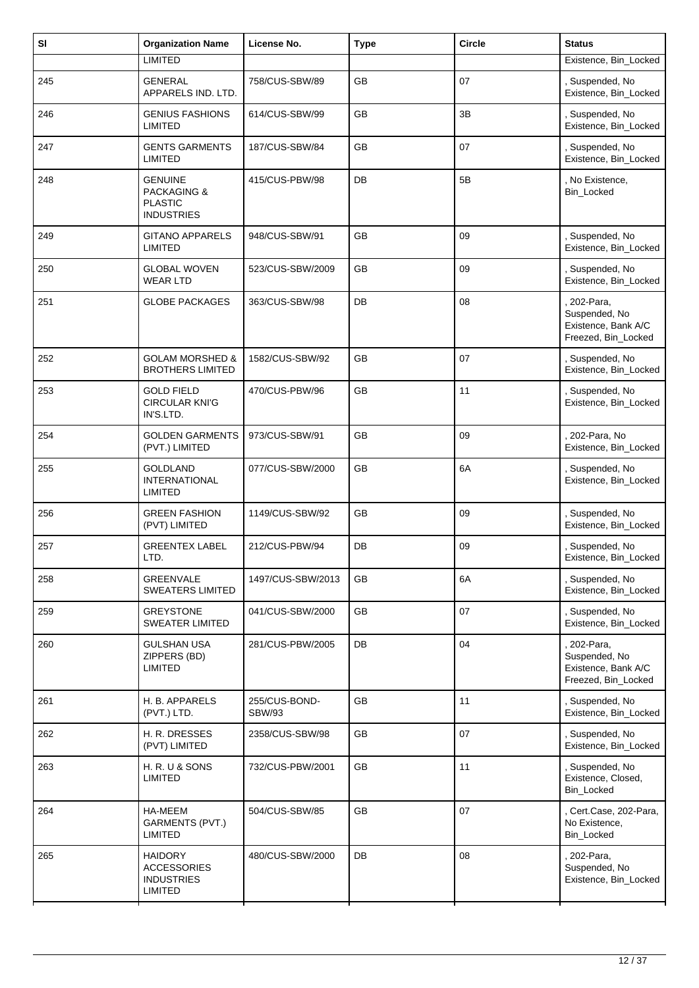| SI  | <b>Organization Name</b>                                                        | License No.                    | <b>Type</b> | <b>Circle</b> | <b>Status</b>                                                              |
|-----|---------------------------------------------------------------------------------|--------------------------------|-------------|---------------|----------------------------------------------------------------------------|
|     | <b>LIMITED</b>                                                                  |                                |             |               | Existence, Bin_Locked                                                      |
| 245 | <b>GENERAL</b><br>APPARELS IND. LTD.                                            | 758/CUS-SBW/89                 | <b>GB</b>   | 07            | Suspended, No<br>Existence, Bin_Locked                                     |
| 246 | <b>GENIUS FASHIONS</b><br>LIMITED                                               | 614/CUS-SBW/99                 | GB          | 3B            | , Suspended, No<br>Existence, Bin_Locked                                   |
| 247 | <b>GENTS GARMENTS</b><br>LIMITED                                                | 187/CUS-SBW/84                 | <b>GB</b>   | 07            | , Suspended, No<br>Existence, Bin_Locked                                   |
| 248 | <b>GENUINE</b><br><b>PACKAGING &amp;</b><br><b>PLASTIC</b><br><b>INDUSTRIES</b> | 415/CUS-PBW/98                 | DB          | 5B            | No Existence,<br>Bin_Locked                                                |
| 249 | <b>GITANO APPARELS</b><br><b>LIMITED</b>                                        | 948/CUS-SBW/91                 | <b>GB</b>   | 09            | Suspended, No<br>Existence, Bin_Locked                                     |
| 250 | <b>GLOBAL WOVEN</b><br><b>WEAR LTD</b>                                          | 523/CUS-SBW/2009               | GB          | 09            | , Suspended, No<br>Existence, Bin_Locked                                   |
| 251 | <b>GLOBE PACKAGES</b>                                                           | 363/CUS-SBW/98                 | <b>DB</b>   | 08            | , 202-Para,<br>Suspended, No<br>Existence, Bank A/C<br>Freezed, Bin_Locked |
| 252 | <b>GOLAM MORSHED &amp;</b><br><b>BROTHERS LIMITED</b>                           | 1582/CUS-SBW/92                | <b>GB</b>   | 07            | , Suspended, No<br>Existence, Bin_Locked                                   |
| 253 | <b>GOLD FIELD</b><br><b>CIRCULAR KNI'G</b><br>IN'S.LTD.                         | 470/CUS-PBW/96                 | GB          | 11            | Suspended, No<br>Existence, Bin_Locked                                     |
| 254 | <b>GOLDEN GARMENTS</b><br>(PVT.) LIMITED                                        | 973/CUS-SBW/91                 | <b>GB</b>   | 09            | 202-Para, No<br>Existence, Bin_Locked                                      |
| 255 | <b>GOLDLAND</b><br><b>INTERNATIONAL</b><br><b>LIMITED</b>                       | 077/CUS-SBW/2000               | GB          | 6A            | Suspended, No<br>Existence, Bin_Locked                                     |
| 256 | <b>GREEN FASHION</b><br>(PVT) LIMITED                                           | 1149/CUS-SBW/92                | GB          | 09            | , Suspended, No<br>Existence, Bin_Locked                                   |
| 257 | <b>GREENTEX LABEL</b><br>LTD.                                                   | 212/CUS-PBW/94                 | DB          | 09            | , Suspended, No<br>Existence, Bin_Locked                                   |
| 258 | <b>GREENVALE</b><br><b>SWEATERS LIMITED</b>                                     | 1497/CUS-SBW/2013              | GB          | 6A            | , Suspended, No<br>Existence, Bin_Locked                                   |
| 259 | <b>GREYSTONE</b><br><b>SWEATER LIMITED</b>                                      | 041/CUS-SBW/2000               | <b>GB</b>   | 07            | , Suspended, No<br>Existence, Bin_Locked                                   |
| 260 | <b>GULSHAN USA</b><br>ZIPPERS (BD)<br>LIMITED                                   | 281/CUS-PBW/2005               | DB          | 04            | 202-Para,<br>Suspended, No<br>Existence, Bank A/C<br>Freezed, Bin_Locked   |
| 261 | H. B. APPARELS<br>(PVT.) LTD.                                                   | 255/CUS-BOND-<br><b>SBW/93</b> | <b>GB</b>   | 11            | , Suspended, No<br>Existence, Bin_Locked                                   |
| 262 | H. R. DRESSES<br>(PVT) LIMITED                                                  | 2358/CUS-SBW/98                | GB          | 07            | , Suspended, No<br>Existence, Bin_Locked                                   |
| 263 | H. R. U & SONS<br>LIMITED                                                       | 732/CUS-PBW/2001               | GB          | 11            | Suspended, No<br>Existence, Closed,<br>Bin Locked                          |
| 264 | HA-MEEM<br>GARMENTS (PVT.)<br>LIMITED                                           | 504/CUS-SBW/85                 | GB          | 07            | , Cert.Case, 202-Para,<br>No Existence,<br>Bin_Locked                      |
| 265 | <b>HAIDORY</b><br><b>ACCESSORIES</b><br><b>INDUSTRIES</b><br><b>LIMITED</b>     | 480/CUS-SBW/2000               | DB          | 08            | , 202-Para,<br>Suspended, No<br>Existence, Bin_Locked                      |
|     |                                                                                 |                                |             |               |                                                                            |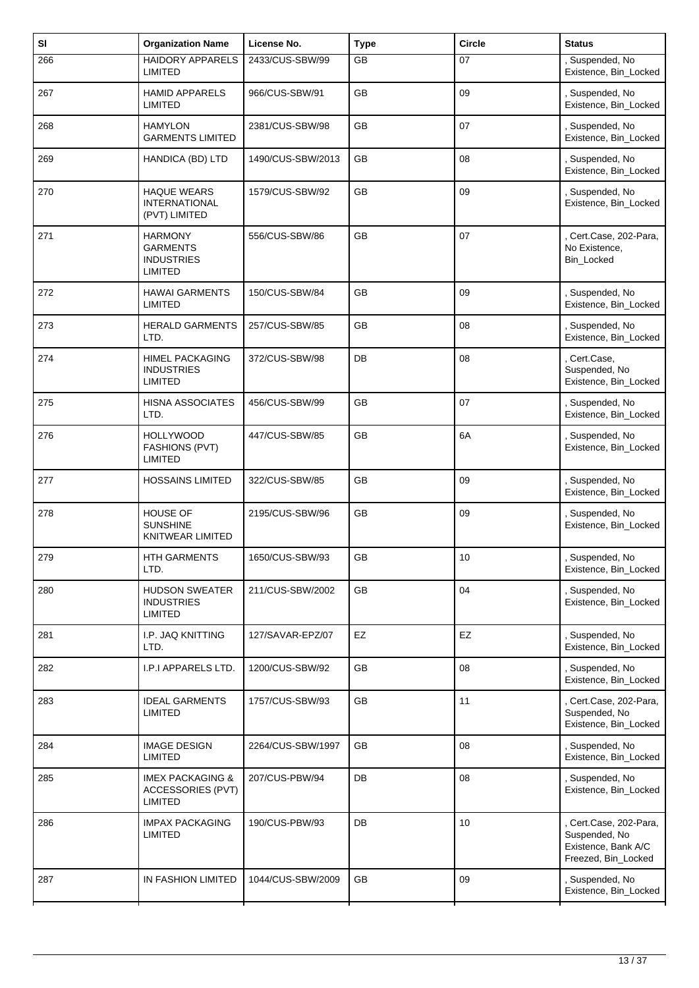| SI  | <b>Organization Name</b>                                           | License No.       | <b>Type</b> | <b>Circle</b> | <b>Status</b>                                                                       |
|-----|--------------------------------------------------------------------|-------------------|-------------|---------------|-------------------------------------------------------------------------------------|
| 266 | <b>HAIDORY APPARELS</b><br>LIMITED                                 | 2433/CUS-SBW/99   | GB          | 07            | , Suspended, No<br>Existence, Bin_Locked                                            |
| 267 | <b>HAMID APPARELS</b><br>LIMITED                                   | 966/CUS-SBW/91    | GB          | 09            | , Suspended, No<br>Existence, Bin_Locked                                            |
| 268 | <b>HAMYLON</b><br><b>GARMENTS LIMITED</b>                          | 2381/CUS-SBW/98   | GB          | 07            | , Suspended, No<br>Existence, Bin_Locked                                            |
| 269 | HANDICA (BD) LTD                                                   | 1490/CUS-SBW/2013 | GB          | 08            | Suspended, No<br>Existence, Bin_Locked                                              |
| 270 | <b>HAQUE WEARS</b><br><b>INTERNATIONAL</b><br>(PVT) LIMITED        | 1579/CUS-SBW/92   | <b>GB</b>   | 09            | , Suspended, No<br>Existence, Bin Locked                                            |
| 271 | <b>HARMONY</b><br><b>GARMENTS</b><br><b>INDUSTRIES</b><br>LIMITED  | 556/CUS-SBW/86    | GB          | 07            | Cert.Case, 202-Para,<br>No Existence,<br>Bin_Locked                                 |
| 272 | <b>HAWAI GARMENTS</b><br><b>LIMITED</b>                            | 150/CUS-SBW/84    | GB          | 09            | Suspended, No<br>Existence, Bin Locked                                              |
| 273 | <b>HERALD GARMENTS</b><br>LTD.                                     | 257/CUS-SBW/85    | <b>GB</b>   | 08            | , Suspended, No<br>Existence, Bin_Locked                                            |
| 274 | <b>HIMEL PACKAGING</b><br><b>INDUSTRIES</b><br><b>LIMITED</b>      | 372/CUS-SBW/98    | DB          | 08            | , Cert.Case,<br>Suspended, No<br>Existence, Bin_Locked                              |
| 275 | <b>HISNA ASSOCIATES</b><br>LTD.                                    | 456/CUS-SBW/99    | GB          | 07            | , Suspended, No<br>Existence, Bin_Locked                                            |
| 276 | HOLLYWOOD<br><b>FASHIONS (PVT)</b><br><b>LIMITED</b>               | 447/CUS-SBW/85    | GB          | 6A            | , Suspended, No<br>Existence, Bin_Locked                                            |
| 277 | <b>HOSSAINS LIMITED</b>                                            | 322/CUS-SBW/85    | GB          | 09            | , Suspended, No<br>Existence, Bin_Locked                                            |
| 278 | <b>HOUSE OF</b><br><b>SUNSHINE</b><br>KNITWEAR LIMITED             | 2195/CUS-SBW/96   | GB          | 09            | , Suspended, No<br>Existence, Bin_Locked                                            |
| 279 | HTH GARMENTS<br>LTD.                                               | 1650/CUS-SBW/93   | GB          | 10            | Suspended, No.<br>Existence, Bin_Locked                                             |
| 280 | <b>HUDSON SWEATER</b><br><b>INDUSTRIES</b><br><b>LIMITED</b>       | 211/CUS-SBW/2002  | <b>GB</b>   | 04            | , Suspended, No<br>Existence, Bin_Locked                                            |
| 281 | <b>I.P. JAQ KNITTING</b><br>LTD.                                   | 127/SAVAR-EPZ/07  | EZ          | EZ            | , Suspended, No<br>Existence, Bin_Locked                                            |
| 282 | I.P.I APPARELS LTD.                                                | 1200/CUS-SBW/92   | GB          | 08            | , Suspended, No<br>Existence, Bin_Locked                                            |
| 283 | <b>IDEAL GARMENTS</b><br><b>LIMITED</b>                            | 1757/CUS-SBW/93   | GB          | 11            | Cert.Case, 202-Para,<br>Suspended, No<br>Existence, Bin_Locked                      |
| 284 | <b>IMAGE DESIGN</b><br>LIMITED                                     | 2264/CUS-SBW/1997 | <b>GB</b>   | 08            | , Suspended, No<br>Existence, Bin_Locked                                            |
| 285 | <b>IMEX PACKAGING &amp;</b><br>ACCESSORIES (PVT)<br><b>LIMITED</b> | 207/CUS-PBW/94    | DB          | 08            | , Suspended, No<br>Existence, Bin_Locked                                            |
| 286 | <b>IMPAX PACKAGING</b><br>LIMITED                                  | 190/CUS-PBW/93    | DB          | 10            | Cert.Case, 202-Para,<br>Suspended, No<br>Existence, Bank A/C<br>Freezed, Bin_Locked |
| 287 | IN FASHION LIMITED                                                 | 1044/CUS-SBW/2009 | GB          | 09            | , Suspended, No<br>Existence, Bin_Locked                                            |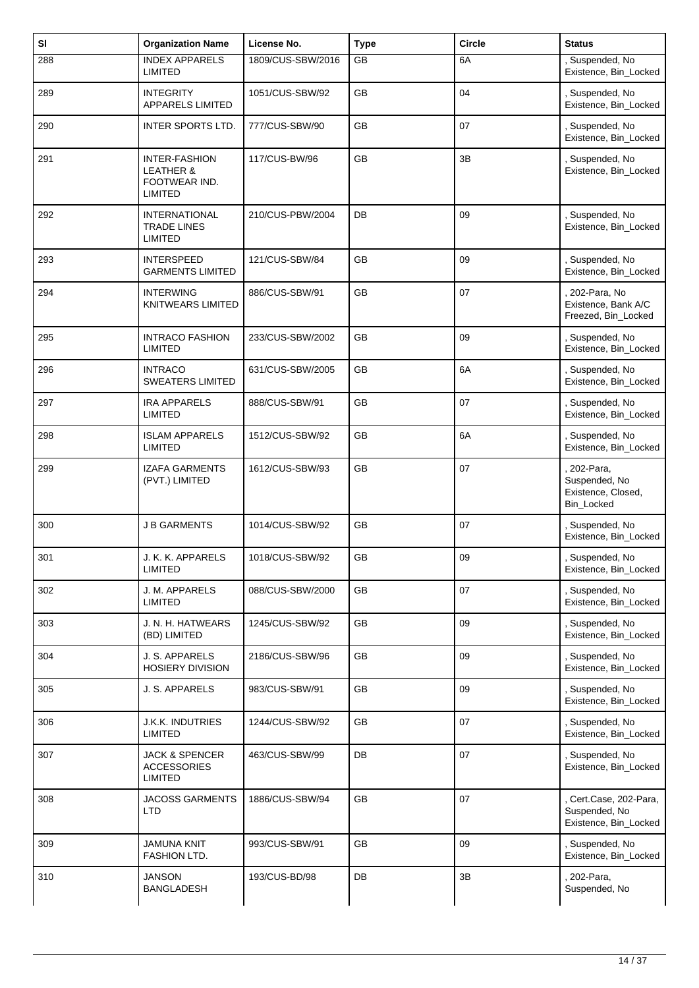| SI  | <b>Organization Name</b>                                                        | License No.       | <b>Type</b> | <b>Circle</b> | <b>Status</b>                                                  |
|-----|---------------------------------------------------------------------------------|-------------------|-------------|---------------|----------------------------------------------------------------|
| 288 | <b>INDEX APPARELS</b><br><b>LIMITED</b>                                         | 1809/CUS-SBW/2016 | GB          | 6A            | Suspended, No<br>Existence, Bin_Locked                         |
| 289 | <b>INTEGRITY</b><br><b>APPARELS LIMITED</b>                                     | 1051/CUS-SBW/92   | <b>GB</b>   | 04            | Suspended, No<br>Existence, Bin_Locked                         |
| 290 | INTER SPORTS LTD.                                                               | 777/CUS-SBW/90    | <b>GB</b>   | 07            | , Suspended, No<br>Existence, Bin_Locked                       |
| 291 | <b>INTER-FASHION</b><br><b>LEATHER &amp;</b><br>FOOTWEAR IND.<br><b>LIMITED</b> | 117/CUS-BW/96     | GB          | 3B            | Suspended, No<br>Existence, Bin_Locked                         |
| 292 | <b>INTERNATIONAL</b><br><b>TRADE LINES</b><br><b>LIMITED</b>                    | 210/CUS-PBW/2004  | DB          | 09            | Suspended, No<br>Existence, Bin_Locked                         |
| 293 | <b>INTERSPEED</b><br><b>GARMENTS LIMITED</b>                                    | 121/CUS-SBW/84    | <b>GB</b>   | 09            | , Suspended, No<br>Existence, Bin_Locked                       |
| 294 | <b>INTERWING</b><br><b>KNITWEARS LIMITED</b>                                    | 886/CUS-SBW/91    | <b>GB</b>   | 07            | 202-Para, No<br>Existence, Bank A/C<br>Freezed, Bin_Locked     |
| 295 | <b>INTRACO FASHION</b><br><b>LIMITED</b>                                        | 233/CUS-SBW/2002  | <b>GB</b>   | 09            | , Suspended, No<br>Existence, Bin_Locked                       |
| 296 | <b>INTRACO</b><br><b>SWEATERS LIMITED</b>                                       | 631/CUS-SBW/2005  | GB          | 6A            | Suspended, No<br>Existence, Bin_Locked                         |
| 297 | <b>IRA APPARELS</b><br><b>LIMITED</b>                                           | 888/CUS-SBW/91    | GB          | 07            | Suspended, No<br>Existence, Bin_Locked                         |
| 298 | <b>ISLAM APPARELS</b><br><b>LIMITED</b>                                         | 1512/CUS-SBW/92   | <b>GB</b>   | 6A            | , Suspended, No<br>Existence, Bin_Locked                       |
| 299 | <b>IZAFA GARMENTS</b><br>(PVT.) LIMITED                                         | 1612/CUS-SBW/93   | GB          | 07            | 202-Para,<br>Suspended, No<br>Existence, Closed,<br>Bin_Locked |
| 300 | <b>J B GARMENTS</b>                                                             | 1014/CUS-SBW/92   | GB          | 07            | Suspended, No<br>Existence, Bin_Locked                         |
| 301 | J. K. K. APPARELS<br><b>LIMITED</b>                                             | 1018/CUS-SBW/92   | GB          | 09            | Suspended, No<br>Existence, Bin_Locked                         |
| 302 | J. M. APPARELS<br>LIMITED                                                       | 088/CUS-SBW/2000  | <b>GB</b>   | 07            | , Suspended, No<br>Existence, Bin_Locked                       |
| 303 | J. N. H. HATWEARS<br>(BD) LIMITED                                               | 1245/CUS-SBW/92   | GB          | 09            | Suspended, No<br>Existence, Bin_Locked                         |
| 304 | J. S. APPARELS<br><b>HOSIERY DIVISION</b>                                       | 2186/CUS-SBW/96   | GB          | 09            | Suspended, No<br>Existence, Bin_Locked                         |
| 305 | J. S. APPARELS                                                                  | 983/CUS-SBW/91    | GB          | 09            | , Suspended, No<br>Existence, Bin_Locked                       |
| 306 | J.K.K. INDUTRIES<br><b>LIMITED</b>                                              | 1244/CUS-SBW/92   | GB          | 07            | Suspended, No<br>Existence, Bin_Locked                         |
| 307 | <b>JACK &amp; SPENCER</b><br><b>ACCESSORIES</b><br>LIMITED                      | 463/CUS-SBW/99    | DB          | 07            | Suspended, No<br>Existence, Bin_Locked                         |
| 308 | <b>JACOSS GARMENTS</b><br><b>LTD</b>                                            | 1886/CUS-SBW/94   | GB          | 07            | Cert.Case, 202-Para,<br>Suspended, No<br>Existence, Bin_Locked |
| 309 | <b>JAMUNA KNIT</b><br>FASHION LTD.                                              | 993/CUS-SBW/91    | <b>GB</b>   | 09            | , Suspended, No<br>Existence, Bin_Locked                       |
| 310 | <b>JANSON</b><br><b>BANGLADESH</b>                                              | 193/CUS-BD/98     | DB          | 3B            | 202-Para,<br>Suspended, No                                     |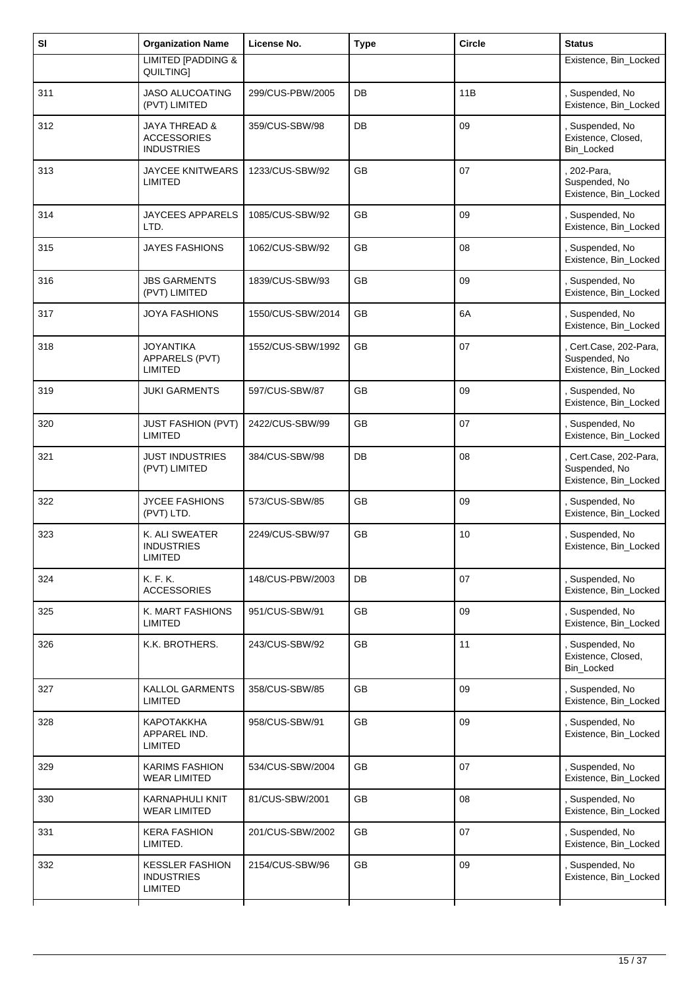| SI  | <b>Organization Name</b>                                            | License No.       | <b>Type</b> | <b>Circle</b> | <b>Status</b>                                                    |
|-----|---------------------------------------------------------------------|-------------------|-------------|---------------|------------------------------------------------------------------|
|     | <b>LIMITED [PADDING &amp;</b><br>QUILTING]                          |                   |             |               | Existence, Bin_Locked                                            |
| 311 | <b>JASO ALUCOATING</b><br>(PVT) LIMITED                             | 299/CUS-PBW/2005  | DB          | 11B           | , Suspended, No<br>Existence, Bin_Locked                         |
| 312 | <b>JAYA THREAD &amp;</b><br><b>ACCESSORIES</b><br><b>INDUSTRIES</b> | 359/CUS-SBW/98    | DB          | 09            | , Suspended, No<br>Existence, Closed,<br>Bin_Locked              |
| 313 | JAYCEE KNITWEARS<br>LIMITED                                         | 1233/CUS-SBW/92   | <b>GB</b>   | 07            | 202-Para,<br>Suspended, No<br>Existence, Bin_Locked              |
| 314 | <b>JAYCEES APPARELS</b><br>LTD.                                     | 1085/CUS-SBW/92   | GB          | 09            | Suspended, No<br>Existence, Bin_Locked                           |
| 315 | <b>JAYES FASHIONS</b>                                               | 1062/CUS-SBW/92   | <b>GB</b>   | 08            | , Suspended, No<br>Existence, Bin_Locked                         |
| 316 | <b>JBS GARMENTS</b><br>(PVT) LIMITED                                | 1839/CUS-SBW/93   | GB          | 09            | , Suspended, No<br>Existence, Bin_Locked                         |
| 317 | <b>JOYA FASHIONS</b>                                                | 1550/CUS-SBW/2014 | GB          | 6A            | Suspended, No<br>Existence, Bin_Locked                           |
| 318 | <b>JOYANTIKA</b><br>APPARELS (PVT)<br><b>LIMITED</b>                | 1552/CUS-SBW/1992 | <b>GB</b>   | 07            | , Cert.Case, 202-Para,<br>Suspended, No<br>Existence, Bin_Locked |
| 319 | <b>JUKI GARMENTS</b>                                                | 597/CUS-SBW/87    | GB          | 09            | Suspended, No<br>Existence, Bin_Locked                           |
| 320 | <b>JUST FASHION (PVT)</b><br>LIMITED                                | 2422/CUS-SBW/99   | <b>GB</b>   | 07            | , Suspended, No<br>Existence, Bin_Locked                         |
| 321 | <b>JUST INDUSTRIES</b><br>(PVT) LIMITED                             | 384/CUS-SBW/98    | DB          | 08            | , Cert.Case, 202-Para,<br>Suspended, No<br>Existence, Bin_Locked |
| 322 | <b>JYCEE FASHIONS</b><br>(PVT) LTD.                                 | 573/CUS-SBW/85    | <b>GB</b>   | 09            | , Suspended, No<br>Existence, Bin_Locked                         |
| 323 | K. ALI SWEATER<br><b>INDUSTRIES</b><br>LIMITED                      | 2249/CUS-SBW/97   | GB          | 10            | , Suspended, No<br>Existence, Bin_Locked                         |
| 324 | K. F. K.<br><b>ACCESSORIES</b>                                      | 148/CUS-PBW/2003  | DB          | 07            | , Suspended, No<br>Existence, Bin_Locked                         |
| 325 | K. MART FASHIONS<br><b>LIMITED</b>                                  | 951/CUS-SBW/91    | GB          | 09            | , Suspended, No<br>Existence, Bin_Locked                         |
| 326 | K.K. BROTHERS.                                                      | 243/CUS-SBW/92    | GB          | 11            | , Suspended, No<br>Existence, Closed,<br>Bin_Locked              |
| 327 | <b>KALLOL GARMENTS</b><br><b>LIMITED</b>                            | 358/CUS-SBW/85    | GB          | 09            | , Suspended, No<br>Existence, Bin_Locked                         |
| 328 | <b>КАРОТАККНА</b><br>APPAREL IND.<br>LIMITED                        | 958/CUS-SBW/91    | GB          | 09            | Suspended, No<br>Existence, Bin_Locked                           |
| 329 | <b>KARIMS FASHION</b><br><b>WEAR LIMITED</b>                        | 534/CUS-SBW/2004  | <b>GB</b>   | 07            | , Suspended, No<br>Existence, Bin_Locked                         |
| 330 | KARNAPHULI KNIT<br><b>WEAR LIMITED</b>                              | 81/CUS-SBW/2001   | GB          | 08            | , Suspended, No<br>Existence, Bin_Locked                         |
| 331 | <b>KERA FASHION</b><br>LIMITED.                                     | 201/CUS-SBW/2002  | <b>GB</b>   | 07            | , Suspended, No<br>Existence, Bin_Locked                         |
| 332 | <b>KESSLER FASHION</b><br><b>INDUSTRIES</b><br><b>LIMITED</b>       | 2154/CUS-SBW/96   | GB          | 09            | , Suspended, No<br>Existence, Bin_Locked                         |
|     |                                                                     |                   |             |               |                                                                  |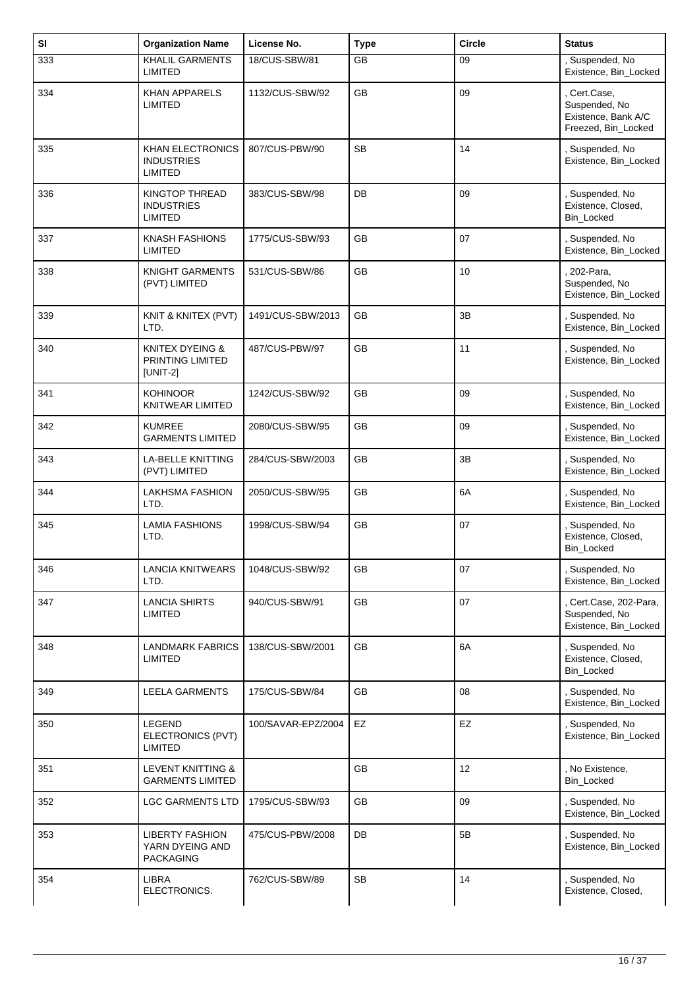| SI  | <b>Organization Name</b>                                      | License No.        | <b>Type</b> | <b>Circle</b> | <b>Status</b>                                                               |
|-----|---------------------------------------------------------------|--------------------|-------------|---------------|-----------------------------------------------------------------------------|
| 333 | <b>KHALIL GARMENTS</b><br><b>LIMITED</b>                      | 18/CUS-SBW/81      | GB          | 09            | , Suspended, No<br>Existence, Bin_Locked                                    |
| 334 | <b>KHAN APPARELS</b><br>LIMITED                               | 1132/CUS-SBW/92    | <b>GB</b>   | 09            | , Cert.Case,<br>Suspended, No<br>Existence, Bank A/C<br>Freezed, Bin_Locked |
| 335 | <b>KHAN ELECTRONICS</b><br><b>INDUSTRIES</b><br>LIMITED       | 807/CUS-PBW/90     | <b>SB</b>   | 14            | , Suspended, No<br>Existence, Bin_Locked                                    |
| 336 | KINGTOP THREAD<br><b>INDUSTRIES</b><br>LIMITED                | 383/CUS-SBW/98     | DB          | 09            | , Suspended, No<br>Existence, Closed,<br>Bin_Locked                         |
| 337 | <b>KNASH FASHIONS</b><br>LIMITED                              | 1775/CUS-SBW/93    | GB          | 07            | , Suspended, No<br>Existence, Bin_Locked                                    |
| 338 | <b>KNIGHT GARMENTS</b><br>(PVT) LIMITED                       | 531/CUS-SBW/86     | GB          | 10            | , 202-Para,<br>Suspended, No<br>Existence, Bin_Locked                       |
| 339 | KNIT & KNITEX (PVT)<br>LTD.                                   | 1491/CUS-SBW/2013  | GB          | 3B            | , Suspended, No<br>Existence, Bin_Locked                                    |
| 340 | <b>KNITEX DYEING &amp;</b><br>PRINTING LIMITED<br>[UNIT-2]    | 487/CUS-PBW/97     | GB          | 11            | , Suspended, No<br>Existence, Bin_Locked                                    |
| 341 | <b>KOHINOOR</b><br>KNITWEAR LIMITED                           | 1242/CUS-SBW/92    | GB          | 09            | , Suspended, No<br>Existence, Bin_Locked                                    |
| 342 | <b>KUMREE</b><br><b>GARMENTS LIMITED</b>                      | 2080/CUS-SBW/95    | GB          | 09            | , Suspended, No<br>Existence, Bin_Locked                                    |
| 343 | <b>LA-BELLE KNITTING</b><br>(PVT) LIMITED                     | 284/CUS-SBW/2003   | <b>GB</b>   | 3B            | , Suspended, No<br>Existence, Bin_Locked                                    |
| 344 | <b>LAKHSMA FASHION</b><br>LTD.                                | 2050/CUS-SBW/95    | GB          | 6A            | , Suspended, No<br>Existence, Bin_Locked                                    |
| 345 | <b>LAMIA FASHIONS</b><br>LTD.                                 | 1998/CUS-SBW/94    | GB          | 07            | , Suspended, No<br>Existence, Closed,<br>Bin_Locked                         |
| 346 | <b>LANCIA KNITWEARS</b><br>LTD.                               | 1048/CUS-SBW/92    | GB          | 07            | , Suspended, No<br>Existence, Bin_Locked                                    |
| 347 | <b>LANCIA SHIRTS</b><br><b>LIMITED</b>                        | 940/CUS-SBW/91     | GB          | 07            | , Cert.Case, 202-Para,<br>Suspended, No<br>Existence, Bin_Locked            |
| 348 | <b>LANDMARK FABRICS</b><br>LIMITED                            | 138/CUS-SBW/2001   | GB          | 6A            | , Suspended, No<br>Existence, Closed,<br>Bin_Locked                         |
| 349 | <b>LEELA GARMENTS</b>                                         | 175/CUS-SBW/84     | GB          | 08            | , Suspended, No<br>Existence, Bin_Locked                                    |
| 350 | LEGEND<br>ELECTRONICS (PVT)<br>LIMITED                        | 100/SAVAR-EPZ/2004 | EZ          | EZ            | , Suspended, No<br>Existence, Bin_Locked                                    |
| 351 | <b>LEVENT KNITTING &amp;</b><br><b>GARMENTS LIMITED</b>       |                    | GB          | 12            | , No Existence,<br>Bin_Locked                                               |
| 352 | <b>LGC GARMENTS LTD</b>                                       | 1795/CUS-SBW/93    | GB          | 09            | , Suspended, No<br>Existence, Bin_Locked                                    |
| 353 | <b>LIBERTY FASHION</b><br>YARN DYEING AND<br><b>PACKAGING</b> | 475/CUS-PBW/2008   | DB          | 5B            | , Suspended, No<br>Existence, Bin_Locked                                    |
| 354 | LIBRA<br>ELECTRONICS.                                         | 762/CUS-SBW/89     | <b>SB</b>   | 14            | , Suspended, No<br>Existence, Closed,                                       |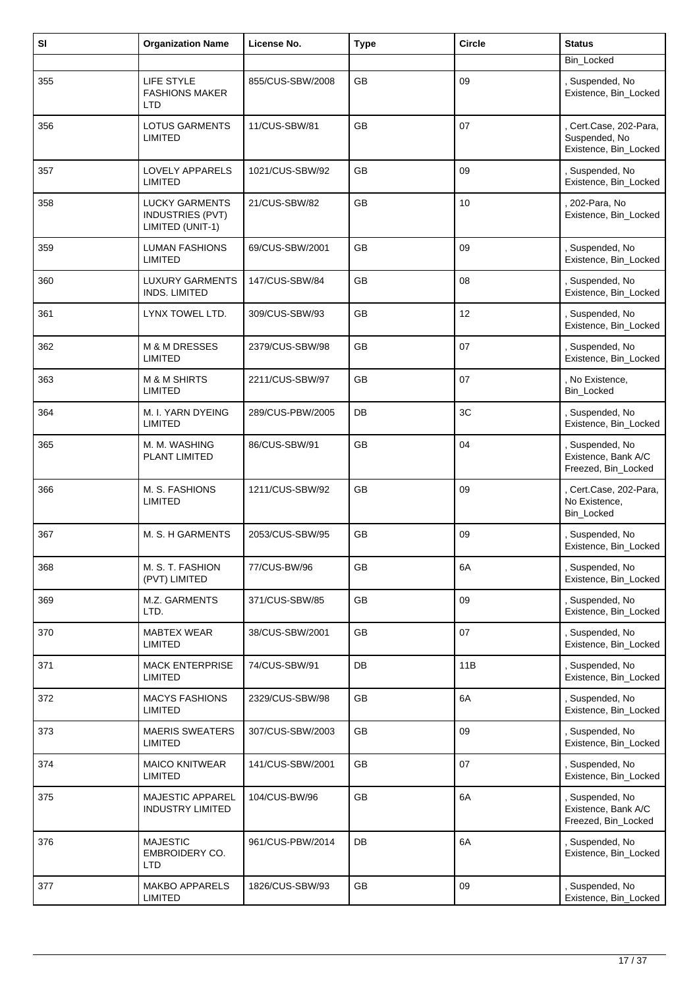| SI  | <b>Organization Name</b>                                      | License No.      | <b>Type</b> | <b>Circle</b> | <b>Status</b>                                                  |
|-----|---------------------------------------------------------------|------------------|-------------|---------------|----------------------------------------------------------------|
|     |                                                               |                  |             |               | Bin_Locked                                                     |
| 355 | <b>LIFE STYLE</b><br><b>FASHIONS MAKER</b><br>LTD             | 855/CUS-SBW/2008 | <b>GB</b>   | 09            | Suspended, No<br>Existence, Bin_Locked                         |
| 356 | <b>LOTUS GARMENTS</b><br><b>LIMITED</b>                       | 11/CUS-SBW/81    | <b>GB</b>   | 07            | Cert.Case, 202-Para,<br>Suspended, No<br>Existence, Bin_Locked |
| 357 | LOVELY APPARELS<br><b>LIMITED</b>                             | 1021/CUS-SBW/92  | GB          | 09            | , Suspended, No<br>Existence, Bin_Locked                       |
| 358 | <b>LUCKY GARMENTS</b><br>INDUSTRIES (PVT)<br>LIMITED (UNIT-1) | 21/CUS-SBW/82    | <b>GB</b>   | 10            | 202-Para, No<br>Existence, Bin_Locked                          |
| 359 | <b>LUMAN FASHIONS</b><br><b>LIMITED</b>                       | 69/CUS-SBW/2001  | GB          | 09            | , Suspended, No<br>Existence, Bin_Locked                       |
| 360 | <b>LUXURY GARMENTS</b><br><b>INDS. LIMITED</b>                | 147/CUS-SBW/84   | GB          | 08            | , Suspended, No<br>Existence, Bin_Locked                       |
| 361 | LYNX TOWEL LTD.                                               | 309/CUS-SBW/93   | <b>GB</b>   | 12            | Suspended, No<br>Existence, Bin_Locked                         |
| 362 | <b>M &amp; M DRESSES</b><br><b>LIMITED</b>                    | 2379/CUS-SBW/98  | GB          | 07            | , Suspended, No<br>Existence, Bin_Locked                       |
| 363 | <b>M &amp; M SHIRTS</b><br><b>LIMITED</b>                     | 2211/CUS-SBW/97  | GB          | 07            | , No Existence,<br>Bin_Locked                                  |
| 364 | M. I. YARN DYEING<br><b>LIMITED</b>                           | 289/CUS-PBW/2005 | DB          | 3C            | , Suspended, No<br>Existence, Bin_Locked                       |
| 365 | M. M. WASHING<br>PLANT LIMITED                                | 86/CUS-SBW/91    | <b>GB</b>   | 04            | , Suspended, No<br>Existence, Bank A/C<br>Freezed, Bin_Locked  |
| 366 | M. S. FASHIONS<br><b>LIMITED</b>                              | 1211/CUS-SBW/92  | <b>GB</b>   | 09            | , Cert.Case, 202-Para,<br>No Existence,<br>Bin_Locked          |
| 367 | M. S. H GARMENTS                                              | 2053/CUS-SBW/95  | GB          | 09            | , Suspended, No<br>Existence, Bin_Locked                       |
| 368 | M. S. T. FASHION<br>(PVT) LIMITED                             | 77/CUS-BW/96     | GB          | 6A            | Suspended, No<br>Existence, Bin_Locked                         |
| 369 | M.Z. GARMENTS<br>LTD.                                         | 371/CUS-SBW/85   | GB          | 09            | , Suspended, No<br>Existence, Bin_Locked                       |
| 370 | <b>MABTEX WEAR</b><br>LIMITED                                 | 38/CUS-SBW/2001  | GB          | 07            | , Suspended, No<br>Existence, Bin_Locked                       |
| 371 | <b>MACK ENTERPRISE</b><br><b>LIMITED</b>                      | 74/CUS-SBW/91    | DB          | 11B           | Suspended, No<br>Existence, Bin_Locked                         |
| 372 | <b>MACYS FASHIONS</b><br><b>LIMITED</b>                       | 2329/CUS-SBW/98  | GB          | 6A            | , Suspended, No<br>Existence, Bin_Locked                       |
| 373 | <b>MAERIS SWEATERS</b><br><b>LIMITED</b>                      | 307/CUS-SBW/2003 | GB          | 09            | , Suspended, No<br>Existence, Bin_Locked                       |
| 374 | <b>MAICO KNITWEAR</b><br><b>LIMITED</b>                       | 141/CUS-SBW/2001 | GB          | 07            | Suspended, No<br>Existence, Bin_Locked                         |
| 375 | <b>MAJESTIC APPAREL</b><br><b>INDUSTRY LIMITED</b>            | 104/CUS-BW/96    | GB          | 6A            | , Suspended, No<br>Existence, Bank A/C<br>Freezed, Bin_Locked  |
| 376 | <b>MAJESTIC</b><br>EMBROIDERY CO.<br>LTD                      | 961/CUS-PBW/2014 | DB          | 6A            | , Suspended, No<br>Existence, Bin_Locked                       |
| 377 | <b>MAKBO APPARELS</b><br><b>LIMITED</b>                       | 1826/CUS-SBW/93  | GB          | 09            | Suspended, No<br>Existence, Bin_Locked                         |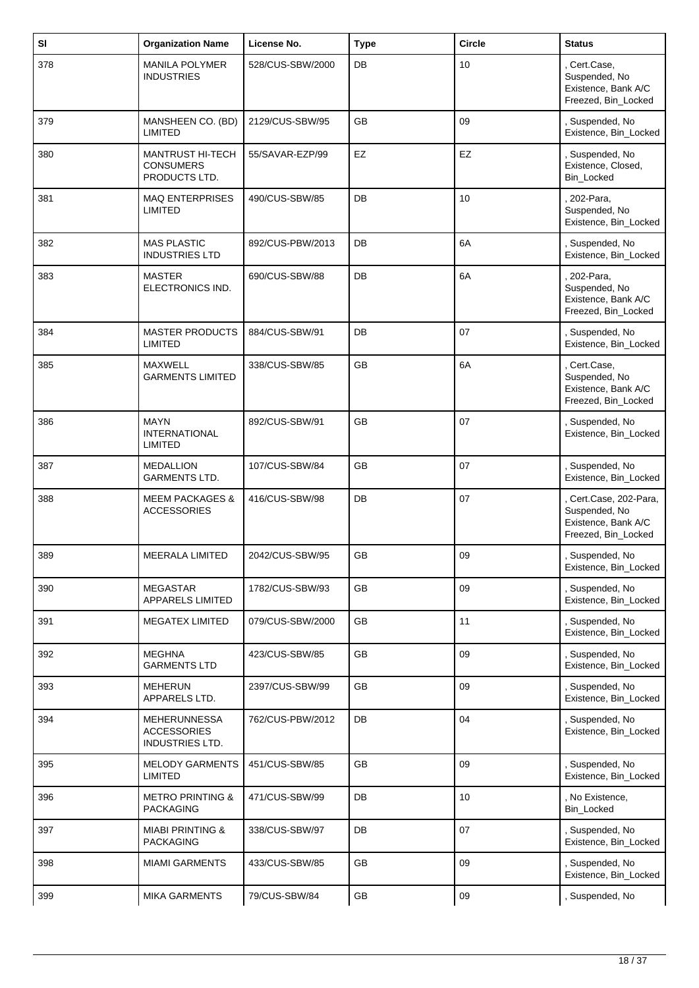| SI  | <b>Organization Name</b>                                            | License No.      | <b>Type</b> | <b>Circle</b>   | <b>Status</b>                                                                         |
|-----|---------------------------------------------------------------------|------------------|-------------|-----------------|---------------------------------------------------------------------------------------|
| 378 | <b>MANILA POLYMER</b><br><b>INDUSTRIES</b>                          | 528/CUS-SBW/2000 | DB          | 10              | , Cert.Case,<br>Suspended, No<br>Existence, Bank A/C<br>Freezed, Bin_Locked           |
| 379 | MANSHEEN CO. (BD)<br><b>LIMITED</b>                                 | 2129/CUS-SBW/95  | <b>GB</b>   | 09              | , Suspended, No<br>Existence, Bin_Locked                                              |
| 380 | <b>MANTRUST HI-TECH</b><br><b>CONSUMERS</b><br>PRODUCTS LTD.        | 55/SAVAR-EZP/99  | EZ          | EZ              | , Suspended, No<br>Existence, Closed,<br><b>Bin Locked</b>                            |
| 381 | <b>MAQ ENTERPRISES</b><br><b>LIMITED</b>                            | 490/CUS-SBW/85   | DB          | 10              | . 202-Para,<br>Suspended, No<br>Existence, Bin_Locked                                 |
| 382 | <b>MAS PLASTIC</b><br><b>INDUSTRIES LTD</b>                         | 892/CUS-PBW/2013 | DB          | 6A              | , Suspended, No<br>Existence, Bin_Locked                                              |
| 383 | <b>MASTER</b><br>ELECTRONICS IND.                                   | 690/CUS-SBW/88   | DB          | 6A              | . 202-Para,<br>Suspended, No<br>Existence, Bank A/C<br>Freezed, Bin_Locked            |
| 384 | <b>MASTER PRODUCTS</b><br><b>LIMITED</b>                            | 884/CUS-SBW/91   | DB          | 07              | , Suspended, No<br>Existence, Bin_Locked                                              |
| 385 | <b>MAXWELL</b><br><b>GARMENTS LIMITED</b>                           | 338/CUS-SBW/85   | <b>GB</b>   | 6A              | , Cert.Case,<br>Suspended, No<br>Existence, Bank A/C<br>Freezed, Bin_Locked           |
| 386 | <b>MAYN</b><br><b>INTERNATIONAL</b><br><b>LIMITED</b>               | 892/CUS-SBW/91   | <b>GB</b>   | 07              | , Suspended, No<br>Existence, Bin_Locked                                              |
| 387 | <b>MEDALLION</b><br><b>GARMENTS LTD.</b>                            | 107/CUS-SBW/84   | GB          | 07              | , Suspended, No<br>Existence, Bin_Locked                                              |
| 388 | <b>MEEM PACKAGES &amp;</b><br><b>ACCESSORIES</b>                    | 416/CUS-SBW/98   | DB          | 07              | , Cert.Case, 202-Para,<br>Suspended, No<br>Existence, Bank A/C<br>Freezed, Bin_Locked |
| 389 | <b>MEERALA LIMITED</b>                                              | 2042/CUS-SBW/95  | GB          | 09              | Suspended, No<br>Existence, Bin_Locked                                                |
| 390 | <b>MEGASTAR</b><br><b>APPARELS LIMITED</b>                          | 1782/CUS-SBW/93  | <b>GB</b>   | 09              | , Suspended, No<br>Existence, Bin_Locked                                              |
| 391 | <b>MEGATEX LIMITED</b>                                              | 079/CUS-SBW/2000 | <b>GB</b>   | 11              | , Suspended, No<br>Existence, Bin_Locked                                              |
| 392 | <b>MEGHNA</b><br><b>GARMENTS LTD</b>                                | 423/CUS-SBW/85   | GB          | 09              | , Suspended, No<br>Existence, Bin_Locked                                              |
| 393 | <b>MEHERUN</b><br>APPARELS LTD.                                     | 2397/CUS-SBW/99  | GB          | 09              | , Suspended, No<br>Existence, Bin_Locked                                              |
| 394 | <b>MEHERUNNESSA</b><br><b>ACCESSORIES</b><br><b>INDUSTRIES LTD.</b> | 762/CUS-PBW/2012 | DB          | 04              | , Suspended, No<br>Existence, Bin_Locked                                              |
| 395 | <b>MELODY GARMENTS</b><br><b>LIMITED</b>                            | 451/CUS-SBW/85   | <b>GB</b>   | 09              | , Suspended, No<br>Existence, Bin_Locked                                              |
| 396 | <b>METRO PRINTING &amp;</b><br><b>PACKAGING</b>                     | 471/CUS-SBW/99   | DB          | 10 <sup>1</sup> | , No Existence,<br>Bin_Locked                                                         |
| 397 | <b>MIABI PRINTING &amp;</b><br><b>PACKAGING</b>                     | 338/CUS-SBW/97   | DB          | 07              | , Suspended, No<br>Existence, Bin_Locked                                              |
| 398 | <b>MIAMI GARMENTS</b>                                               | 433/CUS-SBW/85   | GB          | 09              | , Suspended, No<br>Existence, Bin_Locked                                              |
| 399 | <b>MIKA GARMENTS</b>                                                | 79/CUS-SBW/84    | GB          | 09              | , Suspended, No                                                                       |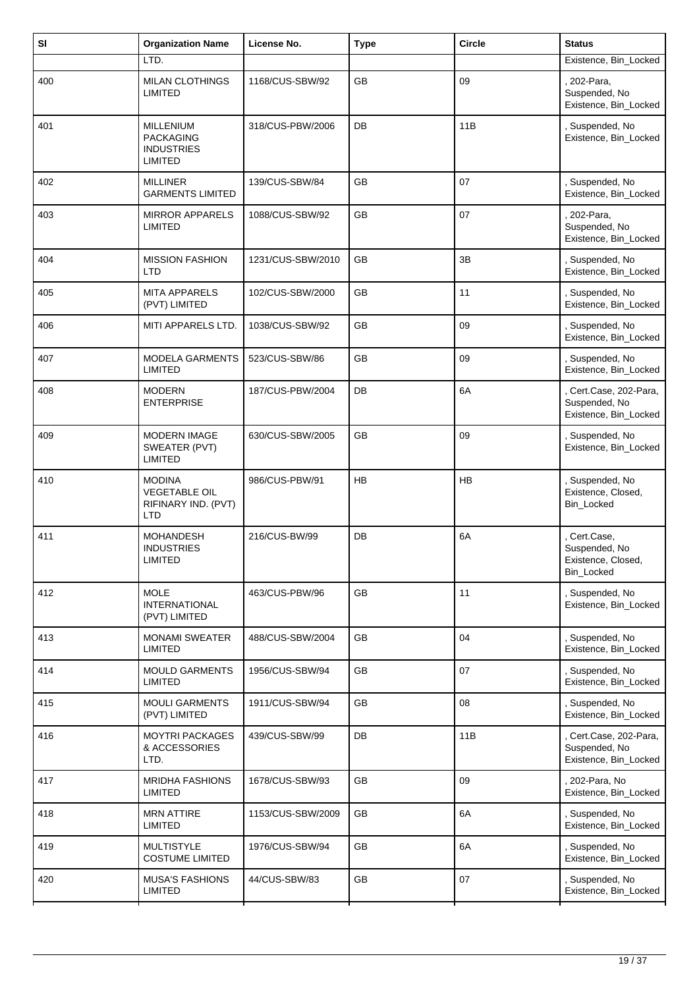| SI  | <b>Organization Name</b>                                                   | License No.       | <b>Type</b> | <b>Circle</b> | <b>Status</b>                                                   |
|-----|----------------------------------------------------------------------------|-------------------|-------------|---------------|-----------------------------------------------------------------|
|     | LTD.                                                                       |                   |             |               | Existence, Bin_Locked                                           |
| 400 | MILAN CLOTHINGS<br><b>LIMITED</b>                                          | 1168/CUS-SBW/92   | GB          | 09            | 202-Para,<br>Suspended, No<br>Existence, Bin_Locked             |
| 401 | <b>MILLENIUM</b><br><b>PACKAGING</b><br><b>INDUSTRIES</b><br>LIMITED       | 318/CUS-PBW/2006  | DB          | 11B           | , Suspended, No<br>Existence, Bin_Locked                        |
| 402 | <b>MILLINER</b><br><b>GARMENTS LIMITED</b>                                 | 139/CUS-SBW/84    | <b>GB</b>   | 07            | , Suspended, No<br>Existence, Bin_Locked                        |
| 403 | <b>MIRROR APPARELS</b><br><b>LIMITED</b>                                   | 1088/CUS-SBW/92   | GB          | 07            | 202-Para,<br>Suspended, No<br>Existence, Bin_Locked             |
| 404 | <b>MISSION FASHION</b><br>LTD                                              | 1231/CUS-SBW/2010 | <b>GB</b>   | 3B            | , Suspended, No<br>Existence, Bin_Locked                        |
| 405 | <b>MITA APPARELS</b><br>(PVT) LIMITED                                      | 102/CUS-SBW/2000  | GB          | 11            | Suspended, No<br>Existence, Bin_Locked                          |
| 406 | MITI APPARELS LTD.                                                         | 1038/CUS-SBW/92   | <b>GB</b>   | 09            | , Suspended, No<br>Existence, Bin_Locked                        |
| 407 | <b>MODELA GARMENTS</b><br>LIMITED                                          | 523/CUS-SBW/86    | <b>GB</b>   | 09            | , Suspended, No<br>Existence, Bin_Locked                        |
| 408 | <b>MODERN</b><br><b>ENTERPRISE</b>                                         | 187/CUS-PBW/2004  | DB          | 6A            | Cert.Case, 202-Para,<br>Suspended, No<br>Existence, Bin_Locked  |
| 409 | <b>MODERN IMAGE</b><br>SWEATER (PVT)<br><b>LIMITED</b>                     | 630/CUS-SBW/2005  | <b>GB</b>   | 09            | , Suspended, No<br>Existence, Bin_Locked                        |
| 410 | <b>MODINA</b><br><b>VEGETABLE OIL</b><br>RIFINARY IND. (PVT)<br><b>LTD</b> | 986/CUS-PBW/91    | <b>HB</b>   | <b>HB</b>     | , Suspended, No<br>Existence, Closed,<br>Bin_Locked             |
| 411 | <b>MOHANDESH</b><br><b>INDUSTRIES</b><br>LIMITED                           | 216/CUS-BW/99     | DB          | 6A            | Cert.Case,<br>Suspended, No<br>Existence, Closed,<br>Bin_Locked |
| 412 | <b>MOLE</b><br><b>INTERNATIONAL</b><br>(PVT) LIMITED                       | 463/CUS-PBW/96    | GB          | 11            | , Suspended, No<br>Existence, Bin_Locked                        |
| 413 | <b>MONAMI SWEATER</b><br><b>LIMITED</b>                                    | 488/CUS-SBW/2004  | GB          | 04            | Suspended, No<br>Existence, Bin_Locked                          |
| 414 | <b>MOULD GARMENTS</b><br><b>LIMITED</b>                                    | 1956/CUS-SBW/94   | GB          | 07            | , Suspended, No<br>Existence, Bin_Locked                        |
| 415 | <b>MOULI GARMENTS</b><br>(PVT) LIMITED                                     | 1911/CUS-SBW/94   | <b>GB</b>   | 08            | , Suspended, No<br>Existence, Bin_Locked                        |
| 416 | <b>MOYTRI PACKAGES</b><br>& ACCESSORIES<br>LTD.                            | 439/CUS-SBW/99    | DB          | 11B           | Cert.Case, 202-Para,<br>Suspended, No<br>Existence, Bin_Locked  |
| 417 | <b>MRIDHA FASHIONS</b><br>LIMITED                                          | 1678/CUS-SBW/93   | <b>GB</b>   | 09            | 202-Para, No<br>Existence, Bin_Locked                           |
| 418 | <b>MRN ATTIRE</b><br>LIMITED                                               | 1153/CUS-SBW/2009 | GB          | 6A            | Suspended, No<br>Existence, Bin_Locked                          |
| 419 | <b>MULTISTYLE</b><br><b>COSTUME LIMITED</b>                                | 1976/CUS-SBW/94   | GB          | 6A            | , Suspended, No<br>Existence, Bin_Locked                        |
| 420 | <b>MUSA'S FASHIONS</b><br>LIMITED                                          | 44/CUS-SBW/83     | GB          | 07            | Suspended, No<br>Existence, Bin_Locked                          |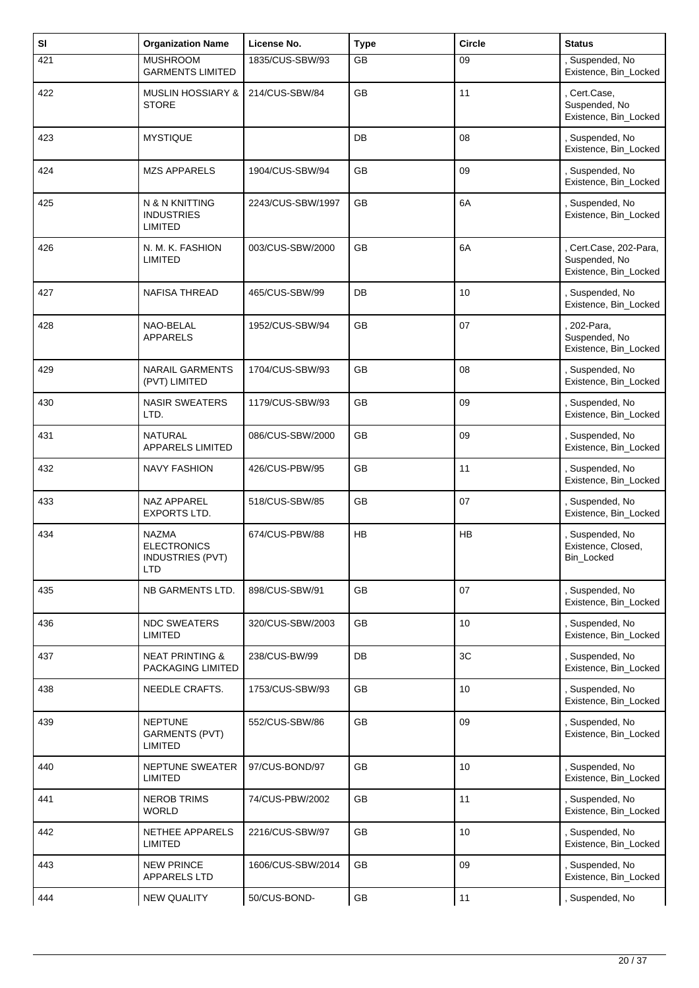| SI  | <b>Organization Name</b>                                                    | License No.       | <b>Type</b> | <b>Circle</b>   | <b>Status</b>                                                  |
|-----|-----------------------------------------------------------------------------|-------------------|-------------|-----------------|----------------------------------------------------------------|
| 421 | <b>MUSHROOM</b><br><b>GARMENTS LIMITED</b>                                  | 1835/CUS-SBW/93   | GB          | 09              | , Suspended, No<br>Existence, Bin_Locked                       |
| 422 | <b>MUSLIN HOSSIARY &amp;</b><br><b>STORE</b>                                | 214/CUS-SBW/84    | <b>GB</b>   | 11              | Cert.Case,<br>Suspended, No<br>Existence, Bin_Locked           |
| 423 | <b>MYSTIQUE</b>                                                             |                   | <b>DB</b>   | 08              | Suspended, No<br>Existence, Bin_Locked                         |
| 424 | <b>MZS APPARELS</b>                                                         | 1904/CUS-SBW/94   | <b>GB</b>   | 09              | , Suspended, No<br>Existence, Bin_Locked                       |
| 425 | N & N KNITTING<br><b>INDUSTRIES</b><br><b>LIMITED</b>                       | 2243/CUS-SBW/1997 | <b>GB</b>   | 6A              | , Suspended, No<br>Existence, Bin_Locked                       |
| 426 | N. M. K. FASHION<br><b>LIMITED</b>                                          | 003/CUS-SBW/2000  | <b>GB</b>   | 6A              | Cert.Case, 202-Para,<br>Suspended, No<br>Existence, Bin_Locked |
| 427 | <b>NAFISA THREAD</b>                                                        | 465/CUS-SBW/99    | DB          | 10              | Suspended, No<br>Existence, Bin_Locked                         |
| 428 | NAO-BELAL<br><b>APPARELS</b>                                                | 1952/CUS-SBW/94   | <b>GB</b>   | 07              | 202-Para,<br>Suspended, No<br>Existence, Bin_Locked            |
| 429 | <b>NARAIL GARMENTS</b><br>(PVT) LIMITED                                     | 1704/CUS-SBW/93   | GB          | 08              | Suspended, No<br>Existence, Bin_Locked                         |
| 430 | <b>NASIR SWEATERS</b><br>LTD.                                               | 1179/CUS-SBW/93   | GB          | 09              | , Suspended, No<br>Existence, Bin_Locked                       |
| 431 | <b>NATURAL</b><br><b>APPARELS LIMITED</b>                                   | 086/CUS-SBW/2000  | <b>GB</b>   | 09              | , Suspended, No<br>Existence, Bin_Locked                       |
| 432 | <b>NAVY FASHION</b>                                                         | 426/CUS-PBW/95    | GB          | 11              | Suspended, No<br>Existence, Bin_Locked                         |
| 433 | NAZ APPAREL<br>EXPORTS LTD.                                                 | 518/CUS-SBW/85    | GB          | 07              | , Suspended, No<br>Existence, Bin_Locked                       |
| 434 | <b>NAZMA</b><br><b>ELECTRONICS</b><br><b>INDUSTRIES (PVT)</b><br><b>LTD</b> | 674/CUS-PBW/88    | <b>HB</b>   | <b>HB</b>       | , Suspended, No<br>Existence, Closed,<br>Bin_Locked            |
| 435 | NB GARMENTS LTD.                                                            | 898/CUS-SBW/91    | GB          | 07              | , Suspended, No<br>Existence, Bin_Locked                       |
| 436 | <b>NDC SWEATERS</b><br><b>LIMITED</b>                                       | 320/CUS-SBW/2003  | GB          | 10              | Suspended, No<br>Existence, Bin_Locked                         |
| 437 | <b>NEAT PRINTING &amp;</b><br>PACKAGING LIMITED                             | 238/CUS-BW/99     | DB          | 3C              | , Suspended, No<br>Existence, Bin_Locked                       |
| 438 | NEEDLE CRAFTS.                                                              | 1753/CUS-SBW/93   | GB          | 10 <sup>°</sup> | , Suspended, No<br>Existence, Bin_Locked                       |
| 439 | <b>NEPTUNE</b><br><b>GARMENTS (PVT)</b><br>LIMITED                          | 552/CUS-SBW/86    | GB          | 09              | Suspended, No<br>Existence, Bin_Locked                         |
| 440 | <b>NEPTUNE SWEATER</b><br><b>LIMITED</b>                                    | 97/CUS-BOND/97    | GB          | 10              | Suspended, No<br>Existence, Bin_Locked                         |
| 441 | <b>NEROB TRIMS</b><br><b>WORLD</b>                                          | 74/CUS-PBW/2002   | GB          | 11              | Suspended, No<br>Existence, Bin_Locked                         |
| 442 | NETHEE APPARELS<br><b>LIMITED</b>                                           | 2216/CUS-SBW/97   | GB          | 10              | , Suspended, No<br>Existence, Bin_Locked                       |
| 443 | <b>NEW PRINCE</b><br><b>APPARELS LTD</b>                                    | 1606/CUS-SBW/2014 | GB          | 09              | Suspended, No<br>Existence, Bin_Locked                         |
| 444 | <b>NEW QUALITY</b>                                                          | 50/CUS-BOND-      | GB          | 11              | Suspended, No                                                  |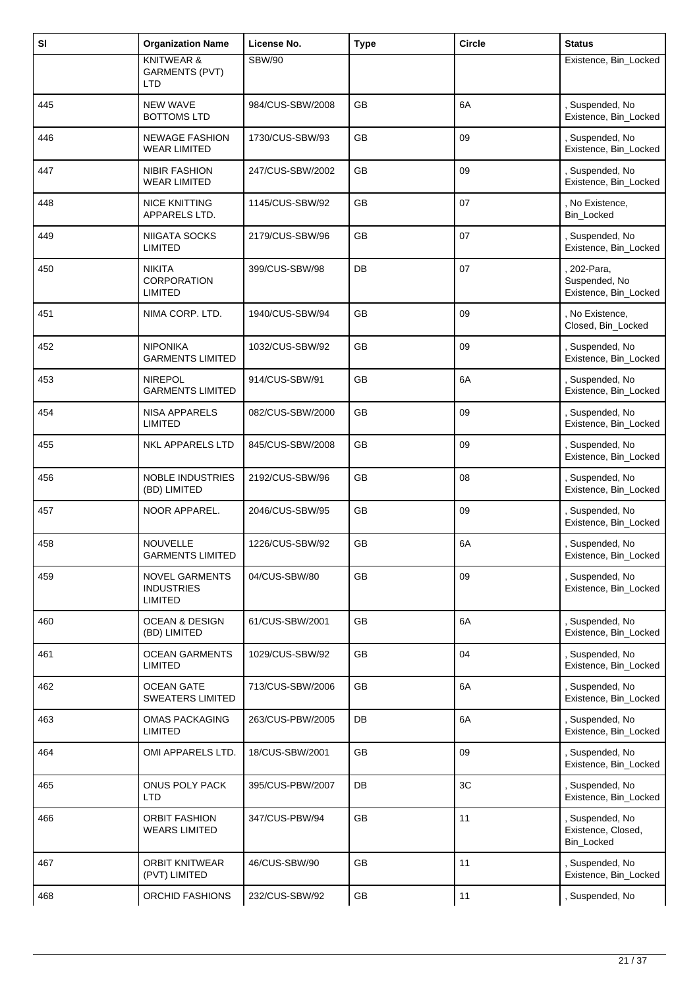| SI  | <b>Organization Name</b>                              | License No.      | <b>Type</b> | <b>Circle</b> | <b>Status</b>                                       |
|-----|-------------------------------------------------------|------------------|-------------|---------------|-----------------------------------------------------|
|     | <b>KNITWEAR &amp;</b><br><b>GARMENTS (PVT)</b><br>LTD | <b>SBW/90</b>    |             |               | Existence, Bin_Locked                               |
| 445 | <b>NEW WAVE</b><br><b>BOTTOMS LTD</b>                 | 984/CUS-SBW/2008 | GB          | 6A            | , Suspended, No<br>Existence, Bin_Locked            |
| 446 | <b>NEWAGE FASHION</b><br><b>WEAR LIMITED</b>          | 1730/CUS-SBW/93  | GB          | 09            | Suspended, No<br>Existence, Bin_Locked              |
| 447 | <b>NIBIR FASHION</b><br><b>WEAR LIMITED</b>           | 247/CUS-SBW/2002 | <b>GB</b>   | 09            | , Suspended, No<br>Existence, Bin_Locked            |
| 448 | <b>NICE KNITTING</b><br>APPARELS LTD.                 | 1145/CUS-SBW/92  | GB          | 07            | , No Existence,<br>Bin_Locked                       |
| 449 | NIIGATA SOCKS<br><b>LIMITED</b>                       | 2179/CUS-SBW/96  | GB          | 07            | , Suspended, No<br>Existence, Bin_Locked            |
| 450 | <b>NIKITA</b><br><b>CORPORATION</b><br><b>LIMITED</b> | 399/CUS-SBW/98   | DB          | 07            | 202-Para,<br>Suspended, No<br>Existence, Bin_Locked |
| 451 | NIMA CORP. LTD.                                       | 1940/CUS-SBW/94  | GB          | 09            | , No Existence,<br>Closed, Bin_Locked               |
| 452 | <b>NIPONIKA</b><br><b>GARMENTS LIMITED</b>            | 1032/CUS-SBW/92  | <b>GB</b>   | 09            | , Suspended, No<br>Existence, Bin_Locked            |
| 453 | <b>NIREPOL</b><br><b>GARMENTS LIMITED</b>             | 914/CUS-SBW/91   | GB          | 6A            | , Suspended, No<br>Existence, Bin_Locked            |
| 454 | NISA APPARELS<br><b>LIMITED</b>                       | 082/CUS-SBW/2000 | GB          | 09            | , Suspended, No<br>Existence, Bin_Locked            |
| 455 | <b>NKL APPARELS LTD</b>                               | 845/CUS-SBW/2008 | <b>GB</b>   | 09            | , Suspended, No<br>Existence, Bin_Locked            |
| 456 | NOBLE INDUSTRIES<br>(BD) LIMITED                      | 2192/CUS-SBW/96  | GB          | 08            | , Suspended, No<br>Existence, Bin_Locked            |
| 457 | NOOR APPAREL.                                         | 2046/CUS-SBW/95  | GB          | 09            | , Suspended, No<br>Existence, Bin_Locked            |
| 458 | <b>NOUVELLE</b><br><b>GARMENTS LIMITED</b>            | 1226/CUS-SBW/92  | <b>GB</b>   | 6A            | , Suspended, No<br>Existence, Bin_Locked            |
| 459 | <b>NOVEL GARMENTS</b><br><b>INDUSTRIES</b><br>LIMITED | 04/CUS-SBW/80    | GB          | 09            | , Suspended, No<br>Existence, Bin_Locked            |
| 460 | <b>OCEAN &amp; DESIGN</b><br>(BD) LIMITED             | 61/CUS-SBW/2001  | <b>GB</b>   | 6A            | , Suspended, No<br>Existence, Bin_Locked            |
| 461 | <b>OCEAN GARMENTS</b><br><b>LIMITED</b>               | 1029/CUS-SBW/92  | GB          | 04            | , Suspended, No<br>Existence, Bin_Locked            |
| 462 | <b>OCEAN GATE</b><br><b>SWEATERS LIMITED</b>          | 713/CUS-SBW/2006 | GB          | 6A            | , Suspended, No<br>Existence, Bin_Locked            |
| 463 | OMAS PACKAGING<br>LIMITED                             | 263/CUS-PBW/2005 | DB          | 6A            | , Suspended, No<br>Existence, Bin_Locked            |
| 464 | OMI APPARELS LTD.                                     | 18/CUS-SBW/2001  | <b>GB</b>   | 09            | , Suspended, No<br>Existence, Bin_Locked            |
| 465 | ONUS POLY PACK<br><b>LTD</b>                          | 395/CUS-PBW/2007 | DB          | 3C            | , Suspended, No<br>Existence, Bin_Locked            |
| 466 | <b>ORBIT FASHION</b><br><b>WEARS LIMITED</b>          | 347/CUS-PBW/94   | <b>GB</b>   | 11            | , Suspended, No<br>Existence, Closed,<br>Bin_Locked |
| 467 | <b>ORBIT KNITWEAR</b><br>(PVT) LIMITED                | 46/CUS-SBW/90    | GB          | 11            | , Suspended, No<br>Existence, Bin_Locked            |
| 468 | ORCHID FASHIONS                                       | 232/CUS-SBW/92   | GB          | 11            | Suspended, No                                       |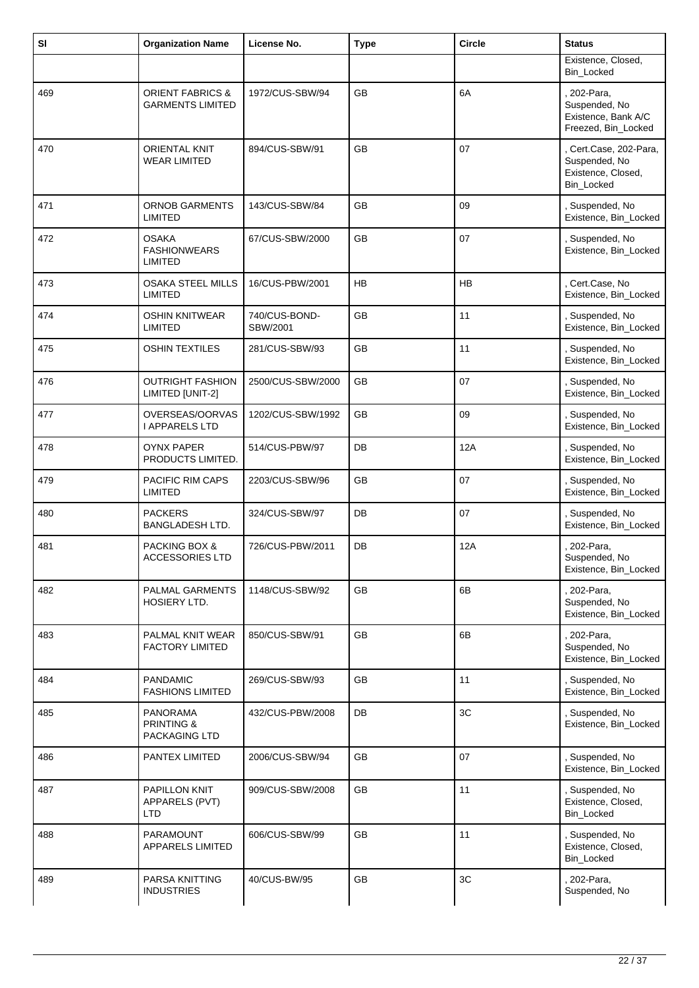| SI  | <b>Organization Name</b>                               | License No.               | <b>Type</b> | <b>Circle</b> | <b>Status</b>                                                               |
|-----|--------------------------------------------------------|---------------------------|-------------|---------------|-----------------------------------------------------------------------------|
|     |                                                        |                           |             |               | Existence, Closed,<br>Bin_Locked                                            |
| 469 | <b>ORIENT FABRICS &amp;</b><br><b>GARMENTS LIMITED</b> | 1972/CUS-SBW/94           | <b>GB</b>   | 6A            | . 202-Para,<br>Suspended, No<br>Existence, Bank A/C<br>Freezed, Bin_Locked  |
| 470 | <b>ORIENTAL KNIT</b><br><b>WEAR LIMITED</b>            | 894/CUS-SBW/91            | <b>GB</b>   | 07            | , Cert.Case, 202-Para,<br>Suspended, No<br>Existence, Closed,<br>Bin_Locked |
| 471 | <b>ORNOB GARMENTS</b><br><b>LIMITED</b>                | 143/CUS-SBW/84            | <b>GB</b>   | 09            | , Suspended, No<br>Existence, Bin_Locked                                    |
| 472 | <b>OSAKA</b><br><b>FASHIONWEARS</b><br><b>LIMITED</b>  | 67/CUS-SBW/2000           | <b>GB</b>   | 07            | , Suspended, No<br>Existence, Bin_Locked                                    |
| 473 | OSAKA STEEL MILLS<br>LIMITED                           | 16/CUS-PBW/2001           | HB          | HB            | Cert.Case, No<br>Existence, Bin_Locked                                      |
| 474 | <b>OSHIN KNITWEAR</b><br>LIMITED                       | 740/CUS-BOND-<br>SBW/2001 | <b>GB</b>   | 11            | , Suspended, No<br>Existence, Bin_Locked                                    |
| 475 | <b>OSHIN TEXTILES</b>                                  | 281/CUS-SBW/93            | GB          | 11            | Suspended, No<br>Existence, Bin_Locked                                      |
| 476 | <b>OUTRIGHT FASHION</b><br>LIMITED [UNIT-2]            | 2500/CUS-SBW/2000         | GB          | 07            | , Suspended, No<br>Existence, Bin_Locked                                    |
| 477 | OVERSEAS/OORVAS<br><b>I APPARELS LTD</b>               | 1202/CUS-SBW/1992         | <b>GB</b>   | 09            | , Suspended, No<br>Existence, Bin_Locked                                    |
| 478 | <b>OYNX PAPER</b><br>PRODUCTS LIMITED.                 | 514/CUS-PBW/97            | DB          | 12A           | , Suspended, No<br>Existence, Bin_Locked                                    |
| 479 | PACIFIC RIM CAPS<br><b>LIMITED</b>                     | 2203/CUS-SBW/96           | GB          | 07            | , Suspended, No<br>Existence, Bin_Locked                                    |
| 480 | <b>PACKERS</b><br><b>BANGLADESH LTD.</b>               | 324/CUS-SBW/97            | DB          | 07            | Suspended, No<br>Existence, Bin_Locked                                      |
| 481 | PACKING BOX &<br>ACCESSORIES LTD                       | 726/CUS-PBW/2011          | DB          | 12A           | 202-Para,<br>Suspended, No<br>Existence, Bin_Locked                         |
| 482 | PALMAL GARMENTS<br><b>HOSIERY LTD.</b>                 | 1148/CUS-SBW/92           | <b>GB</b>   | 6B            | , 202-Para,<br>Suspended, No<br>Existence, Bin_Locked                       |
| 483 | PALMAL KNIT WEAR<br>FACTORY LIMITED                    | 850/CUS-SBW/91            | GB          | 6B            | . 202-Para,<br>Suspended, No<br>Existence, Bin_Locked                       |
| 484 | <b>PANDAMIC</b><br><b>FASHIONS LIMITED</b>             | 269/CUS-SBW/93            | GB          | 11            | Suspended, No<br>Existence, Bin_Locked                                      |
| 485 | <b>PANORAMA</b><br>PRINTING &<br>PACKAGING LTD         | 432/CUS-PBW/2008          | DB          | 3C            | , Suspended, No<br>Existence, Bin_Locked                                    |
| 486 | PANTEX LIMITED                                         | 2006/CUS-SBW/94           | GB          | 07            | Suspended, No<br>Existence, Bin_Locked                                      |
| 487 | <b>PAPILLON KNIT</b><br>APPARELS (PVT)<br><b>LTD</b>   | 909/CUS-SBW/2008          | GB          | 11            | , Suspended, No<br>Existence, Closed,<br>Bin_Locked                         |
| 488 | PARAMOUNT<br><b>APPARELS LIMITED</b>                   | 606/CUS-SBW/99            | GB          | 11            | , Suspended, No<br>Existence, Closed,<br>Bin_Locked                         |
| 489 | PARSA KNITTING<br><b>INDUSTRIES</b>                    | 40/CUS-BW/95              | GB          | 3C            | 202-Para,<br>Suspended, No                                                  |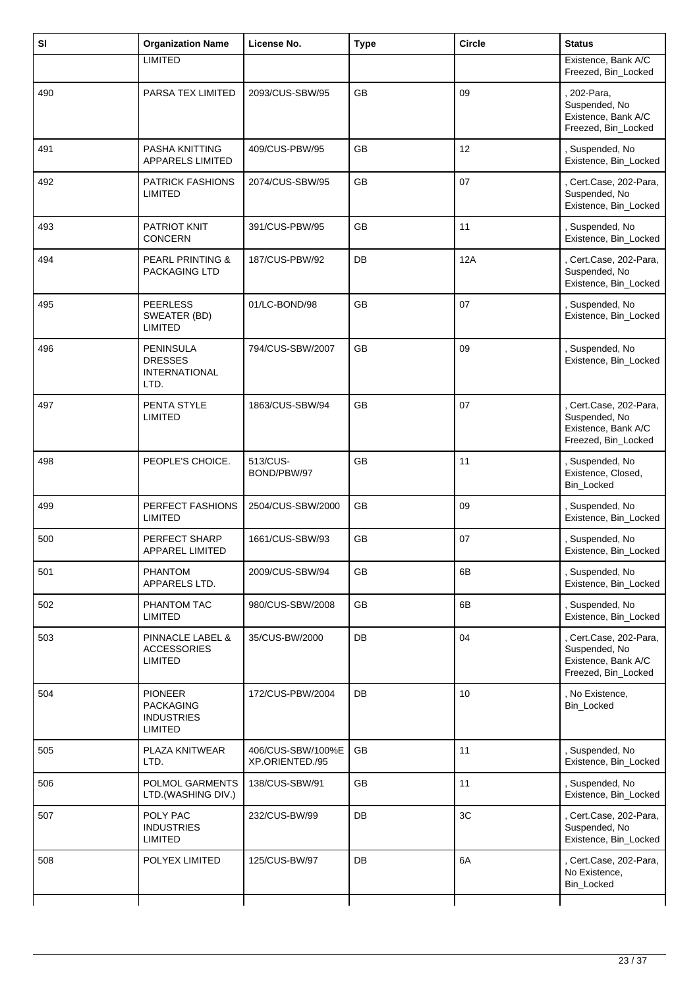| SI  | <b>Organization Name</b>                                           | License No.                          | <b>Type</b> | <b>Circle</b> | <b>Status</b>                                                                         |
|-----|--------------------------------------------------------------------|--------------------------------------|-------------|---------------|---------------------------------------------------------------------------------------|
|     | <b>LIMITED</b>                                                     |                                      |             |               | Existence, Bank A/C<br>Freezed, Bin_Locked                                            |
| 490 | PARSA TEX LIMITED                                                  | 2093/CUS-SBW/95                      | <b>GB</b>   | 09            | , 202-Para,<br>Suspended, No<br>Existence, Bank A/C<br>Freezed, Bin_Locked            |
| 491 | <b>PASHA KNITTING</b><br><b>APPARELS LIMITED</b>                   | 409/CUS-PBW/95                       | <b>GB</b>   | 12            | , Suspended, No<br>Existence, Bin_Locked                                              |
| 492 | <b>PATRICK FASHIONS</b><br>LIMITED                                 | 2074/CUS-SBW/95                      | <b>GB</b>   | 07            | , Cert.Case, 202-Para,<br>Suspended, No<br>Existence, Bin_Locked                      |
| 493 | <b>PATRIOT KNIT</b><br><b>CONCERN</b>                              | 391/CUS-PBW/95                       | <b>GB</b>   | 11            | , Suspended, No<br>Existence, Bin_Locked                                              |
| 494 | <b>PEARL PRINTING &amp;</b><br>PACKAGING LTD                       | 187/CUS-PBW/92                       | DB          | 12A           | , Cert.Case, 202-Para,<br>Suspended, No<br>Existence, Bin_Locked                      |
| 495 | <b>PEERLESS</b><br>SWEATER (BD)<br>LIMITED                         | 01/LC-BOND/98                        | <b>GB</b>   | 07            | , Suspended, No<br>Existence, Bin_Locked                                              |
| 496 | <b>PENINSULA</b><br><b>DRESSES</b><br><b>INTERNATIONAL</b><br>LTD. | 794/CUS-SBW/2007                     | <b>GB</b>   | 09            | , Suspended, No<br>Existence, Bin_Locked                                              |
| 497 | PENTA STYLE<br><b>LIMITED</b>                                      | 1863/CUS-SBW/94                      | GB          | 07            | , Cert.Case, 202-Para,<br>Suspended, No<br>Existence, Bank A/C<br>Freezed, Bin_Locked |
| 498 | PEOPLE'S CHOICE.                                                   | 513/CUS-<br>BOND/PBW/97              | GB          | 11            | , Suspended, No<br>Existence, Closed,<br>Bin_Locked                                   |
| 499 | PERFECT FASHIONS<br><b>LIMITED</b>                                 | 2504/CUS-SBW/2000                    | GB          | 09            | , Suspended, No<br>Existence, Bin_Locked                                              |
| 500 | PERFECT SHARP<br>APPAREL LIMITED                                   | 1661/CUS-SBW/93                      | GB          | 07            | , Suspended, No<br>Existence, Bin_Locked                                              |
| 501 | PHANTOM<br>APPARELS LTD.                                           | 2009/CUS-SBW/94                      | GB          | 6B            | , Suspended, No<br>Existence, Bin_Locked                                              |
| 502 | PHANTOM TAC<br>LIMITED                                             | 980/CUS-SBW/2008                     | GB          | 6B            | , Suspended, No<br>Existence, Bin_Locked                                              |
| 503 | PINNACLE LABEL &<br><b>ACCESSORIES</b><br>LIMITED                  | 35/CUS-BW/2000                       | DB          | 04            | , Cert.Case, 202-Para,<br>Suspended, No<br>Existence, Bank A/C<br>Freezed, Bin_Locked |
| 504 | <b>PIONEER</b><br><b>PACKAGING</b><br><b>INDUSTRIES</b><br>LIMITED | 172/CUS-PBW/2004                     | DB          | 10            | , No Existence,<br>Bin_Locked                                                         |
| 505 | PLAZA KNITWEAR<br>LTD.                                             | 406/CUS-SBW/100%E<br>XP.ORIENTED./95 | GB          | 11            | , Suspended, No<br>Existence, Bin_Locked                                              |
| 506 | POLMOL GARMENTS<br>LTD.(WASHING DIV.)                              | 138/CUS-SBW/91                       | GB          | 11            | , Suspended, No<br>Existence, Bin_Locked                                              |
| 507 | POLY PAC<br><b>INDUSTRIES</b><br>LIMITED                           | 232/CUS-BW/99                        | DB          | 3C            | , Cert.Case, 202-Para,<br>Suspended, No<br>Existence, Bin_Locked                      |
| 508 | POLYEX LIMITED                                                     | 125/CUS-BW/97                        | DB          | 6A            | , Cert.Case, 202-Para,<br>No Existence,<br>Bin_Locked                                 |
|     |                                                                    |                                      |             |               |                                                                                       |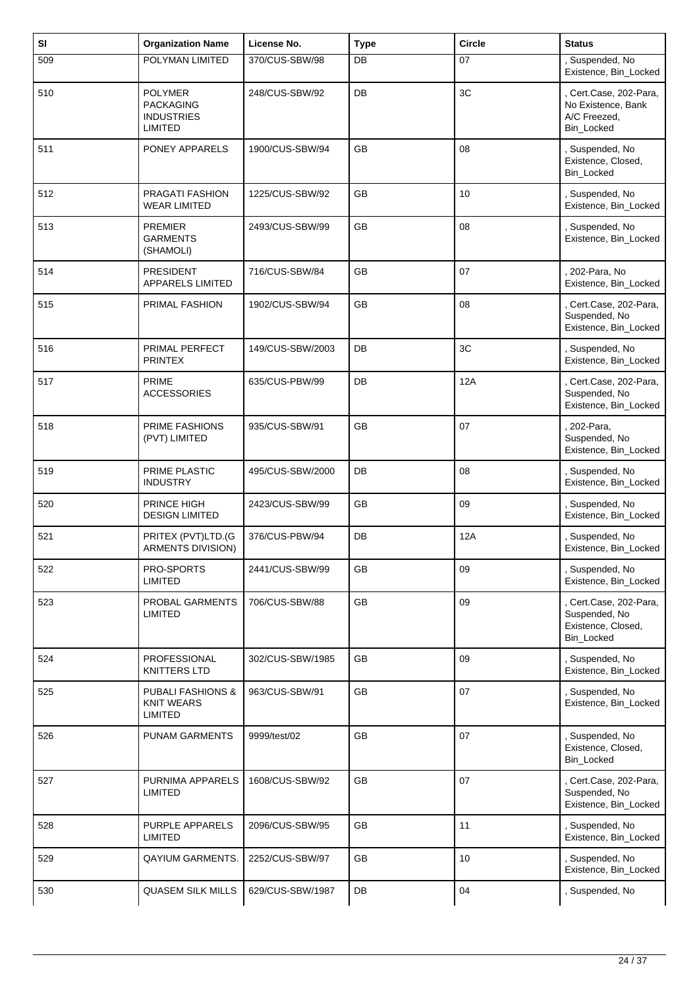| SI  | <b>Organization Name</b>                                                  | License No.      | <b>Type</b> | <b>Circle</b> | <b>Status</b>                                                               |
|-----|---------------------------------------------------------------------------|------------------|-------------|---------------|-----------------------------------------------------------------------------|
| 509 | POLYMAN LIMITED                                                           | 370/CUS-SBW/98   | DB          | 07            | , Suspended, No<br>Existence, Bin_Locked                                    |
| 510 | <b>POLYMER</b><br><b>PACKAGING</b><br><b>INDUSTRIES</b><br><b>LIMITED</b> | 248/CUS-SBW/92   | DB          | 3C            | , Cert.Case, 202-Para,<br>No Existence, Bank<br>A/C Freezed,<br>Bin_Locked  |
| 511 | PONEY APPARELS                                                            | 1900/CUS-SBW/94  | <b>GB</b>   | 08            | , Suspended, No<br>Existence, Closed,<br>Bin_Locked                         |
| 512 | PRAGATI FASHION<br><b>WEAR LIMITED</b>                                    | 1225/CUS-SBW/92  | <b>GB</b>   | 10            | Suspended, No<br>Existence, Bin_Locked                                      |
| 513 | <b>PREMIER</b><br><b>GARMENTS</b><br>(SHAMOLI)                            | 2493/CUS-SBW/99  | GB          | 08            | , Suspended, No<br>Existence, Bin_Locked                                    |
| 514 | <b>PRESIDENT</b><br>APPARELS LIMITED                                      | 716/CUS-SBW/84   | <b>GB</b>   | 07            | 202-Para, No<br>Existence, Bin_Locked                                       |
| 515 | PRIMAL FASHION                                                            | 1902/CUS-SBW/94  | GB          | 08            | Cert.Case, 202-Para,<br>Suspended, No<br>Existence, Bin_Locked              |
| 516 | PRIMAL PERFECT<br><b>PRINTEX</b>                                          | 149/CUS-SBW/2003 | DB          | 3C            | Suspended, No<br>Existence, Bin_Locked                                      |
| 517 | <b>PRIME</b><br><b>ACCESSORIES</b>                                        | 635/CUS-PBW/99   | DB          | 12A           | , Cert.Case, 202-Para,<br>Suspended, No<br>Existence, Bin_Locked            |
| 518 | PRIME FASHIONS<br>(PVT) LIMITED                                           | 935/CUS-SBW/91   | <b>GB</b>   | 07            | 202-Para,<br>Suspended, No<br>Existence, Bin_Locked                         |
| 519 | PRIME PLASTIC<br><b>INDUSTRY</b>                                          | 495/CUS-SBW/2000 | DB          | 08            | , Suspended, No<br>Existence, Bin_Locked                                    |
| 520 | PRINCE HIGH<br><b>DESIGN LIMITED</b>                                      | 2423/CUS-SBW/99  | GB          | 09            | , Suspended, No<br>Existence, Bin_Locked                                    |
| 521 | PRITEX (PVT)LTD.(G<br>ARMENTS DIVISION)                                   | 376/CUS-PBW/94   | DB          | 12A           | , Suspended, No<br>Existence, Bin_Locked                                    |
| 522 | PRO-SPORTS<br>LIMITED                                                     | 2441/CUS-SBW/99  | GB          | 09            | , Suspended, No<br>Existence, Bin_Locked                                    |
| 523 | PROBAL GARMENTS<br>LIMITED                                                | 706/CUS-SBW/88   | GB          | 09            | , Cert.Case, 202-Para,<br>Suspended, No<br>Existence, Closed,<br>Bin_Locked |
| 524 | PROFESSIONAL<br><b>KNITTERS LTD</b>                                       | 302/CUS-SBW/1985 | GB          | 09            | , Suspended, No<br>Existence, Bin_Locked                                    |
| 525 | <b>PUBALI FASHIONS &amp;</b><br><b>KNIT WEARS</b><br><b>LIMITED</b>       | 963/CUS-SBW/91   | GB          | 07            | , Suspended, No<br>Existence, Bin_Locked                                    |
| 526 | <b>PUNAM GARMENTS</b>                                                     | 9999/test/02     | GB          | 07            | , Suspended, No<br>Existence, Closed,<br>Bin_Locked                         |
| 527 | PURNIMA APPARELS<br>LIMITED                                               | 1608/CUS-SBW/92  | GB          | 07            | Cert.Case, 202-Para,<br>Suspended, No<br>Existence, Bin_Locked              |
| 528 | PURPLE APPARELS<br><b>LIMITED</b>                                         | 2096/CUS-SBW/95  | GB          | 11            | , Suspended, No<br>Existence, Bin_Locked                                    |
| 529 | <b>QAYIUM GARMENTS.</b>                                                   | 2252/CUS-SBW/97  | GB          | 10            | , Suspended, No<br>Existence, Bin_Locked                                    |
| 530 | <b>QUASEM SILK MILLS</b>                                                  | 629/CUS-SBW/1987 | DB          | 04            | , Suspended, No                                                             |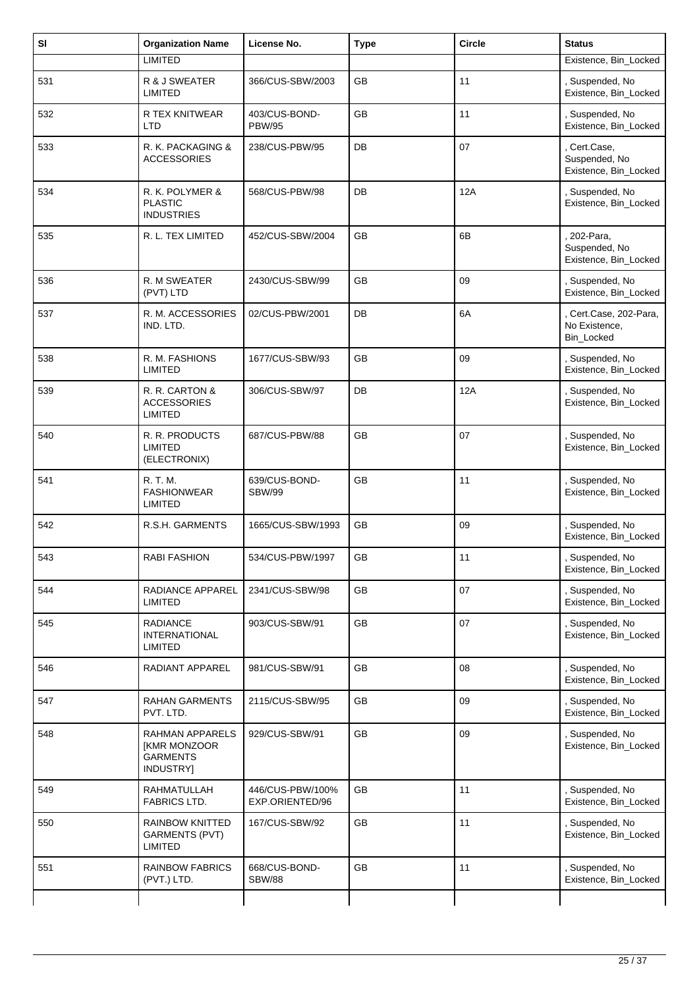| SI  | <b>Organization Name</b>                                        | License No.                         | <b>Type</b> | <b>Circle</b> | <b>Status</b>                                          |
|-----|-----------------------------------------------------------------|-------------------------------------|-------------|---------------|--------------------------------------------------------|
|     | <b>LIMITED</b>                                                  |                                     |             |               | Existence, Bin_Locked                                  |
| 531 | R & J SWEATER<br><b>LIMITED</b>                                 | 366/CUS-SBW/2003                    | <b>GB</b>   | 11            | Suspended, No<br>Existence, Bin_Locked                 |
| 532 | R TEX KNITWEAR<br><b>LTD</b>                                    | 403/CUS-BOND-<br><b>PBW/95</b>      | GB          | 11            | Suspended, No<br>Existence, Bin_Locked                 |
| 533 | R. K. PACKAGING &<br><b>ACCESSORIES</b>                         | 238/CUS-PBW/95                      | DB          | 07            | , Cert.Case,<br>Suspended, No<br>Existence, Bin_Locked |
| 534 | R. K. POLYMER &<br><b>PLASTIC</b><br><b>INDUSTRIES</b>          | 568/CUS-PBW/98                      | DB          | 12A           | Suspended, No<br>Existence, Bin_Locked                 |
| 535 | R. L. TEX LIMITED                                               | 452/CUS-SBW/2004                    | GB          | 6B            | 202-Para,<br>Suspended, No<br>Existence, Bin_Locked    |
| 536 | R. M SWEATER<br>(PVT) LTD                                       | 2430/CUS-SBW/99                     | <b>GB</b>   | 09            | , Suspended, No<br>Existence, Bin_Locked               |
| 537 | R. M. ACCESSORIES<br>IND. LTD.                                  | 02/CUS-PBW/2001                     | DB          | 6A            | Cert.Case, 202-Para,<br>No Existence,<br>Bin_Locked    |
| 538 | R. M. FASHIONS<br><b>LIMITED</b>                                | 1677/CUS-SBW/93                     | <b>GB</b>   | 09            | , Suspended, No<br>Existence, Bin_Locked               |
| 539 | R. R. CARTON &<br><b>ACCESSORIES</b><br>LIMITED                 | 306/CUS-SBW/97                      | DB          | 12A           | Suspended, No<br>Existence, Bin_Locked                 |
| 540 | R. R. PRODUCTS<br><b>LIMITED</b><br>(ELECTRONIX)                | 687/CUS-PBW/88                      | <b>GB</b>   | 07            | , Suspended, No<br>Existence, Bin_Locked               |
| 541 | R. T. M.<br><b>FASHIONWEAR</b><br>LIMITED                       | 639/CUS-BOND-<br><b>SBW/99</b>      | GB          | 11            | , Suspended, No<br>Existence, Bin_Locked               |
| 542 | R.S.H. GARMENTS                                                 | 1665/CUS-SBW/1993                   | GB          | 09            | Suspended, No<br>Existence, Bin_Locked                 |
| 543 | <b>RABI FASHION</b>                                             | 534/CUS-PBW/1997                    | GB          | 11            | Suspended, No<br>Existence, Bin_Locked                 |
| 544 | RADIANCE APPAREL<br>LIMITED                                     | 2341/CUS-SBW/98                     | GB          | 07            | , Suspended, No<br>Existence, Bin_Locked               |
| 545 | <b>RADIANCE</b><br><b>INTERNATIONAL</b><br><b>LIMITED</b>       | 903/CUS-SBW/91                      | GB          | 07            | Suspended, No<br>Existence, Bin_Locked                 |
| 546 | RADIANT APPAREL                                                 | 981/CUS-SBW/91                      | GB          | 08            | , Suspended, No<br>Existence, Bin_Locked               |
| 547 | <b>RAHAN GARMENTS</b><br>PVT. LTD.                              | 2115/CUS-SBW/95                     | GB          | 09            | Suspended, No<br>Existence, Bin_Locked                 |
| 548 | RAHMAN APPARELS<br>[KMR MONZOOR<br><b>GARMENTS</b><br>INDUSTRY] | 929/CUS-SBW/91                      | GB          | 09            | , Suspended, No<br>Existence, Bin_Locked               |
| 549 | RAHMATULLAH<br>FABRICS LTD.                                     | 446/CUS-PBW/100%<br>EXP.ORIENTED/96 | GB          | 11            | Suspended, No<br>Existence, Bin_Locked                 |
| 550 | RAINBOW KNITTED<br><b>GARMENTS (PVT)</b><br>LIMITED             | 167/CUS-SBW/92                      | GB          | 11            | Suspended, No<br>Existence, Bin_Locked                 |
| 551 | <b>RAINBOW FABRICS</b><br>(PVT.) LTD.                           | 668/CUS-BOND-<br><b>SBW/88</b>      | GB          | 11            | , Suspended, No<br>Existence, Bin_Locked               |
|     |                                                                 |                                     |             |               |                                                        |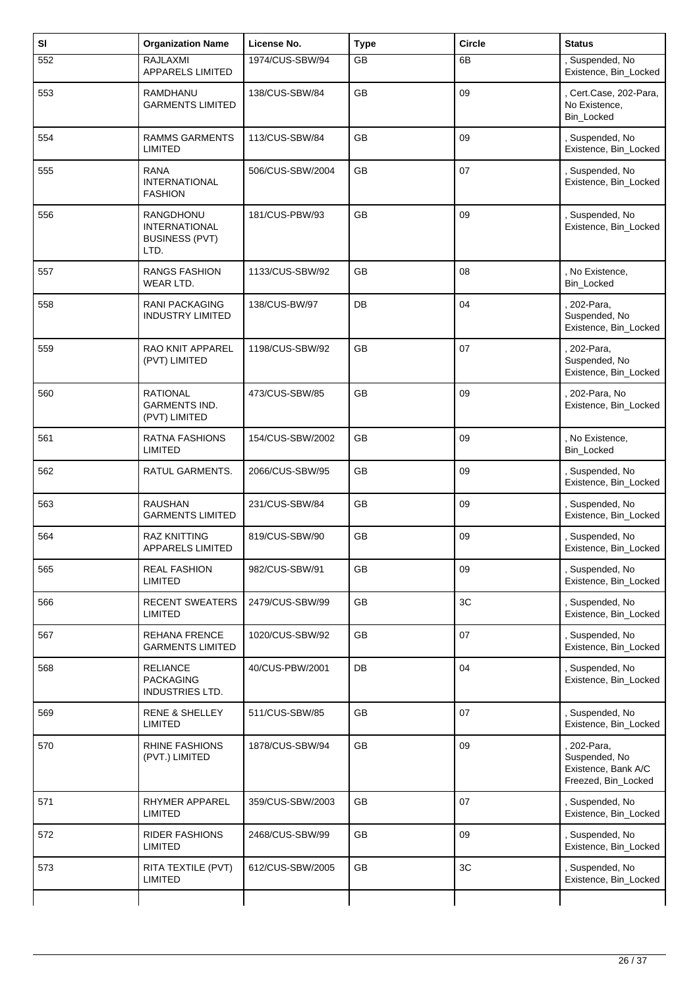| SI  | <b>Organization Name</b>                                           | License No.      | <b>Type</b> | <b>Circle</b> | <b>Status</b>                                                            |
|-----|--------------------------------------------------------------------|------------------|-------------|---------------|--------------------------------------------------------------------------|
| 552 | RAJLAXMI<br><b>APPARELS LIMITED</b>                                | 1974/CUS-SBW/94  | <b>GB</b>   | 6B            | , Suspended, No<br>Existence, Bin_Locked                                 |
| 553 | RAMDHANU<br><b>GARMENTS LIMITED</b>                                | 138/CUS-SBW/84   | GB          | 09            | , Cert.Case, 202-Para,<br>No Existence,<br>Bin_Locked                    |
| 554 | <b>RAMMS GARMENTS</b><br><b>LIMITED</b>                            | 113/CUS-SBW/84   | <b>GB</b>   | 09            | Suspended, No<br>Existence, Bin_Locked                                   |
| 555 | <b>RANA</b><br><b>INTERNATIONAL</b><br><b>FASHION</b>              | 506/CUS-SBW/2004 | GB          | 07            | , Suspended, No<br>Existence, Bin_Locked                                 |
| 556 | RANGDHONU<br><b>INTERNATIONAL</b><br><b>BUSINESS (PVT)</b><br>LTD. | 181/CUS-PBW/93   | <b>GB</b>   | 09            | Suspended, No<br>Existence, Bin_Locked                                   |
| 557 | <b>RANGS FASHION</b><br>WEAR LTD.                                  | 1133/CUS-SBW/92  | <b>GB</b>   | 08            | , No Existence,<br>Bin_Locked                                            |
| 558 | <b>RANI PACKAGING</b><br><b>INDUSTRY LIMITED</b>                   | 138/CUS-BW/97    | DB          | 04            | 202-Para,<br>Suspended, No<br>Existence, Bin_Locked                      |
| 559 | RAO KNIT APPAREL<br>(PVT) LIMITED                                  | 1198/CUS-SBW/92  | GB          | 07            | 202-Para,<br>Suspended, No<br>Existence, Bin_Locked                      |
| 560 | <b>RATIONAL</b><br><b>GARMENTS IND.</b><br>(PVT) LIMITED           | 473/CUS-SBW/85   | <b>GB</b>   | 09            | , 202-Para, No<br>Existence, Bin_Locked                                  |
| 561 | RATNA FASHIONS<br><b>LIMITED</b>                                   | 154/CUS-SBW/2002 | GB          | 09            | , No Existence,<br>Bin_Locked                                            |
| 562 | RATUL GARMENTS.                                                    | 2066/CUS-SBW/95  | <b>GB</b>   | 09            | , Suspended, No<br>Existence, Bin_Locked                                 |
| 563 | <b>RAUSHAN</b><br><b>GARMENTS LIMITED</b>                          | 231/CUS-SBW/84   | GB          | 09            | Suspended, No<br>Existence, Bin_Locked                                   |
| 564 | RAZ KNITTING<br>APPARELS LIMITED                                   | 819/CUS-SBW/90   | GB          | 09            | , Suspended, No<br>Existence, Bin_Locked                                 |
| 565 | <b>REAL FASHION</b><br>LIMITED                                     | 982/CUS-SBW/91   | GB          | 09            | Suspended, No<br>Existence, Bin_Locked                                   |
| 566 | <b>RECENT SWEATERS</b><br>LIMITED                                  | 2479/CUS-SBW/99  | GB          | 3C            | , Suspended, No<br>Existence, Bin_Locked                                 |
| 567 | REHANA FRENCE<br><b>GARMENTS LIMITED</b>                           | 1020/CUS-SBW/92  | GB          | 07            | , Suspended, No<br>Existence, Bin_Locked                                 |
| 568 | <b>RELIANCE</b><br><b>PACKAGING</b><br><b>INDUSTRIES LTD.</b>      | 40/CUS-PBW/2001  | DB          | 04            | , Suspended, No<br>Existence, Bin_Locked                                 |
| 569 | <b>RENE &amp; SHELLEY</b><br><b>LIMITED</b>                        | 511/CUS-SBW/85   | GB          | 07            | , Suspended, No<br>Existence, Bin_Locked                                 |
| 570 | RHINE FASHIONS<br>(PVT.) LIMITED                                   | 1878/CUS-SBW/94  | GB          | 09            | 202-Para,<br>Suspended, No<br>Existence, Bank A/C<br>Freezed, Bin_Locked |
| 571 | RHYMER APPAREL<br>LIMITED                                          | 359/CUS-SBW/2003 | GB          | 07            | , Suspended, No<br>Existence, Bin_Locked                                 |
| 572 | <b>RIDER FASHIONS</b><br><b>LIMITED</b>                            | 2468/CUS-SBW/99  | GB          | 09            | Suspended, No<br>Existence, Bin_Locked                                   |
| 573 | RITA TEXTILE (PVT)<br><b>LIMITED</b>                               | 612/CUS-SBW/2005 | GB          | 3C            | , Suspended, No<br>Existence, Bin_Locked                                 |
|     |                                                                    |                  |             |               |                                                                          |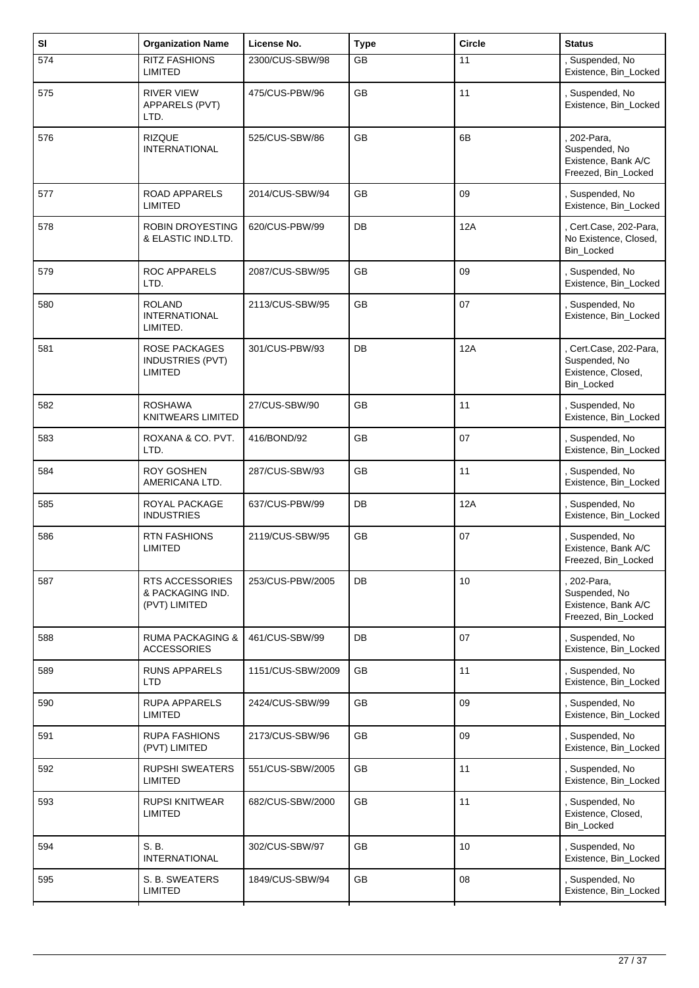| SI  | <b>Organization Name</b>                                          | License No.       | <b>Type</b> | <b>Circle</b>   | <b>Status</b>                                                              |
|-----|-------------------------------------------------------------------|-------------------|-------------|-----------------|----------------------------------------------------------------------------|
| 574 | <b>RITZ FASHIONS</b><br><b>LIMITED</b>                            | 2300/CUS-SBW/98   | <b>GB</b>   | 11              | , Suspended, No<br>Existence, Bin_Locked                                   |
| 575 | <b>RIVER VIEW</b><br>APPARELS (PVT)<br>LTD.                       | 475/CUS-PBW/96    | <b>GB</b>   | 11              | , Suspended, No<br>Existence, Bin_Locked                                   |
| 576 | <b>RIZQUE</b><br><b>INTERNATIONAL</b>                             | 525/CUS-SBW/86    | GB          | 6B              | 202-Para,<br>Suspended, No<br>Existence, Bank A/C<br>Freezed, Bin_Locked   |
| 577 | <b>ROAD APPARELS</b><br><b>LIMITED</b>                            | 2014/CUS-SBW/94   | <b>GB</b>   | 09              | , Suspended, No<br>Existence, Bin_Locked                                   |
| 578 | <b>ROBIN DROYESTING</b><br>& ELASTIC IND.LTD.                     | 620/CUS-PBW/99    | DB          | 12A             | , Cert.Case, 202-Para,<br>No Existence, Closed,<br>Bin_Locked              |
| 579 | <b>ROC APPARELS</b><br>LTD.                                       | 2087/CUS-SBW/95   | <b>GB</b>   | 09              | , Suspended, No<br>Existence, Bin_Locked                                   |
| 580 | <b>ROLAND</b><br><b>INTERNATIONAL</b><br>LIMITED.                 | 2113/CUS-SBW/95   | GB          | 07              | , Suspended, No<br>Existence, Bin_Locked                                   |
| 581 | <b>ROSE PACKAGES</b><br><b>INDUSTRIES (PVT)</b><br><b>LIMITED</b> | 301/CUS-PBW/93    | DB          | 12A             | Cert.Case, 202-Para,<br>Suspended, No<br>Existence, Closed,<br>Bin_Locked  |
| 582 | <b>ROSHAWA</b><br><b>KNITWEARS LIMITED</b>                        | 27/CUS-SBW/90     | <b>GB</b>   | 11              | , Suspended, No<br>Existence, Bin_Locked                                   |
| 583 | ROXANA & CO. PVT.<br>LTD.                                         | 416/BOND/92       | GB          | 07              | , Suspended, No<br>Existence, Bin_Locked                                   |
| 584 | <b>ROY GOSHEN</b><br>AMERICANA LTD.                               | 287/CUS-SBW/93    | <b>GB</b>   | 11              | , Suspended, No<br>Existence, Bin_Locked                                   |
| 585 | ROYAL PACKAGE<br><b>INDUSTRIES</b>                                | 637/CUS-PBW/99    | DB          | 12A             | , Suspended, No<br>Existence, Bin_Locked                                   |
| 586 | <b>RTN FASHIONS</b><br><b>LIMITED</b>                             | 2119/CUS-SBW/95   | GB          | 07              | , Suspended, No<br>Existence, Bank A/C<br>Freezed, Bin_Locked              |
| 587 | <b>RTS ACCESSORIES</b><br>& PACKAGING IND.<br>(PVT) LIMITED       | 253/CUS-PBW/2005  | DB          | 10              | , 202-Para,<br>Suspended, No<br>Existence, Bank A/C<br>Freezed, Bin_Locked |
| 588 | <b>RUMA PACKAGING &amp;</b><br><b>ACCESSORIES</b>                 | 461/CUS-SBW/99    | DB          | 07              | , Suspended, No<br>Existence, Bin_Locked                                   |
| 589 | <b>RUNS APPARELS</b><br><b>LTD</b>                                | 1151/CUS-SBW/2009 | GB          | 11              | , Suspended, No<br>Existence, Bin_Locked                                   |
| 590 | <b>RUPA APPARELS</b><br><b>LIMITED</b>                            | 2424/CUS-SBW/99   | <b>GB</b>   | 09              | , Suspended, No<br>Existence, Bin_Locked                                   |
| 591 | <b>RUPA FASHIONS</b><br>(PVT) LIMITED                             | 2173/CUS-SBW/96   | <b>GB</b>   | 09              | , Suspended, No<br>Existence, Bin_Locked                                   |
| 592 | <b>RUPSHI SWEATERS</b><br><b>LIMITED</b>                          | 551/CUS-SBW/2005  | GB          | 11              | , Suspended, No<br>Existence, Bin_Locked                                   |
| 593 | <b>RUPSI KNITWEAR</b><br><b>LIMITED</b>                           | 682/CUS-SBW/2000  | GB          | 11              | , Suspended, No<br>Existence, Closed,<br>Bin_Locked                        |
| 594 | S. B.<br><b>INTERNATIONAL</b>                                     | 302/CUS-SBW/97    | GB          | 10 <sup>1</sup> | , Suspended, No<br>Existence, Bin_Locked                                   |
| 595 | S. B. SWEATERS<br><b>LIMITED</b>                                  | 1849/CUS-SBW/94   | GB          | 08              | , Suspended, No<br>Existence, Bin_Locked                                   |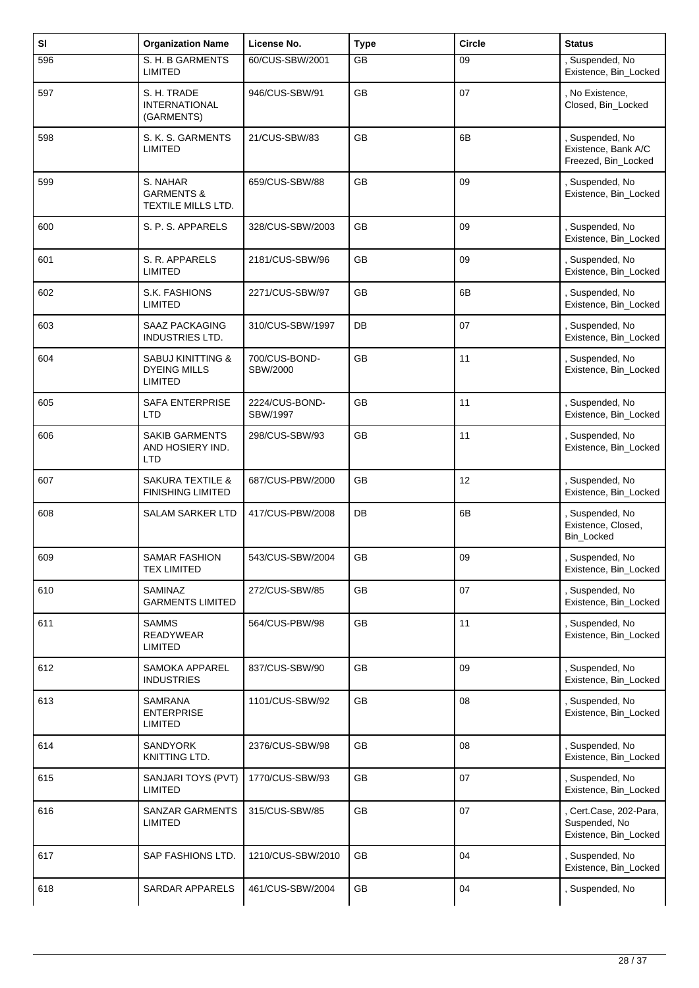| SI  | <b>Organization Name</b>                                       | License No.                | <b>Type</b> | <b>Circle</b> | <b>Status</b>                                                    |
|-----|----------------------------------------------------------------|----------------------------|-------------|---------------|------------------------------------------------------------------|
| 596 | S. H. B GARMENTS<br><b>LIMITED</b>                             | 60/CUS-SBW/2001            | <b>GB</b>   | 09            | , Suspended, No<br>Existence, Bin_Locked                         |
| 597 | S. H. TRADE<br><b>INTERNATIONAL</b><br>(GARMENTS)              | 946/CUS-SBW/91             | GB          | 07            | , No Existence,<br>Closed, Bin_Locked                            |
| 598 | S. K. S. GARMENTS<br><b>LIMITED</b>                            | 21/CUS-SBW/83              | <b>GB</b>   | 6B            | Suspended, No<br>Existence, Bank A/C<br>Freezed, Bin_Locked      |
| 599 | S. NAHAR<br><b>GARMENTS &amp;</b><br>TEXTILE MILLS LTD.        | 659/CUS-SBW/88             | <b>GB</b>   | 09            | , Suspended, No<br>Existence, Bin_Locked                         |
| 600 | S. P. S. APPARELS                                              | 328/CUS-SBW/2003           | GB          | 09            | , Suspended, No<br>Existence, Bin_Locked                         |
| 601 | S. R. APPARELS<br>LIMITED                                      | 2181/CUS-SBW/96            | <b>GB</b>   | 09            | , Suspended, No<br>Existence, Bin Locked                         |
| 602 | <b>S.K. FASHIONS</b><br><b>LIMITED</b>                         | 2271/CUS-SBW/97            | GB          | 6B            | , Suspended, No<br>Existence, Bin_Locked                         |
| 603 | <b>SAAZ PACKAGING</b><br>INDUSTRIES LTD.                       | 310/CUS-SBW/1997           | DB          | 07            | , Suspended, No<br>Existence, Bin_Locked                         |
| 604 | <b>SABUJ KINITTING &amp;</b><br><b>DYEING MILLS</b><br>LIMITED | 700/CUS-BOND-<br>SBW/2000  | <b>GB</b>   | 11            | , Suspended, No<br>Existence, Bin_Locked                         |
| 605 | SAFA ENTERPRISE<br>LTD                                         | 2224/CUS-BOND-<br>SBW/1997 | GB          | 11            | , Suspended, No<br>Existence, Bin_Locked                         |
| 606 | <b>SAKIB GARMENTS</b><br>AND HOSIERY IND.<br>LTD               | 298/CUS-SBW/93             | <b>GB</b>   | 11            | , Suspended, No<br>Existence, Bin_Locked                         |
| 607 | <b>SAKURA TEXTILE &amp;</b><br><b>FINISHING LIMITED</b>        | 687/CUS-PBW/2000           | GB          | 12            | , Suspended, No<br>Existence, Bin_Locked                         |
| 608 | <b>SALAM SARKER LTD</b>                                        | 417/CUS-PBW/2008           | DB          | 6B            | , Suspended, No<br>Existence, Closed,<br>Bin_Locked              |
| 609 | SAMAR FASHION<br><b>TEX LIMITED</b>                            | 543/CUS-SBW/2004           | GB          | 09            | Suspended, No<br>Existence, Bin_Locked                           |
| 610 | SAMINAZ<br><b>GARMENTS LIMITED</b>                             | 272/CUS-SBW/85             | GB          | 07            | , Suspended, No<br>Existence, Bin_Locked                         |
| 611 | <b>SAMMS</b><br>READYWEAR<br><b>LIMITED</b>                    | 564/CUS-PBW/98             | GB          | 11            | Suspended, No<br>Existence, Bin_Locked                           |
| 612 | SAMOKA APPAREL<br><b>INDUSTRIES</b>                            | 837/CUS-SBW/90             | <b>GB</b>   | 09            | , Suspended, No<br>Existence, Bin_Locked                         |
| 613 | SAMRANA<br><b>ENTERPRISE</b><br>LIMITED                        | 1101/CUS-SBW/92            | GB          | 08            | , Suspended, No<br>Existence, Bin_Locked                         |
| 614 | <b>SANDYORK</b><br>KNITTING LTD.                               | 2376/CUS-SBW/98            | GB          | 08            | , Suspended, No<br>Existence, Bin_Locked                         |
| 615 | SANJARI TOYS (PVT)<br><b>LIMITED</b>                           | 1770/CUS-SBW/93            | GB          | 07            | , Suspended, No<br>Existence, Bin_Locked                         |
| 616 | SANZAR GARMENTS<br><b>LIMITED</b>                              | 315/CUS-SBW/85             | GB          | 07            | , Cert.Case, 202-Para,<br>Suspended, No<br>Existence, Bin_Locked |
| 617 | SAP FASHIONS LTD.                                              | 1210/CUS-SBW/2010          | GB          | 04            | , Suspended, No<br>Existence, Bin_Locked                         |
| 618 | SARDAR APPARELS                                                | 461/CUS-SBW/2004           | GB          | 04            | , Suspended, No                                                  |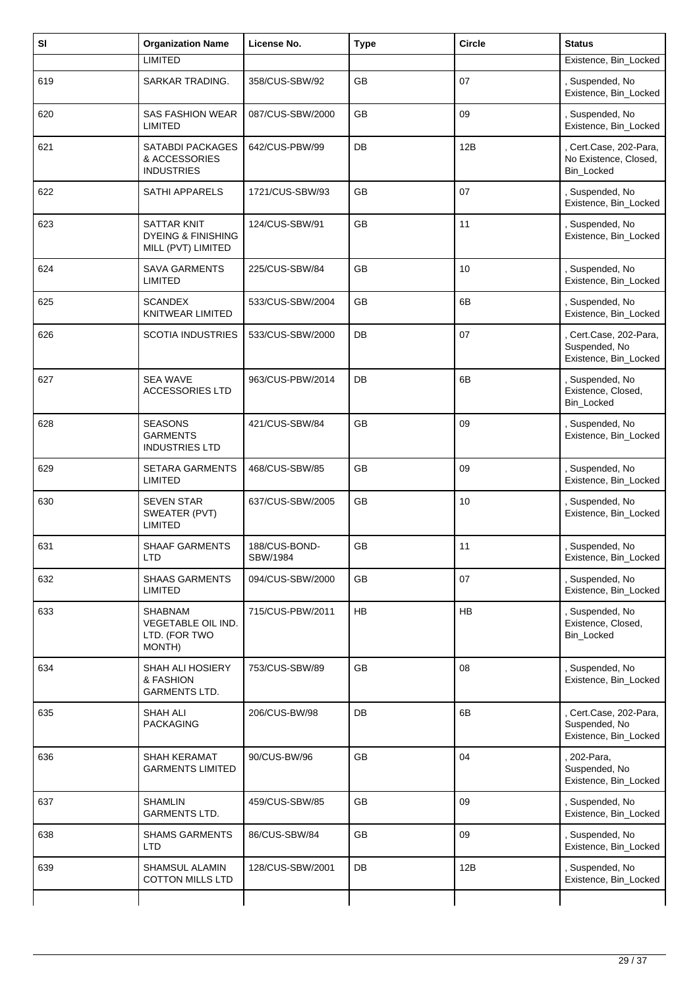| SI  | <b>Organization Name</b>                                           | License No.               | <b>Type</b> | <b>Circle</b> | <b>Status</b>                                                  |
|-----|--------------------------------------------------------------------|---------------------------|-------------|---------------|----------------------------------------------------------------|
|     | <b>LIMITED</b>                                                     |                           |             |               | Existence, Bin_Locked                                          |
| 619 | SARKAR TRADING.                                                    | 358/CUS-SBW/92            | GB          | 07            | Suspended, No<br>Existence, Bin_Locked                         |
| 620 | <b>SAS FASHION WEAR</b><br><b>LIMITED</b>                          | 087/CUS-SBW/2000          | <b>GB</b>   | 09            | , Suspended, No<br>Existence, Bin_Locked                       |
| 621 | SATABDI PACKAGES<br>& ACCESSORIES<br><b>INDUSTRIES</b>             | 642/CUS-PBW/99            | DB          | 12B           | , Cert.Case, 202-Para,<br>No Existence, Closed,<br>Bin_Locked  |
| 622 | <b>SATHI APPARELS</b>                                              | 1721/CUS-SBW/93           | <b>GB</b>   | 07            | , Suspended, No<br>Existence, Bin_Locked                       |
| 623 | SATTAR KNIT<br><b>DYEING &amp; FINISHING</b><br>MILL (PVT) LIMITED | 124/CUS-SBW/91            | <b>GB</b>   | 11            | , Suspended, No<br>Existence, Bin_Locked                       |
| 624 | <b>SAVA GARMENTS</b><br><b>LIMITED</b>                             | 225/CUS-SBW/84            | <b>GB</b>   | 10            | , Suspended, No<br>Existence, Bin_Locked                       |
| 625 | <b>SCANDEX</b><br><b>KNITWEAR LIMITED</b>                          | 533/CUS-SBW/2004          | GB          | 6B            | , Suspended, No<br>Existence, Bin_Locked                       |
| 626 | <b>SCOTIA INDUSTRIES</b>                                           | 533/CUS-SBW/2000          | DB          | 07            | Cert.Case, 202-Para,<br>Suspended, No<br>Existence, Bin_Locked |
| 627 | <b>SEA WAVE</b><br><b>ACCESSORIES LTD</b>                          | 963/CUS-PBW/2014          | DB          | 6B            | , Suspended, No<br>Existence, Closed,<br>Bin_Locked            |
| 628 | <b>SEASONS</b><br><b>GARMENTS</b><br><b>INDUSTRIES LTD</b>         | 421/CUS-SBW/84            | GB          | 09            | , Suspended, No<br>Existence, Bin_Locked                       |
| 629 | <b>SETARA GARMENTS</b><br><b>LIMITED</b>                           | 468/CUS-SBW/85            | GB          | 09            | Suspended, No<br>Existence, Bin_Locked                         |
| 630 | <b>SEVEN STAR</b><br>SWEATER (PVT)<br>LIMITED                      | 637/CUS-SBW/2005          | GB          | 10            | , Suspended, No<br>Existence, Bin_Locked                       |
| 631 | <b>SHAAF GARMENTS</b><br><b>LTD</b>                                | 188/CUS-BOND-<br>SBW/1984 | <b>GB</b>   | 11            | Suspended, No<br>Existence, Bin_Locked                         |
| 632 | <b>SHAAS GARMENTS</b><br>LIMITED                                   | 094/CUS-SBW/2000          | GB          | 07            | , Suspended, No<br>Existence, Bin_Locked                       |
| 633 | SHABNAM<br>VEGETABLE OIL IND.<br>LTD. (FOR TWO<br>MONTH)           | 715/CUS-PBW/2011          | HB          | HB            | , Suspended, No<br>Existence, Closed,<br>Bin_Locked            |
| 634 | <b>SHAH ALI HOSIERY</b><br>& FASHION<br><b>GARMENTS LTD.</b>       | 753/CUS-SBW/89            | <b>GB</b>   | 08            | , Suspended, No<br>Existence, Bin_Locked                       |
| 635 | <b>SHAH ALI</b><br><b>PACKAGING</b>                                | 206/CUS-BW/98             | DB          | 6B            | Cert.Case, 202-Para,<br>Suspended, No<br>Existence, Bin_Locked |
| 636 | SHAH KERAMAT<br><b>GARMENTS LIMITED</b>                            | 90/CUS-BW/96              | GB          | 04            | 202-Para,<br>Suspended, No<br>Existence, Bin_Locked            |
| 637 | <b>SHAMLIN</b><br><b>GARMENTS LTD.</b>                             | 459/CUS-SBW/85            | <b>GB</b>   | 09            | , Suspended, No<br>Existence, Bin_Locked                       |
| 638 | <b>SHAMS GARMENTS</b><br><b>LTD</b>                                | 86/CUS-SBW/84             | GB          | 09            | Suspended, No<br>Existence, Bin_Locked                         |
| 639 | SHAMSUL ALAMIN<br><b>COTTON MILLS LTD</b>                          | 128/CUS-SBW/2001          | DB          | 12B           | , Suspended, No<br>Existence, Bin_Locked                       |
|     |                                                                    |                           |             |               |                                                                |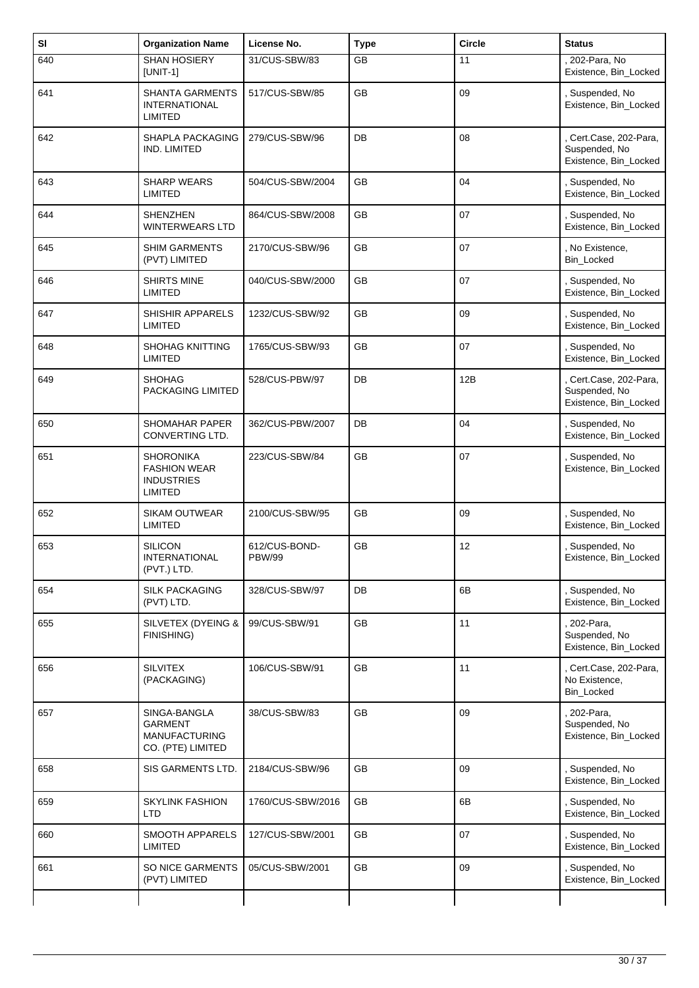| SI  | <b>Organization Name</b>                                                       | License No.                    | <b>Type</b> | <b>Circle</b> | <b>Status</b>                                                    |
|-----|--------------------------------------------------------------------------------|--------------------------------|-------------|---------------|------------------------------------------------------------------|
| 640 | <b>SHAN HOSIERY</b><br>$[UNIT-1]$                                              | 31/CUS-SBW/83                  | <b>GB</b>   | 11            | 202-Para, No<br>Existence, Bin_Locked                            |
| 641 | <b>SHANTA GARMENTS</b><br><b>INTERNATIONAL</b><br>LIMITED                      | 517/CUS-SBW/85                 | GB          | 09            | , Suspended, No<br>Existence, Bin_Locked                         |
| 642 | SHAPLA PACKAGING<br>IND. LIMITED                                               | 279/CUS-SBW/96                 | DB          | 08            | Cert.Case, 202-Para,<br>Suspended, No<br>Existence, Bin_Locked   |
| 643 | <b>SHARP WEARS</b><br>LIMITED                                                  | 504/CUS-SBW/2004               | <b>GB</b>   | 04            | , Suspended, No<br>Existence, Bin_Locked                         |
| 644 | SHENZHEN<br><b>WINTERWEARS LTD</b>                                             | 864/CUS-SBW/2008               | <b>GB</b>   | 07            | Suspended, No<br>Existence, Bin_Locked                           |
| 645 | <b>SHIM GARMENTS</b><br>(PVT) LIMITED                                          | 2170/CUS-SBW/96                | GB          | 07            | , No Existence,<br>Bin_Locked                                    |
| 646 | <b>SHIRTS MINE</b><br>LIMITED                                                  | 040/CUS-SBW/2000               | <b>GB</b>   | 07            | , Suspended, No<br>Existence, Bin_Locked                         |
| 647 | SHISHIR APPARELS<br>LIMITED                                                    | 1232/CUS-SBW/92                | <b>GB</b>   | 09            | Suspended, No<br>Existence, Bin_Locked                           |
| 648 | <b>SHOHAG KNITTING</b><br><b>LIMITED</b>                                       | 1765/CUS-SBW/93                | GB          | 07            | , Suspended, No<br>Existence, Bin_Locked                         |
| 649 | <b>SHOHAG</b><br>PACKAGING LIMITED                                             | 528/CUS-PBW/97                 | DB          | 12B           | , Cert.Case, 202-Para,<br>Suspended, No<br>Existence, Bin_Locked |
| 650 | <b>SHOMAHAR PAPER</b><br>CONVERTING LTD.                                       | 362/CUS-PBW/2007               | DB          | 04            | , Suspended, No<br>Existence, Bin_Locked                         |
| 651 | <b>SHORONIKA</b><br><b>FASHION WEAR</b><br><b>INDUSTRIES</b><br><b>LIMITED</b> | 223/CUS-SBW/84                 | <b>GB</b>   | 07            | , Suspended, No<br>Existence, Bin_Locked                         |
| 652 | <b>SIKAM OUTWEAR</b><br><b>LIMITED</b>                                         | 2100/CUS-SBW/95                | <b>GB</b>   | 09            | , Suspended, No<br>Existence, Bin_Locked                         |
| 653 | <b>SILICON</b><br><b>INTERNATIONAL</b><br>(PVT.) LTD.                          | 612/CUS-BOND-<br><b>PBW/99</b> | GB          | 12            | , Suspended, No<br>Existence, Bin_Locked                         |
| 654 | <b>SILK PACKAGING</b><br>(PVT) LTD.                                            | 328/CUS-SBW/97                 | DB          | 6B            | , Suspended, No<br>Existence, Bin_Locked                         |
| 655 | SILVETEX (DYEING &<br>FINISHING)                                               | 99/CUS-SBW/91                  | GB          | 11            | 202-Para,<br>Suspended, No<br>Existence, Bin_Locked              |
| 656 | <b>SILVITEX</b><br>(PACKAGING)                                                 | 106/CUS-SBW/91                 | <b>GB</b>   | 11            | , Cert.Case, 202-Para,<br>No Existence.<br>Bin_Locked            |
| 657 | SINGA-BANGLA<br><b>GARMENT</b><br><b>MANUFACTURING</b><br>CO. (PTE) LIMITED    | 38/CUS-SBW/83                  | GB          | 09            | , 202-Para,<br>Suspended, No<br>Existence, Bin_Locked            |
| 658 | SIS GARMENTS LTD.                                                              | 2184/CUS-SBW/96                | GB          | 09            | , Suspended, No<br>Existence, Bin_Locked                         |
| 659 | <b>SKYLINK FASHION</b><br>LTD                                                  | 1760/CUS-SBW/2016              | GB          | 6B            | , Suspended, No<br>Existence, Bin_Locked                         |
| 660 | SMOOTH APPARELS<br><b>LIMITED</b>                                              | 127/CUS-SBW/2001               | GB          | 07            | , Suspended, No<br>Existence, Bin_Locked                         |
| 661 | SO NICE GARMENTS<br>(PVT) LIMITED                                              | 05/CUS-SBW/2001                | GB          | 09            | , Suspended, No<br>Existence, Bin_Locked                         |
|     |                                                                                |                                |             |               |                                                                  |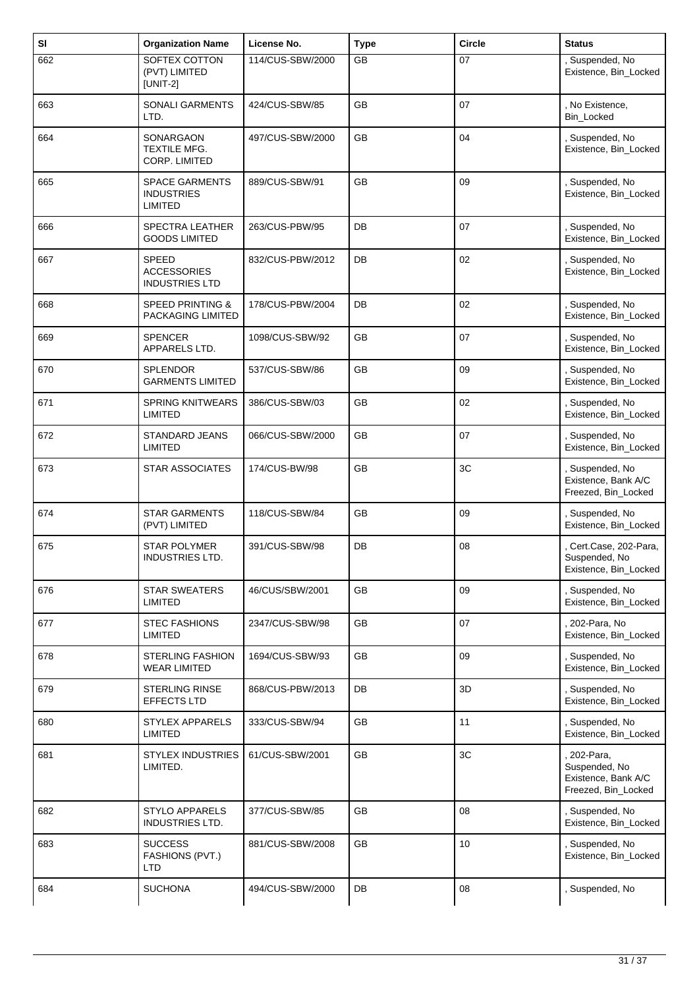| SI  | <b>Organization Name</b>                                     | License No.      | <b>Type</b> | <b>Circle</b>   | <b>Status</b>                                                              |
|-----|--------------------------------------------------------------|------------------|-------------|-----------------|----------------------------------------------------------------------------|
| 662 | SOFTEX COTTON<br>(PVT) LIMITED<br>$[UNIT-2]$                 | 114/CUS-SBW/2000 | <b>GB</b>   | 07              | , Suspended, No<br>Existence, Bin_Locked                                   |
| 663 | <b>SONALI GARMENTS</b><br>LTD.                               | 424/CUS-SBW/85   | <b>GB</b>   | 07              | , No Existence,<br>Bin_Locked                                              |
| 664 | SONARGAON<br>TEXTILE MFG.<br>CORP. LIMITED                   | 497/CUS-SBW/2000 | GB          | 04              | , Suspended, No<br>Existence, Bin_Locked                                   |
| 665 | <b>SPACE GARMENTS</b><br><b>INDUSTRIES</b><br><b>LIMITED</b> | 889/CUS-SBW/91   | <b>GB</b>   | 09              | , Suspended, No<br>Existence, Bin_Locked                                   |
| 666 | <b>SPECTRA LEATHER</b><br><b>GOODS LIMITED</b>               | 263/CUS-PBW/95   | DB          | 07              | , Suspended, No<br>Existence, Bin_Locked                                   |
| 667 | <b>SPEED</b><br><b>ACCESSORIES</b><br><b>INDUSTRIES LTD</b>  | 832/CUS-PBW/2012 | DB          | 02              | , Suspended, No<br>Existence, Bin_Locked                                   |
| 668 | <b>SPEED PRINTING &amp;</b><br>PACKAGING LIMITED             | 178/CUS-PBW/2004 | DB          | 02              | , Suspended, No<br>Existence, Bin_Locked                                   |
| 669 | <b>SPENCER</b><br>APPARELS LTD.                              | 1098/CUS-SBW/92  | <b>GB</b>   | 07              | , Suspended, No<br>Existence, Bin_Locked                                   |
| 670 | <b>SPLENDOR</b><br><b>GARMENTS LIMITED</b>                   | 537/CUS-SBW/86   | <b>GB</b>   | 09              | , Suspended, No<br>Existence, Bin_Locked                                   |
| 671 | <b>SPRING KNITWEARS</b><br><b>LIMITED</b>                    | 386/CUS-SBW/03   | GB          | 02              | , Suspended, No<br>Existence, Bin_Locked                                   |
| 672 | STANDARD JEANS<br><b>LIMITED</b>                             | 066/CUS-SBW/2000 | <b>GB</b>   | 07              | , Suspended, No<br>Existence, Bin_Locked                                   |
| 673 | <b>STAR ASSOCIATES</b>                                       | 174/CUS-BW/98    | <b>GB</b>   | 3C              | , Suspended, No<br>Existence, Bank A/C<br>Freezed, Bin_Locked              |
| 674 | <b>STAR GARMENTS</b><br>(PVT) LIMITED                        | 118/CUS-SBW/84   | <b>GB</b>   | 09              | , Suspended, No<br>Existence, Bin_Locked                                   |
| 675 | <b>STAR POLYMER</b><br><b>INDUSTRIES LTD.</b>                | 391/CUS-SBW/98   | DB          | 08              | Cert.Case, 202-Para,<br>Suspended, No<br>Existence, Bin_Locked             |
| 676 | <b>STAR SWEATERS</b><br><b>LIMITED</b>                       | 46/CUS/SBW/2001  | <b>GB</b>   | 09              | , Suspended, No<br>Existence, Bin_Locked                                   |
| 677 | <b>STEC FASHIONS</b><br><b>LIMITED</b>                       | 2347/CUS-SBW/98  | GB          | 07              | 202-Para, No<br>Existence, Bin Locked                                      |
| 678 | <b>STERLING FASHION</b><br><b>WEAR LIMITED</b>               | 1694/CUS-SBW/93  | GB          | 09              | , Suspended, No<br>Existence, Bin_Locked                                   |
| 679 | <b>STERLING RINSE</b><br>EFFECTS LTD                         | 868/CUS-PBW/2013 | DB          | 3D              | , Suspended, No<br>Existence, Bin_Locked                                   |
| 680 | <b>STYLEX APPARELS</b><br><b>LIMITED</b>                     | 333/CUS-SBW/94   | GB          | 11              | , Suspended, No<br>Existence, Bin_Locked                                   |
| 681 | <b>STYLEX INDUSTRIES</b><br>LIMITED.                         | 61/CUS-SBW/2001  | GB          | 3C              | , 202-Para,<br>Suspended, No<br>Existence, Bank A/C<br>Freezed, Bin_Locked |
| 682 | <b>STYLO APPARELS</b><br>INDUSTRIES LTD.                     | 377/CUS-SBW/85   | GB          | 08              | , Suspended, No<br>Existence, Bin_Locked                                   |
| 683 | <b>SUCCESS</b><br>FASHIONS (PVT.)<br>LTD                     | 881/CUS-SBW/2008 | GB          | 10 <sup>1</sup> | , Suspended, No<br>Existence, Bin_Locked                                   |
| 684 | <b>SUCHONA</b>                                               | 494/CUS-SBW/2000 | DB          | 08              | , Suspended, No                                                            |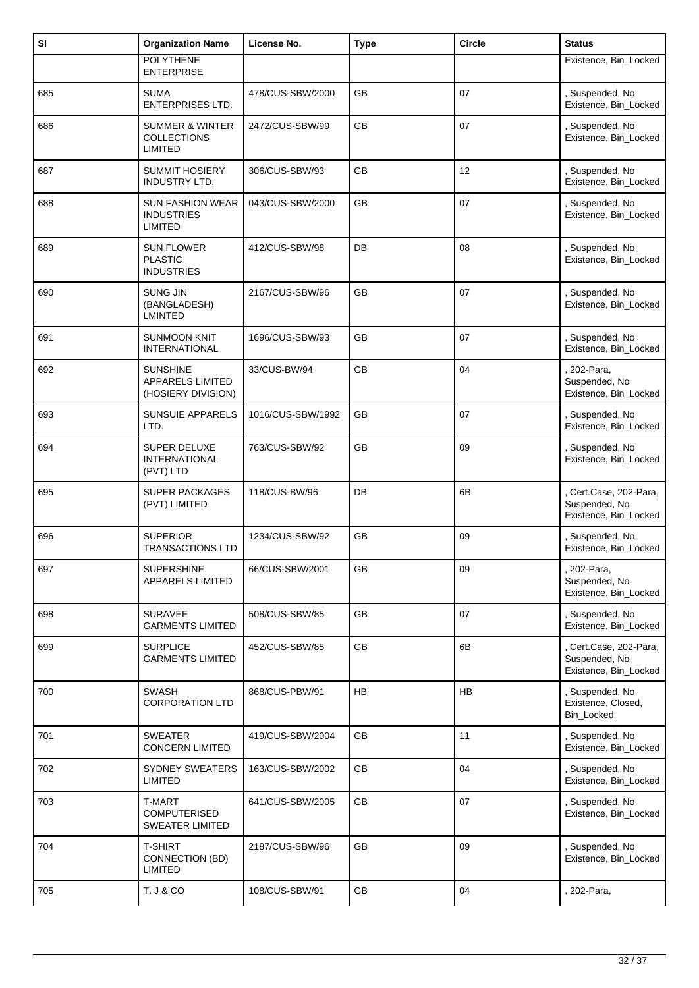| SI  | <b>Organization Name</b>                                           | License No.       | <b>Type</b> | <b>Circle</b> | <b>Status</b>                                                    |
|-----|--------------------------------------------------------------------|-------------------|-------------|---------------|------------------------------------------------------------------|
|     | <b>POLYTHENE</b><br><b>ENTERPRISE</b>                              |                   |             |               | Existence, Bin_Locked                                            |
| 685 | <b>SUMA</b><br><b>ENTERPRISES LTD.</b>                             | 478/CUS-SBW/2000  | GB          | 07            | , Suspended, No<br>Existence, Bin_Locked                         |
| 686 | <b>SUMMER &amp; WINTER</b><br><b>COLLECTIONS</b><br><b>LIMITED</b> | 2472/CUS-SBW/99   | <b>GB</b>   | 07            | , Suspended, No<br>Existence, Bin_Locked                         |
| 687 | <b>SUMMIT HOSIERY</b><br><b>INDUSTRY LTD.</b>                      | 306/CUS-SBW/93    | GB          | 12            | , Suspended, No<br>Existence, Bin_Locked                         |
| 688 | <b>SUN FASHION WEAR</b><br><b>INDUSTRIES</b><br><b>LIMITED</b>     | 043/CUS-SBW/2000  | <b>GB</b>   | 07            | , Suspended, No<br>Existence, Bin_Locked                         |
| 689 | <b>SUN FLOWER</b><br><b>PLASTIC</b><br><b>INDUSTRIES</b>           | 412/CUS-SBW/98    | DB          | 08            | , Suspended, No<br>Existence, Bin_Locked                         |
| 690 | <b>SUNG JIN</b><br>(BANGLADESH)<br><b>LMINTED</b>                  | 2167/CUS-SBW/96   | GB          | 07            | Suspended, No<br>Existence, Bin_Locked                           |
| 691 | <b>SUNMOON KNIT</b><br><b>INTERNATIONAL</b>                        | 1696/CUS-SBW/93   | <b>GB</b>   | 07            | Suspended, No<br>Existence, Bin_Locked                           |
| 692 | <b>SUNSHINE</b><br><b>APPARELS LIMITED</b><br>(HOSIERY DIVISION)   | 33/CUS-BW/94      | <b>GB</b>   | 04            | 202-Para,<br>Suspended, No<br>Existence, Bin_Locked              |
| 693 | <b>SUNSUIE APPARELS</b><br>LTD.                                    | 1016/CUS-SBW/1992 | GB          | 07            | , Suspended, No<br>Existence, Bin_Locked                         |
| 694 | <b>SUPER DELUXE</b><br><b>INTERNATIONAL</b><br>(PVT) LTD           | 763/CUS-SBW/92    | GB          | 09            | , Suspended, No<br>Existence, Bin_Locked                         |
| 695 | SUPER PACKAGES<br>(PVT) LIMITED                                    | 118/CUS-BW/96     | DB          | 6B            | Cert.Case, 202-Para,<br>Suspended, No<br>Existence, Bin_Locked   |
| 696 | <b>SUPERIOR</b><br><b>TRANSACTIONS LTD</b>                         | 1234/CUS-SBW/92   | GB          | 09            | , Suspended, No<br>Existence, Bin_Locked                         |
| 697 | <b>SUPERSHINE</b><br><b>APPARELS LIMITED</b>                       | 66/CUS-SBW/2001   | GB          | 09            | 202-Para,<br>Suspended, No<br>Existence, Bin_Locked              |
| 698 | <b>SURAVEE</b><br><b>GARMENTS LIMITED</b>                          | 508/CUS-SBW/85    | GB          | 07            | , Suspended, No<br>Existence, Bin_Locked                         |
| 699 | <b>SURPLICE</b><br><b>GARMENTS LIMITED</b>                         | 452/CUS-SBW/85    | GB          | 6B            | , Cert.Case, 202-Para,<br>Suspended, No<br>Existence, Bin_Locked |
| 700 | <b>SWASH</b><br><b>CORPORATION LTD</b>                             | 868/CUS-PBW/91    | <b>HB</b>   | HB            | , Suspended, No<br>Existence, Closed,<br>Bin_Locked              |
| 701 | <b>SWEATER</b><br><b>CONCERN LIMITED</b>                           | 419/CUS-SBW/2004  | GB          | 11            | Suspended, No<br>Existence, Bin_Locked                           |
| 702 | <b>SYDNEY SWEATERS</b><br><b>LIMITED</b>                           | 163/CUS-SBW/2002  | GB          | 04            | , Suspended, No<br>Existence, Bin_Locked                         |
| 703 | T-MART<br><b>COMPUTERISED</b><br><b>SWEATER LIMITED</b>            | 641/CUS-SBW/2005  | GB          | 07            | , Suspended, No<br>Existence, Bin_Locked                         |
| 704 | <b>T-SHIRT</b><br>CONNECTION (BD)<br><b>LIMITED</b>                | 2187/CUS-SBW/96   | GB          | 09            | , Suspended, No<br>Existence, Bin_Locked                         |
| 705 | <b>T. J &amp; CO</b>                                               | 108/CUS-SBW/91    | GB          | 04            | 202-Para,                                                        |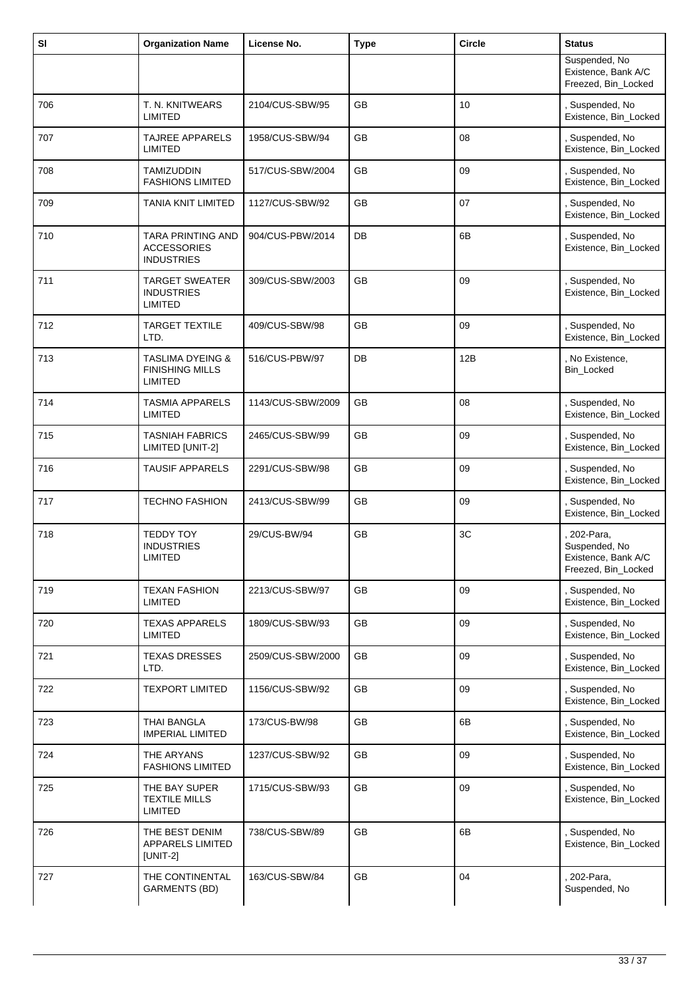| SI  | <b>Organization Name</b>                                                | License No.       | <b>Type</b> | Circle | <b>Status</b>                                                            |
|-----|-------------------------------------------------------------------------|-------------------|-------------|--------|--------------------------------------------------------------------------|
|     |                                                                         |                   |             |        | Suspended, No<br>Existence, Bank A/C<br>Freezed, Bin_Locked              |
| 706 | T. N. KNITWEARS<br>LIMITED                                              | 2104/CUS-SBW/95   | <b>GB</b>   | 10     | , Suspended, No<br>Existence, Bin_Locked                                 |
| 707 | <b>TAJREE APPARELS</b><br><b>LIMITED</b>                                | 1958/CUS-SBW/94   | GB          | 08     | Suspended, No<br>Existence, Bin_Locked                                   |
| 708 | <b>TAMIZUDDIN</b><br><b>FASHIONS LIMITED</b>                            | 517/CUS-SBW/2004  | GB          | 09     | , Suspended, No<br>Existence, Bin_Locked                                 |
| 709 | <b>TANIA KNIT LIMITED</b>                                               | 1127/CUS-SBW/92   | <b>GB</b>   | 07     | , Suspended, No<br>Existence, Bin_Locked                                 |
| 710 | TARA PRINTING AND<br><b>ACCESSORIES</b><br><b>INDUSTRIES</b>            | 904/CUS-PBW/2014  | DB          | 6B     | Suspended, No<br>Existence, Bin_Locked                                   |
| 711 | <b>TARGET SWEATER</b><br><b>INDUSTRIES</b><br><b>LIMITED</b>            | 309/CUS-SBW/2003  | <b>GB</b>   | 09     | , Suspended, No<br>Existence, Bin_Locked                                 |
| 712 | <b>TARGET TEXTILE</b><br>LTD.                                           | 409/CUS-SBW/98    | GB          | 09     | , Suspended, No<br>Existence, Bin_Locked                                 |
| 713 | <b>TASLIMA DYEING &amp;</b><br><b>FINISHING MILLS</b><br><b>LIMITED</b> | 516/CUS-PBW/97    | DB          | 12B    | , No Existence,<br><b>Bin Locked</b>                                     |
| 714 | <b>TASMIA APPARELS</b><br>LIMITED                                       | 1143/CUS-SBW/2009 | GB          | 08     | , Suspended, No<br>Existence, Bin_Locked                                 |
| 715 | <b>TASNIAH FABRICS</b><br>LIMITED [UNIT-2]                              | 2465/CUS-SBW/99   | <b>GB</b>   | 09     | , Suspended, No<br>Existence, Bin_Locked                                 |
| 716 | <b>TAUSIF APPARELS</b>                                                  | 2291/CUS-SBW/98   | <b>GB</b>   | 09     | , Suspended, No<br>Existence, Bin_Locked                                 |
| 717 | <b>TECHNO FASHION</b>                                                   | 2413/CUS-SBW/99   | GB          | 09     | , Suspended, No<br>Existence, Bin_Locked                                 |
| 718 | <b>TEDDY TOY</b><br><b>INDUSTRIES</b><br>LIMITED                        | 29/CUS-BW/94      | <b>GB</b>   | 3C     | 202-Para,<br>Suspended, No<br>Existence, Bank A/C<br>Freezed, Bin_Locked |
| 719 | <b>TEXAN FASHION</b><br>LIMITED                                         | 2213/CUS-SBW/97   | GB          | 09     | , Suspended, No<br>Existence, Bin_Locked                                 |
| 720 | <b>TEXAS APPARELS</b><br>LIMITED                                        | 1809/CUS-SBW/93   | GB          | 09     | Suspended, No<br>Existence, Bin_Locked                                   |
| 721 | <b>TEXAS DRESSES</b><br>LTD.                                            | 2509/CUS-SBW/2000 | GB          | 09     | , Suspended, No<br>Existence, Bin_Locked                                 |
| 722 | <b>TEXPORT LIMITED</b>                                                  | 1156/CUS-SBW/92   | GB          | 09     | , Suspended, No<br>Existence, Bin_Locked                                 |
| 723 | <b>THAI BANGLA</b><br><b>IMPERIAL LIMITED</b>                           | 173/CUS-BW/98     | GB          | 6B     | , Suspended, No<br>Existence, Bin_Locked                                 |
| 724 | THE ARYANS<br><b>FASHIONS LIMITED</b>                                   | 1237/CUS-SBW/92   | GB          | 09     | , Suspended, No<br>Existence, Bin_Locked                                 |
| 725 | THE BAY SUPER<br><b>TEXTILE MILLS</b><br><b>LIMITED</b>                 | 1715/CUS-SBW/93   | <b>GB</b>   | 09     | , Suspended, No<br>Existence, Bin_Locked                                 |
| 726 | THE BEST DENIM<br>APPARELS LIMITED<br>$[UNIT-2]$                        | 738/CUS-SBW/89    | GB          | 6B     | , Suspended, No<br>Existence, Bin_Locked                                 |
| 727 | THE CONTINENTAL<br><b>GARMENTS (BD)</b>                                 | 163/CUS-SBW/84    | GB          | 04     | 202-Para,<br>Suspended, No                                               |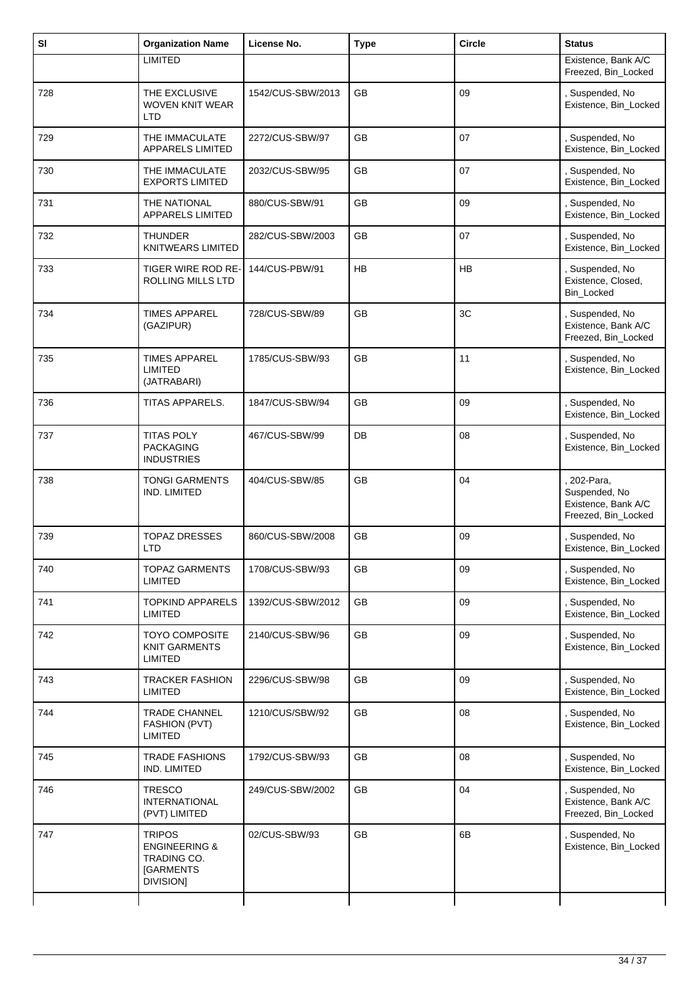| SI  | <b>Organization Name</b>                                                           | License No.       | <b>Type</b> | <b>Circle</b> | <b>Status</b>                                                            |
|-----|------------------------------------------------------------------------------------|-------------------|-------------|---------------|--------------------------------------------------------------------------|
|     | <b>LIMITED</b>                                                                     |                   |             |               | Existence, Bank A/C<br>Freezed, Bin_Locked                               |
| 728 | THE EXCLUSIVE<br><b>WOVEN KNIT WEAR</b><br>LTD                                     | 1542/CUS-SBW/2013 | <b>GB</b>   | 09            | , Suspended, No<br>Existence, Bin_Locked                                 |
| 729 | THE IMMACULATE<br>APPARELS LIMITED                                                 | 2272/CUS-SBW/97   | GB          | 07            | Suspended, No<br>Existence, Bin_Locked                                   |
| 730 | THE IMMACULATE<br><b>EXPORTS LIMITED</b>                                           | 2032/CUS-SBW/95   | <b>GB</b>   | 07            | , Suspended, No<br>Existence, Bin_Locked                                 |
| 731 | THE NATIONAL<br><b>APPARELS LIMITED</b>                                            | 880/CUS-SBW/91    | GВ          | 09            | , Suspended, No<br>Existence, Bin_Locked                                 |
| 732 | <b>THUNDER</b><br><b>KNITWEARS LIMITED</b>                                         | 282/CUS-SBW/2003  | GB          | 07            | Suspended, No<br>Existence, Bin_Locked                                   |
| 733 | TIGER WIRE ROD RE-<br>ROLLING MILLS LTD                                            | 144/CUS-PBW/91    | <b>HB</b>   | HB            | , Suspended, No<br>Existence, Closed,<br>Bin_Locked                      |
| 734 | <b>TIMES APPAREL</b><br>(GAZIPUR)                                                  | 728/CUS-SBW/89    | GB          | 3C            | , Suspended, No<br>Existence, Bank A/C<br>Freezed, Bin_Locked            |
| 735 | <b>TIMES APPAREL</b><br><b>LIMITED</b><br>(JATRABARI)                              | 1785/CUS-SBW/93   | <b>GB</b>   | 11            | , Suspended, No<br>Existence, Bin_Locked                                 |
| 736 | TITAS APPARELS.                                                                    | 1847/CUS-SBW/94   | GB          | 09            | , Suspended, No<br>Existence, Bin_Locked                                 |
| 737 | <b>TITAS POLY</b><br><b>PACKAGING</b><br><b>INDUSTRIES</b>                         | 467/CUS-SBW/99    | DB          | 08            | , Suspended, No<br>Existence, Bin_Locked                                 |
| 738 | <b>TONGI GARMENTS</b><br>IND. LIMITED                                              | 404/CUS-SBW/85    | GB          | 04            | 202-Para,<br>Suspended, No<br>Existence, Bank A/C<br>Freezed, Bin_Locked |
| 739 | <b>TOPAZ DRESSES</b><br>LTD                                                        | 860/CUS-SBW/2008  | GB          | 09            | , Suspended, No<br>Existence, Bin_Locked                                 |
| 740 | <b>TOPAZ GARMENTS</b><br><b>LIMITED</b>                                            | 1708/CUS-SBW/93   | GB          | 09            | , Suspended, No<br>Existence, Bin_Locked                                 |
| 741 | <b>TOPKIND APPARELS</b><br><b>LIMITED</b>                                          | 1392/CUS-SBW/2012 | GB          | 09            | , Suspended, No<br>Existence, Bin_Locked                                 |
| 742 | <b>TOYO COMPOSITE</b><br><b>KNIT GARMENTS</b><br><b>LIMITED</b>                    | 2140/CUS-SBW/96   | GB          | 09            | , Suspended, No<br>Existence, Bin_Locked                                 |
| 743 | <b>TRACKER FASHION</b><br><b>LIMITED</b>                                           | 2296/CUS-SBW/98   | GB          | 09            | Suspended, No<br>Existence, Bin_Locked                                   |
| 744 | <b>TRADE CHANNEL</b><br>FASHION (PVT)<br>LIMITED                                   | 1210/CUS/SBW/92   | GB          | 08            | , Suspended, No<br>Existence, Bin_Locked                                 |
| 745 | <b>TRADE FASHIONS</b><br>IND. LIMITED                                              | 1792/CUS-SBW/93   | GB          | 08            | , Suspended, No<br>Existence, Bin_Locked                                 |
| 746 | <b>TRESCO</b><br><b>INTERNATIONAL</b><br>(PVT) LIMITED                             | 249/CUS-SBW/2002  | GB          | 04            | , Suspended, No<br>Existence, Bank A/C<br>Freezed, Bin_Locked            |
| 747 | <b>TRIPOS</b><br><b>ENGINEERING &amp;</b><br>TRADING CO.<br>[GARMENTS<br>DIVISION] | 02/CUS-SBW/93     | GB          | 6B            | , Suspended, No<br>Existence, Bin_Locked                                 |
|     |                                                                                    |                   |             |               |                                                                          |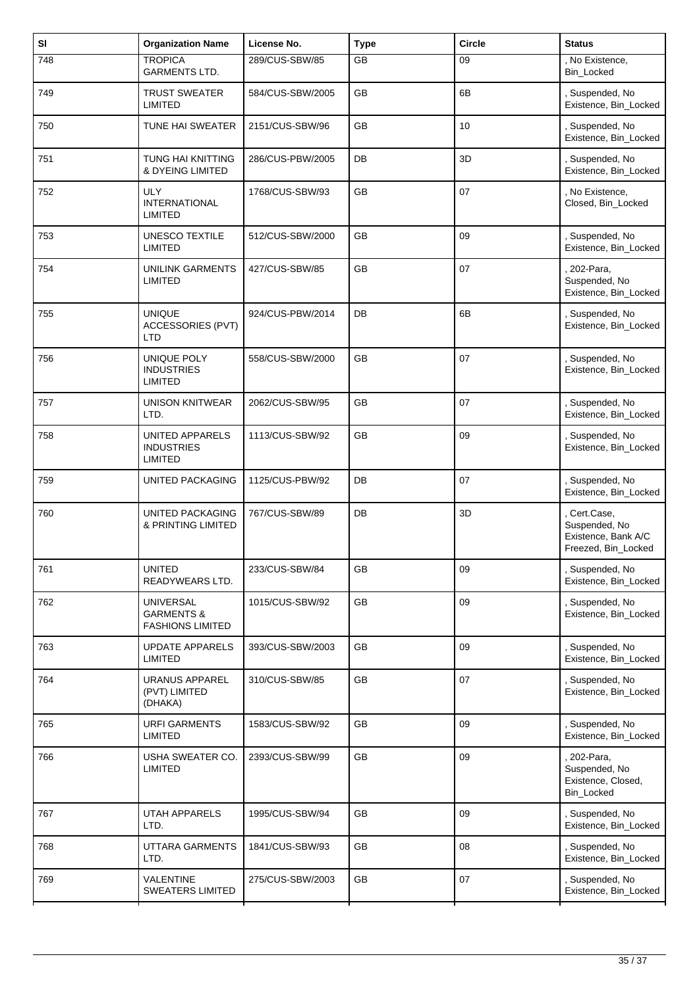| SI  | <b>Organization Name</b>                                             | License No.      | <b>Type</b> | <b>Circle</b> | <b>Status</b>                                                               |
|-----|----------------------------------------------------------------------|------------------|-------------|---------------|-----------------------------------------------------------------------------|
| 748 | <b>TROPICA</b><br><b>GARMENTS LTD.</b>                               | 289/CUS-SBW/85   | GB          | 09            | , No Existence,<br>Bin_Locked                                               |
| 749 | <b>TRUST SWEATER</b><br><b>LIMITED</b>                               | 584/CUS-SBW/2005 | <b>GB</b>   | 6B            | , Suspended, No<br>Existence, Bin Locked                                    |
| 750 | TUNE HAI SWEATER                                                     | 2151/CUS-SBW/96  | <b>GB</b>   | 10            | , Suspended, No<br>Existence, Bin_Locked                                    |
| 751 | TUNG HAI KNITTING<br><b>&amp; DYEING LIMITED</b>                     | 286/CUS-PBW/2005 | DB          | 3D            | , Suspended, No<br>Existence, Bin_Locked                                    |
| 752 | <b>ULY</b><br><b>INTERNATIONAL</b><br><b>LIMITED</b>                 | 1768/CUS-SBW/93  | <b>GB</b>   | 07            | , No Existence,<br>Closed, Bin_Locked                                       |
| 753 | <b>UNESCO TEXTILE</b><br><b>LIMITED</b>                              | 512/CUS-SBW/2000 | GB          | 09            | , Suspended, No<br>Existence, Bin_Locked                                    |
| 754 | <b>UNILINK GARMENTS</b><br>LIMITED                                   | 427/CUS-SBW/85   | <b>GB</b>   | 07            | 202-Para,<br>Suspended, No<br>Existence, Bin_Locked                         |
| 755 | <b>UNIQUE</b><br><b>ACCESSORIES (PVT)</b><br><b>LTD</b>              | 924/CUS-PBW/2014 | DB          | 6B            | Suspended, No<br>Existence, Bin_Locked                                      |
| 756 | UNIQUE POLY<br><b>INDUSTRIES</b><br><b>LIMITED</b>                   | 558/CUS-SBW/2000 | <b>GB</b>   | 07            | , Suspended, No<br>Existence, Bin_Locked                                    |
| 757 | UNISON KNITWEAR<br>LTD.                                              | 2062/CUS-SBW/95  | GB          | 07            | , Suspended, No<br>Existence, Bin_Locked                                    |
| 758 | <b>UNITED APPARELS</b><br><b>INDUSTRIES</b><br><b>LIMITED</b>        | 1113/CUS-SBW/92  | GB          | 09            | , Suspended, No<br>Existence, Bin_Locked                                    |
| 759 | UNITED PACKAGING                                                     | 1125/CUS-PBW/92  | DB          | 07            | , Suspended, No<br>Existence, Bin_Locked                                    |
| 760 | <b>UNITED PACKAGING</b><br>& PRINTING LIMITED                        | 767/CUS-SBW/89   | DB          | 3D            | , Cert.Case,<br>Suspended, No<br>Existence, Bank A/C<br>Freezed, Bin_Locked |
| 761 | <b>UNITED</b><br>READYWEARS LTD.                                     | 233/CUS-SBW/84   | GB          | 09            | , Suspended, No<br>Existence, Bin_Locked                                    |
| 762 | <b>UNIVERSAL</b><br><b>GARMENTS &amp;</b><br><b>FASHIONS LIMITED</b> | 1015/CUS-SBW/92  | GB          | 09            | , Suspended, No<br>Existence, Bin_Locked                                    |
| 763 | <b>UPDATE APPARELS</b><br><b>LIMITED</b>                             | 393/CUS-SBW/2003 | <b>GB</b>   | 09            | , Suspended, No<br>Existence, Bin_Locked                                    |
| 764 | <b>URANUS APPAREL</b><br>(PVT) LIMITED<br>(DHAKA)                    | 310/CUS-SBW/85   | GB          | 07            | Suspended, No<br>Existence, Bin_Locked                                      |
| 765 | <b>URFI GARMENTS</b><br><b>LIMITED</b>                               | 1583/CUS-SBW/92  | <b>GB</b>   | 09            | , Suspended, No<br>Existence, Bin_Locked                                    |
| 766 | USHA SWEATER CO.<br><b>LIMITED</b>                                   | 2393/CUS-SBW/99  | GB          | 09            | 202-Para,<br>Suspended, No<br>Existence, Closed,<br>Bin_Locked              |
| 767 | <b>UTAH APPARELS</b><br>LTD.                                         | 1995/CUS-SBW/94  | GB          | 09            | , Suspended, No<br>Existence, Bin_Locked                                    |
| 768 | UTTARA GARMENTS<br>LTD.                                              | 1841/CUS-SBW/93  | GB          | 08            | , Suspended, No<br>Existence, Bin_Locked                                    |
| 769 | VALENTINE<br><b>SWEATERS LIMITED</b>                                 | 275/CUS-SBW/2003 | GB          | 07            | , Suspended, No<br>Existence, Bin_Locked                                    |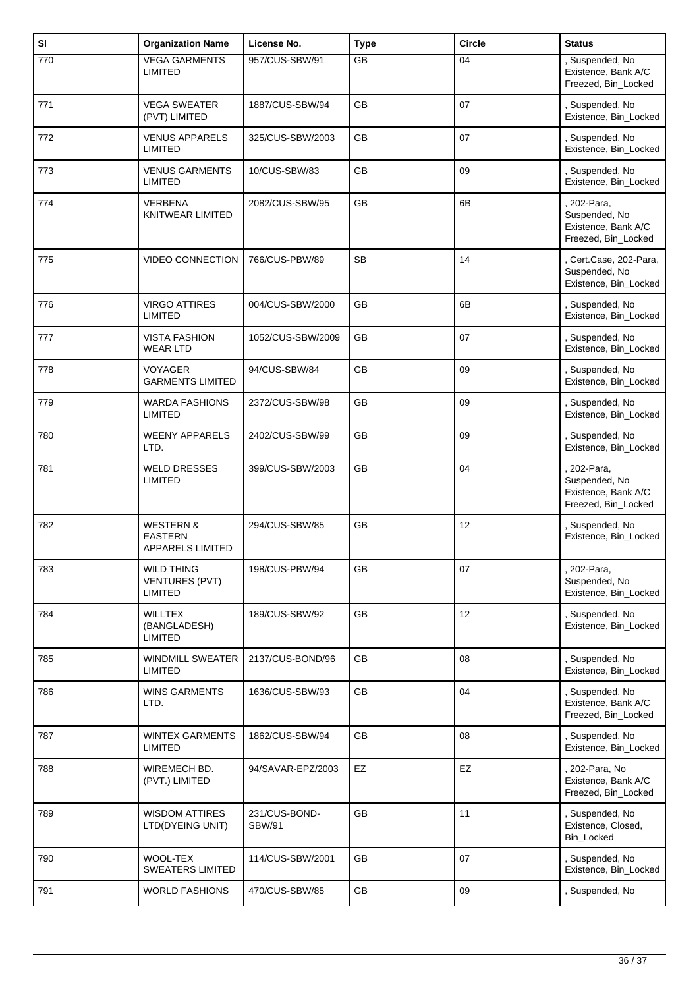| SI  | <b>Organization Name</b>                                          | License No.                    | <b>Type</b> | <b>Circle</b> | <b>Status</b>                                                              |
|-----|-------------------------------------------------------------------|--------------------------------|-------------|---------------|----------------------------------------------------------------------------|
| 770 | <b>VEGA GARMENTS</b><br><b>LIMITED</b>                            | 957/CUS-SBW/91                 | GB          | 04            | , Suspended, No<br>Existence, Bank A/C<br>Freezed, Bin_Locked              |
| 771 | <b>VEGA SWEATER</b><br>(PVT) LIMITED                              | 1887/CUS-SBW/94                | <b>GB</b>   | 07            | , Suspended, No<br>Existence, Bin_Locked                                   |
| 772 | <b>VENUS APPARELS</b><br><b>LIMITED</b>                           | 325/CUS-SBW/2003               | GB          | 07            | Suspended, No<br>Existence, Bin_Locked                                     |
| 773 | <b>VENUS GARMENTS</b><br><b>LIMITED</b>                           | 10/CUS-SBW/83                  | <b>GB</b>   | 09            | , Suspended, No<br>Existence, Bin_Locked                                   |
| 774 | <b>VERBENA</b><br><b>KNITWEAR LIMITED</b>                         | 2082/CUS-SBW/95                | <b>GB</b>   | 6B            | , 202-Para,<br>Suspended, No<br>Existence, Bank A/C<br>Freezed, Bin_Locked |
| 775 | <b>VIDEO CONNECTION</b>                                           | 766/CUS-PBW/89                 | <b>SB</b>   | 14            | , Cert.Case, 202-Para,<br>Suspended, No<br>Existence, Bin_Locked           |
| 776 | <b>VIRGO ATTIRES</b><br><b>LIMITED</b>                            | 004/CUS-SBW/2000               | <b>GB</b>   | 6B            | , Suspended, No<br>Existence, Bin_Locked                                   |
| 777 | <b>VISTA FASHION</b><br><b>WEAR LTD</b>                           | 1052/CUS-SBW/2009              | <b>GB</b>   | 07            | , Suspended, No<br>Existence, Bin_Locked                                   |
| 778 | <b>VOYAGER</b><br><b>GARMENTS LIMITED</b>                         | 94/CUS-SBW/84                  | GB          | 09            | , Suspended, No<br>Existence, Bin_Locked                                   |
| 779 | <b>WARDA FASHIONS</b><br><b>LIMITED</b>                           | 2372/CUS-SBW/98                | GB          | 09            | , Suspended, No<br>Existence, Bin_Locked                                   |
| 780 | <b>WEENY APPARELS</b><br>LTD.                                     | 2402/CUS-SBW/99                | <b>GB</b>   | 09            | , Suspended, No<br>Existence, Bin_Locked                                   |
| 781 | <b>WELD DRESSES</b><br><b>LIMITED</b>                             | 399/CUS-SBW/2003               | GB          | 04            | 202-Para,<br>Suspended, No<br>Existence, Bank A/C<br>Freezed, Bin_Locked   |
| 782 | <b>WESTERN &amp;</b><br><b>EASTERN</b><br><b>APPARELS LIMITED</b> | 294/CUS-SBW/85                 | GB          | 12            | , Suspended, No<br>Existence, Bin_Locked                                   |
| 783 | <b>WILD THING</b><br><b>VENTURES (PVT)</b><br><b>LIMITED</b>      | 198/CUS-PBW/94                 | GB          | 07            | , 202-Para,<br>Suspended, No<br>Existence, Bin_Locked                      |
| 784 | <b>WILLTEX</b><br>(BANGLADESH)<br>LIMITED                         | 189/CUS-SBW/92                 | GB          | 12            | , Suspended, No<br>Existence, Bin_Locked                                   |
| 785 | <b>WINDMILL SWEATER</b><br><b>LIMITED</b>                         | 2137/CUS-BOND/96               | GB          | 08            | , Suspended, No<br>Existence, Bin_Locked                                   |
| 786 | <b>WINS GARMENTS</b><br>LTD.                                      | 1636/CUS-SBW/93                | GB          | 04            | , Suspended, No<br>Existence, Bank A/C<br>Freezed, Bin_Locked              |
| 787 | <b>WINTEX GARMENTS</b><br><b>LIMITED</b>                          | 1862/CUS-SBW/94                | GB          | 08            | , Suspended, No<br>Existence, Bin_Locked                                   |
| 788 | WIREMECH BD.<br>(PVT.) LIMITED                                    | 94/SAVAR-EPZ/2003              | EZ          | EZ            | , 202-Para, No<br>Existence, Bank A/C<br>Freezed, Bin_Locked               |
| 789 | <b>WISDOM ATTIRES</b><br>LTD(DYEING UNIT)                         | 231/CUS-BOND-<br><b>SBW/91</b> | GB          | 11            | , Suspended, No<br>Existence, Closed,<br>Bin_Locked                        |
| 790 | WOOL-TEX<br><b>SWEATERS LIMITED</b>                               | 114/CUS-SBW/2001               | <b>GB</b>   | 07            | , Suspended, No<br>Existence, Bin_Locked                                   |
| 791 | <b>WORLD FASHIONS</b>                                             | 470/CUS-SBW/85                 | GB          | 09            | Suspended, No                                                              |